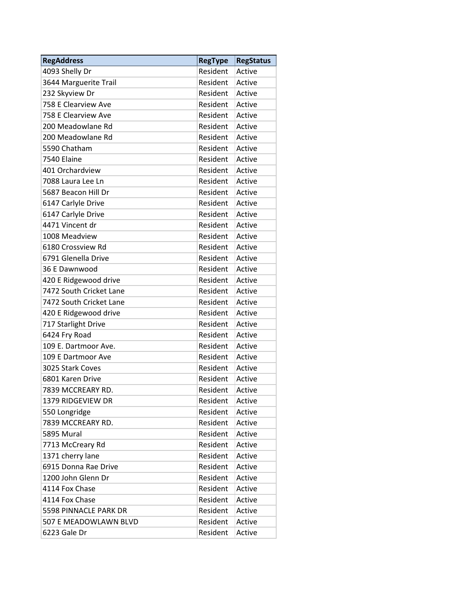| <b>RegAddress</b>       | <b>RegType</b> | <b>RegStatus</b> |
|-------------------------|----------------|------------------|
| 4093 Shelly Dr          | Resident       | Active           |
| 3644 Marguerite Trail   | Resident       | Active           |
| 232 Skyview Dr          | Resident       | Active           |
| 758 E Clearview Ave     | Resident       | Active           |
| 758 E Clearview Ave     | Resident       | Active           |
| 200 Meadowlane Rd       | Resident       | Active           |
| 200 Meadowlane Rd       | Resident       | Active           |
| 5590 Chatham            | Resident       | Active           |
| 7540 Elaine             | Resident       | Active           |
| 401 Orchardview         | Resident       | Active           |
| 7088 Laura Lee Ln       | Resident       | Active           |
| 5687 Beacon Hill Dr     | Resident       | Active           |
| 6147 Carlyle Drive      | Resident       | Active           |
| 6147 Carlyle Drive      | Resident       | Active           |
| 4471 Vincent dr         | Resident       | Active           |
| 1008 Meadview           | Resident       | Active           |
| 6180 Crossview Rd       | Resident       | Active           |
| 6791 Glenella Drive     | Resident       | Active           |
| 36 E Dawnwood           | Resident       | Active           |
| 420 E Ridgewood drive   | Resident       | Active           |
| 7472 South Cricket Lane | Resident       | Active           |
| 7472 South Cricket Lane | Resident       | Active           |
| 420 E Ridgewood drive   | Resident       | Active           |
| 717 Starlight Drive     | Resident       | Active           |
| 6424 Fry Road           | Resident       | Active           |
| 109 E. Dartmoor Ave.    | Resident       | Active           |
| 109 E Dartmoor Ave      | Resident       | Active           |
| 3025 Stark Coves        | Resident       | Active           |
| 6801 Karen Drive        | Resident       | Active           |
| 7839 MCCREARY RD.       | Resident       | Active           |
| 1379 RIDGEVIEW DR       | Resident       | Active           |
| 550 Longridge           | Resident       | Active           |
| 7839 MCCREARY RD.       | Resident       | Active           |
| 5895 Mural              | Resident       | Active           |
| 7713 McCreary Rd        | Resident       | Active           |
| 1371 cherry lane        | Resident       | Active           |
| 6915 Donna Rae Drive    | Resident       | Active           |
| 1200 John Glenn Dr      | Resident       | Active           |
| 4114 Fox Chase          | Resident       | Active           |
| 4114 Fox Chase          | Resident       | Active           |
| 5598 PINNACLE PARK DR   | Resident       | Active           |
| 507 E MEADOWLAWN BLVD   | Resident       | Active           |
| 6223 Gale Dr            | Resident       | Active           |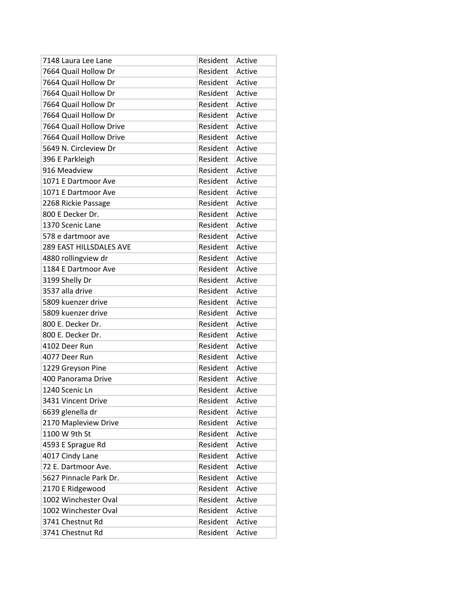| 7148 Laura Lee Lane     | Resident | Active |
|-------------------------|----------|--------|
| 7664 Quail Hollow Dr    | Resident | Active |
| 7664 Quail Hollow Dr    | Resident | Active |
| 7664 Quail Hollow Dr    | Resident | Active |
| 7664 Quail Hollow Dr    | Resident | Active |
| 7664 Quail Hollow Dr    | Resident | Active |
| 7664 Quail Hollow Drive | Resident | Active |
| 7664 Quail Hollow Drive | Resident | Active |
| 5649 N. Circleview Dr   | Resident | Active |
| 396 E Parkleigh         | Resident | Active |
| 916 Meadview            | Resident | Active |
| 1071 E Dartmoor Ave     | Resident | Active |
| 1071 E Dartmoor Ave     | Resident | Active |
| 2268 Rickie Passage     | Resident | Active |
| 800 E Decker Dr.        | Resident | Active |
| 1370 Scenic Lane        | Resident | Active |
| 578 e dartmoor ave      | Resident | Active |
| 289 EAST HILLSDALES AVE | Resident | Active |
| 4880 rollingview dr     | Resident | Active |
| 1184 E Dartmoor Ave     | Resident | Active |
| 3199 Shelly Dr          | Resident | Active |
| 3537 alla drive         | Resident | Active |
| 5809 kuenzer drive      | Resident | Active |
| 5809 kuenzer drive      | Resident | Active |
| 800 E. Decker Dr.       | Resident | Active |
| 800 E. Decker Dr.       | Resident | Active |
| 4102 Deer Run           | Resident | Active |
| 4077 Deer Run           | Resident | Active |
| 1229 Greyson Pine       | Resident | Active |
| 400 Panorama Drive      | Resident | Active |
| 1240 Scenic Ln          | Resident | Active |
| 3431 Vincent Drive      | Resident | Active |
| 6639 glenella dr        | Resident | Active |
| 2170 Mapleview Drive    | Resident | Active |
| 1100 W 9th St           | Resident | Active |
| 4593 E Sprague Rd       | Resident | Active |
| 4017 Cindy Lane         | Resident | Active |
| 72 E. Dartmoor Ave.     | Resident | Active |
| 5627 Pinnacle Park Dr.  | Resident | Active |
| 2170 E Ridgewood        | Resident | Active |
| 1002 Winchester Oval    | Resident | Active |
| 1002 Winchester Oval    | Resident | Active |
| 3741 Chestnut Rd        | Resident | Active |
| 3741 Chestnut Rd        | Resident | Active |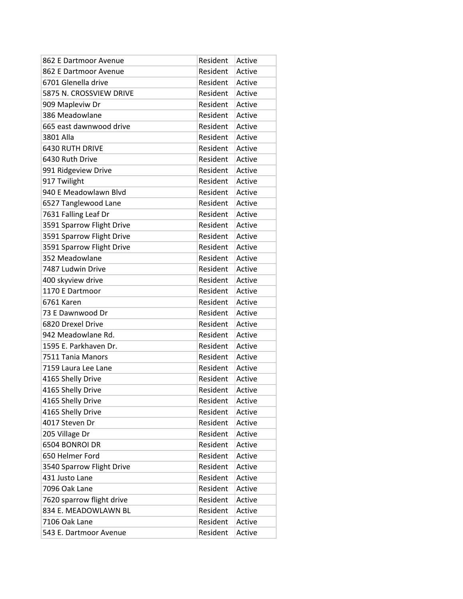| 862 E Dartmoor Avenue     | Resident | Active |
|---------------------------|----------|--------|
| 862 E Dartmoor Avenue     | Resident | Active |
| 6701 Glenella drive       | Resident | Active |
| 5875 N. CROSSVIEW DRIVE   | Resident | Active |
| 909 Mapleviw Dr           | Resident | Active |
| 386 Meadowlane            | Resident | Active |
| 665 east dawnwood drive   | Resident | Active |
| 3801 Alla                 | Resident | Active |
| <b>6430 RUTH DRIVE</b>    | Resident | Active |
| 6430 Ruth Drive           | Resident | Active |
| 991 Ridgeview Drive       | Resident | Active |
| 917 Twilight              | Resident | Active |
| 940 E Meadowlawn Blvd     | Resident | Active |
| 6527 Tanglewood Lane      | Resident | Active |
| 7631 Falling Leaf Dr      | Resident | Active |
| 3591 Sparrow Flight Drive | Resident | Active |
| 3591 Sparrow Flight Drive | Resident | Active |
| 3591 Sparrow Flight Drive | Resident | Active |
| 352 Meadowlane            | Resident | Active |
| 7487 Ludwin Drive         | Resident | Active |
| 400 skyview drive         | Resident | Active |
| 1170 E Dartmoor           | Resident | Active |
| 6761 Karen                | Resident | Active |
| 73 E Dawnwood Dr          | Resident | Active |
| 6820 Drexel Drive         | Resident | Active |
| 942 Meadowlane Rd.        | Resident | Active |
| 1595 E. Parkhaven Dr.     | Resident | Active |
| 7511 Tania Manors         | Resident | Active |
| 7159 Laura Lee Lane       | Resident | Active |
| 4165 Shelly Drive         | Resident | Active |
| 4165 Shelly Drive         | Resident | Active |
| 4165 Shelly Drive         | Resident | Active |
| 4165 Shelly Drive         | Resident | Active |
| 4017 Steven Dr            | Resident | Active |
| 205 Village Dr            | Resident | Active |
| 6504 BONROI DR            | Resident | Active |
| 650 Helmer Ford           | Resident | Active |
| 3540 Sparrow Flight Drive | Resident | Active |
| 431 Justo Lane            | Resident | Active |
| 7096 Oak Lane             | Resident | Active |
| 7620 sparrow flight drive | Resident | Active |
| 834 E. MEADOWLAWN BL      | Resident | Active |
| 7106 Oak Lane             | Resident | Active |
| 543 E. Dartmoor Avenue    | Resident | Active |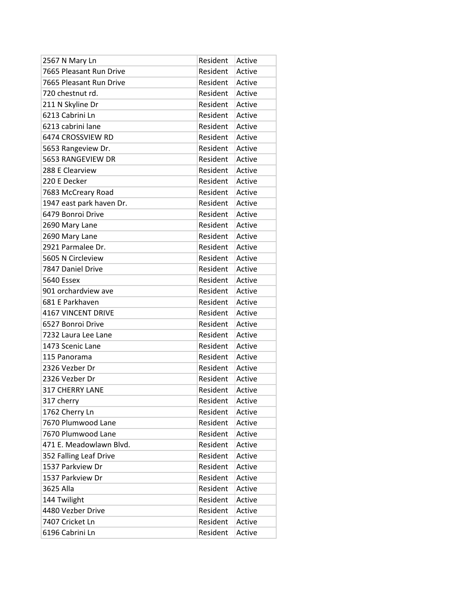| 2567 N Mary Ln            | Resident | Active |
|---------------------------|----------|--------|
| 7665 Pleasant Run Drive   | Resident | Active |
| 7665 Pleasant Run Drive   | Resident | Active |
| 720 chestnut rd.          | Resident | Active |
| 211 N Skyline Dr          | Resident | Active |
| 6213 Cabrini Ln           | Resident | Active |
| 6213 cabrini lane         | Resident | Active |
| 6474 CROSSVIEW RD         | Resident | Active |
| 5653 Rangeview Dr.        | Resident | Active |
| 5653 RANGEVIEW DR         | Resident | Active |
| 288 E Clearview           | Resident | Active |
| 220 E Decker              | Resident | Active |
| 7683 McCreary Road        | Resident | Active |
| 1947 east park haven Dr.  | Resident | Active |
| 6479 Bonroi Drive         | Resident | Active |
| 2690 Mary Lane            | Resident | Active |
| 2690 Mary Lane            | Resident | Active |
| 2921 Parmalee Dr.         | Resident | Active |
| 5605 N Circleview         | Resident | Active |
| 7847 Daniel Drive         | Resident | Active |
| 5640 Essex                | Resident | Active |
| 901 orchardview ave       | Resident | Active |
| 681 E Parkhaven           | Resident | Active |
| <b>4167 VINCENT DRIVE</b> | Resident | Active |
| 6527 Bonroi Drive         | Resident | Active |
| 7232 Laura Lee Lane       | Resident | Active |
| 1473 Scenic Lane          | Resident | Active |
| 115 Panorama              | Resident | Active |
| 2326 Vezber Dr            | Resident | Active |
| 2326 Vezber Dr            | Resident | Active |
| 317 CHERRY LANE           | Resident | Active |
| 317 cherry                | Resident | Active |
| 1762 Cherry Ln            | Resident | Active |
| 7670 Plumwood Lane        | Resident | Active |
| 7670 Plumwood Lane        | Resident | Active |
| 471 E. Meadowlawn Blvd.   | Resident | Active |
| 352 Falling Leaf Drive    | Resident | Active |
| 1537 Parkview Dr          | Resident | Active |
| 1537 Parkview Dr          | Resident | Active |
| 3625 Alla                 | Resident | Active |
| 144 Twilight              | Resident | Active |
| 4480 Vezber Drive         | Resident | Active |
| 7407 Cricket Ln           | Resident | Active |
| 6196 Cabrini Ln           | Resident | Active |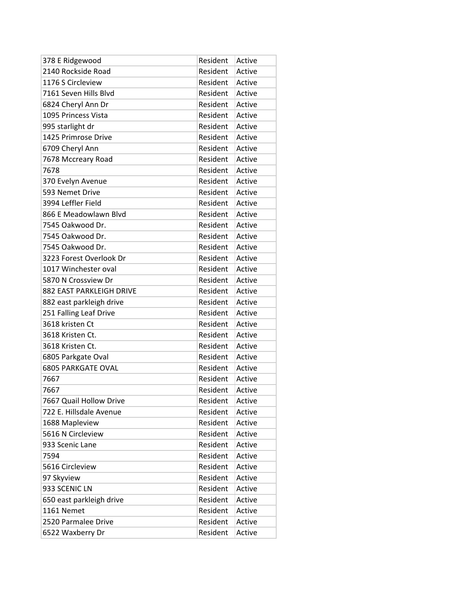| 378 E Ridgewood                   | Resident             | Active           |
|-----------------------------------|----------------------|------------------|
| 2140 Rockside Road                | Resident             | Active           |
| 1176 S Circleview                 | Resident             | Active           |
| 7161 Seven Hills Blvd             | Resident             | Active           |
| 6824 Cheryl Ann Dr                | Resident             | Active           |
| 1095 Princess Vista               | Resident             | Active           |
| 995 starlight dr                  | Resident             | Active           |
| 1425 Primrose Drive               | Resident             | Active           |
| 6709 Cheryl Ann                   | Resident             | Active           |
| 7678 Mccreary Road                | Resident             | Active           |
| 7678                              | Resident             | Active           |
| 370 Evelyn Avenue                 | Resident             | Active           |
| 593 Nemet Drive                   | Resident             | Active           |
| 3994 Leffler Field                | Resident             | Active           |
| 866 E Meadowlawn Blvd             | Resident             | Active           |
| 7545 Oakwood Dr.                  | Resident             | Active           |
| 7545 Oakwood Dr.                  | Resident             | Active           |
| 7545 Oakwood Dr.                  | Resident             | Active           |
| 3223 Forest Overlook Dr           | Resident             | Active           |
| 1017 Winchester oval              | Resident             | Active           |
| 5870 N Crossview Dr               | Resident             | Active           |
| 882 EAST PARKLEIGH DRIVE          | Resident             | Active           |
| 882 east parkleigh drive          | Resident             | Active           |
| 251 Falling Leaf Drive            | Resident             | Active           |
| 3618 kristen Ct                   | Resident             | Active           |
| 3618 Kristen Ct.                  | Resident             | Active           |
| 3618 Kristen Ct.                  | Resident             | Active           |
| 6805 Parkgate Oval                | Resident             | Active           |
| <b>6805 PARKGATE OVAL</b>         | Resident             | Active           |
| 7667                              | Resident             | Active           |
| 7667                              | Resident             | Active           |
| 7667 Quail Hollow Drive           | Resident             | Active           |
| 722 E. Hillsdale Avenue           | Resident             | Active           |
| 1688 Mapleview                    | Resident             | Active           |
| 5616 N Circleview                 | Resident             | Active           |
| 933 Scenic Lane                   | Resident             | Active           |
| 7594                              | Resident             | Active           |
| 5616 Circleview                   | Resident             | Active           |
| 97 Skyview                        | Resident             | Active           |
| 933 SCENIC LN                     | Resident             | Active           |
| 650 east parkleigh drive          | Resident             | Active           |
|                                   |                      |                  |
|                                   |                      |                  |
| 1161 Nemet<br>2520 Parmalee Drive | Resident<br>Resident | Active<br>Active |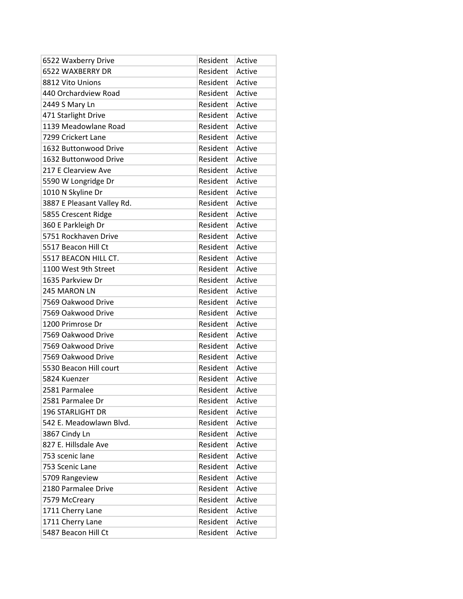| 6522 Waxberry Drive        | Resident | Active |
|----------------------------|----------|--------|
| 6522 WAXBERRY DR           | Resident | Active |
| 8812 Vito Unions           | Resident | Active |
| 440 Orchardview Road       | Resident | Active |
| 2449 S Mary Ln             | Resident | Active |
| 471 Starlight Drive        | Resident | Active |
| 1139 Meadowlane Road       | Resident | Active |
| 7299 Crickert Lane         | Resident | Active |
| 1632 Buttonwood Drive      | Resident | Active |
| 1632 Buttonwood Drive      | Resident | Active |
| 217 E Clearview Ave        | Resident | Active |
| 5590 W Longridge Dr        | Resident | Active |
| 1010 N Skyline Dr          | Resident | Active |
| 3887 E Pleasant Valley Rd. | Resident | Active |
| 5855 Crescent Ridge        | Resident | Active |
| 360 E Parkleigh Dr         | Resident | Active |
| 5751 Rockhaven Drive       | Resident | Active |
| 5517 Beacon Hill Ct        | Resident | Active |
| 5517 BEACON HILL CT.       | Resident | Active |
| 1100 West 9th Street       | Resident | Active |
| 1635 Parkview Dr           | Resident | Active |
| 245 MARON LN               | Resident | Active |
| 7569 Oakwood Drive         | Resident | Active |
| 7569 Oakwood Drive         | Resident | Active |
| 1200 Primrose Dr           | Resident | Active |
| 7569 Oakwood Drive         | Resident | Active |
| 7569 Oakwood Drive         | Resident | Active |
| 7569 Oakwood Drive         | Resident | Active |
| 5530 Beacon Hill court     | Resident | Active |
| 5824 Kuenzer               | Resident | Active |
| 2581 Parmalee              | Resident | Active |
| 2581 Parmalee Dr           | Resident | Active |
| <b>196 STARLIGHT DR</b>    | Resident | Active |
| 542 E. Meadowlawn Blvd.    | Resident | Active |
| 3867 Cindy Ln              | Resident | Active |
| 827 E. Hillsdale Ave       | Resident | Active |
| 753 scenic lane            | Resident | Active |
| 753 Scenic Lane            | Resident | Active |
| 5709 Rangeview             | Resident | Active |
| 2180 Parmalee Drive        | Resident | Active |
| 7579 McCreary              | Resident | Active |
| 1711 Cherry Lane           | Resident | Active |
| 1711 Cherry Lane           | Resident | Active |
|                            |          |        |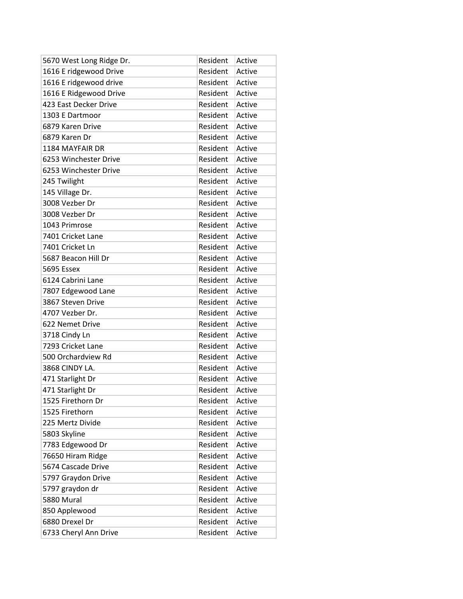| 5670 West Long Ridge Dr.        | Resident | Active |
|---------------------------------|----------|--------|
| 1616 E ridgewood Drive          | Resident | Active |
| 1616 E ridgewood drive          | Resident | Active |
| 1616 E Ridgewood Drive          | Resident | Active |
| 423 East Decker Drive           | Resident | Active |
| 1303 E Dartmoor                 | Resident | Active |
| 6879 Karen Drive                | Resident | Active |
| 6879 Karen Dr                   | Resident | Active |
| 1184 MAYFAIR DR                 | Resident | Active |
| 6253 Winchester Drive           | Resident | Active |
| 6253 Winchester Drive           | Resident | Active |
| 245 Twilight                    | Resident | Active |
| 145 Village Dr.                 | Resident | Active |
| 3008 Vezber Dr                  | Resident | Active |
| 3008 Vezber Dr                  | Resident | Active |
| 1043 Primrose                   | Resident | Active |
| 7401 Cricket Lane               | Resident | Active |
| 7401 Cricket Ln                 | Resident | Active |
| 5687 Beacon Hill Dr             | Resident | Active |
| 5695 Essex                      | Resident | Active |
| 6124 Cabrini Lane               | Resident | Active |
| 7807 Edgewood Lane              | Resident | Active |
| 3867 Steven Drive               | Resident | Active |
| 4707 Vezber Dr.                 | Resident | Active |
| 622 Nemet Drive                 | Resident | Active |
| 3718 Cindy Ln                   | Resident | Active |
| 7293 Cricket Lane               | Resident | Active |
| 500 Orchardview Rd              | Resident | Active |
| 3868 CINDY LA.                  | Resident | Active |
| 471 Starlight Dr                | Resident | Active |
| 471 Starlight Dr                | Resident | Active |
| 1525 Firethorn Dr               | Resident | Active |
| 1525 Firethorn                  | Resident | Active |
| 225 Mertz Divide                | Resident | Active |
| 5803 Skyline                    | Resident | Active |
| 7783 Edgewood Dr                | Resident | Active |
| 76650 Hiram Ridge               | Resident | Active |
| 5674 Cascade Drive              | Resident | Active |
| 5797 Graydon Drive              | Resident | Active |
| 5797 graydon dr                 | Resident | Active |
| 5880 Mural                      | Resident | Active |
|                                 | Resident | Active |
|                                 |          |        |
| 850 Applewood<br>6880 Drexel Dr | Resident | Active |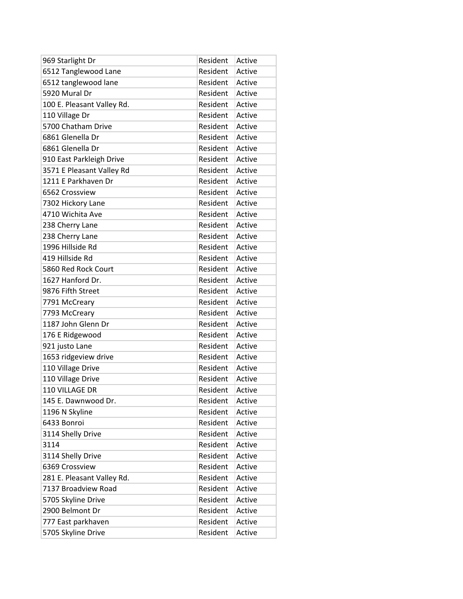| 969 Starlight Dr           | Resident | Active |
|----------------------------|----------|--------|
| 6512 Tanglewood Lane       | Resident | Active |
| 6512 tanglewood lane       | Resident | Active |
| 5920 Mural Dr              | Resident | Active |
| 100 E. Pleasant Valley Rd. | Resident | Active |
| 110 Village Dr             | Resident | Active |
| 5700 Chatham Drive         | Resident | Active |
| 6861 Glenella Dr           | Resident | Active |
| 6861 Glenella Dr           | Resident | Active |
| 910 East Parkleigh Drive   | Resident | Active |
| 3571 E Pleasant Valley Rd  | Resident | Active |
| 1211 E Parkhaven Dr        | Resident | Active |
| 6562 Crossview             | Resident | Active |
| 7302 Hickory Lane          | Resident | Active |
| 4710 Wichita Ave           | Resident | Active |
| 238 Cherry Lane            | Resident | Active |
| 238 Cherry Lane            | Resident | Active |
| 1996 Hillside Rd           | Resident | Active |
| 419 Hillside Rd            | Resident | Active |
| 5860 Red Rock Court        | Resident | Active |
| 1627 Hanford Dr.           | Resident | Active |
| 9876 Fifth Street          | Resident | Active |
| 7791 McCreary              | Resident | Active |
| 7793 McCreary              | Resident | Active |
| 1187 John Glenn Dr         | Resident | Active |
| 176 E Ridgewood            | Resident | Active |
| 921 justo Lane             | Resident | Active |
| 1653 ridgeview drive       | Resident | Active |
| 110 Village Drive          | Resident | Active |
| 110 Village Drive          | Resident | Active |
| 110 VILLAGE DR             | Resident | Active |
| 145 E. Dawnwood Dr.        | Resident | Active |
| 1196 N Skyline             | Resident | Active |
| 6433 Bonroi                | Resident | Active |
| 3114 Shelly Drive          | Resident | Active |
| 3114                       | Resident | Active |
| 3114 Shelly Drive          | Resident | Active |
| 6369 Crossview             | Resident | Active |
| 281 E. Pleasant Valley Rd. | Resident | Active |
| 7137 Broadview Road        | Resident | Active |
| 5705 Skyline Drive         | Resident | Active |
| 2900 Belmont Dr            | Resident | Active |
|                            | Resident | Active |
| 777 East parkhaven         |          |        |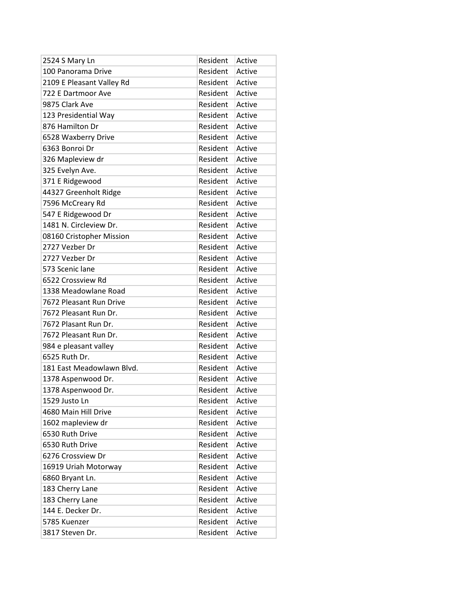| 2524 S Mary Ln            | Resident | Active |
|---------------------------|----------|--------|
| 100 Panorama Drive        | Resident | Active |
| 2109 E Pleasant Valley Rd | Resident | Active |
| 722 E Dartmoor Ave        | Resident | Active |
| 9875 Clark Ave            | Resident | Active |
| 123 Presidential Way      | Resident | Active |
| 876 Hamilton Dr           | Resident | Active |
| 6528 Waxberry Drive       | Resident | Active |
| 6363 Bonroi Dr            | Resident | Active |
| 326 Mapleview dr          | Resident | Active |
| 325 Evelyn Ave.           | Resident | Active |
| 371 E Ridgewood           | Resident | Active |
| 44327 Greenholt Ridge     | Resident | Active |
| 7596 McCreary Rd          | Resident | Active |
| 547 E Ridgewood Dr        | Resident | Active |
| 1481 N. Circleview Dr.    | Resident | Active |
| 08160 Cristopher Mission  | Resident | Active |
| 2727 Vezber Dr            | Resident | Active |
| 2727 Vezber Dr            | Resident | Active |
| 573 Scenic lane           | Resident | Active |
| 6522 Crossview Rd         | Resident | Active |
| 1338 Meadowlane Road      | Resident | Active |
| 7672 Pleasant Run Drive   | Resident | Active |
| 7672 Pleasant Run Dr.     | Resident | Active |
| 7672 Plasant Run Dr.      | Resident | Active |
| 7672 Pleasant Run Dr.     | Resident | Active |
| 984 e pleasant valley     | Resident | Active |
| 6525 Ruth Dr.             | Resident | Active |
| 181 East Meadowlawn Blvd. | Resident | Active |
| 1378 Aspenwood Dr.        | Resident | Active |
| 1378 Aspenwood Dr.        | Resident | Active |
| 1529 Justo Ln             | Resident | Active |
| 4680 Main Hill Drive      | Resident | Active |
| 1602 mapleview dr         | Resident | Active |
| 6530 Ruth Drive           | Resident | Active |
| 6530 Ruth Drive           | Resident | Active |
| 6276 Crossview Dr         | Resident | Active |
| 16919 Uriah Motorway      | Resident | Active |
| 6860 Bryant Ln.           | Resident | Active |
| 183 Cherry Lane           | Resident | Active |
| 183 Cherry Lane           | Resident | Active |
| 144 E. Decker Dr.         | Resident | Active |
| 5785 Kuenzer              | Resident | Active |
| 3817 Steven Dr.           | Resident | Active |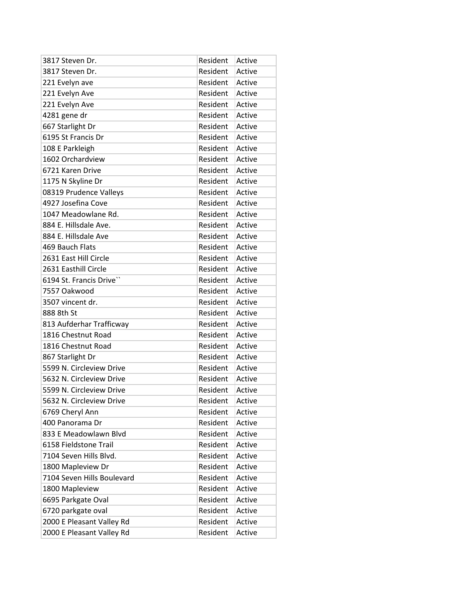| 3817 Steven Dr.            | Resident | Active |
|----------------------------|----------|--------|
| 3817 Steven Dr.            | Resident | Active |
| 221 Evelyn ave             | Resident | Active |
| 221 Evelyn Ave             | Resident | Active |
| 221 Evelyn Ave             | Resident | Active |
| 4281 gene dr               | Resident | Active |
| 667 Starlight Dr           | Resident | Active |
| 6195 St Francis Dr         | Resident | Active |
| 108 E Parkleigh            | Resident | Active |
| 1602 Orchardview           | Resident | Active |
| 6721 Karen Drive           | Resident | Active |
| 1175 N Skyline Dr          | Resident | Active |
| 08319 Prudence Valleys     | Resident | Active |
| 4927 Josefina Cove         | Resident | Active |
| 1047 Meadowlane Rd.        | Resident | Active |
| 884 E. Hillsdale Ave.      | Resident | Active |
| 884 E. Hillsdale Ave       | Resident | Active |
| 469 Bauch Flats            | Resident | Active |
| 2631 East Hill Circle      | Resident | Active |
| 2631 Easthill Circle       | Resident | Active |
| 6194 St. Francis Drive"    | Resident | Active |
| 7557 Oakwood               | Resident | Active |
| 3507 vincent dr.           | Resident | Active |
| 888 8th St                 | Resident | Active |
| 813 Aufderhar Trafficway   | Resident | Active |
| 1816 Chestnut Road         | Resident | Active |
| 1816 Chestnut Road         | Resident | Active |
| 867 Starlight Dr           | Resident | Active |
| 5599 N. Circleview Drive   | Resident | Active |
| 5632 N. Circleview Drive   | Resident | Active |
| 5599 N. Circleview Drive   | Resident | Active |
| 5632 N. Circleview Drive   | Resident | Active |
| 6769 Cheryl Ann            | Resident | Active |
| 400 Panorama Dr            | Resident | Active |
| 833 E Meadowlawn Blvd      | Resident | Active |
| 6158 Fieldstone Trail      | Resident | Active |
| 7104 Seven Hills Blvd.     | Resident | Active |
| 1800 Mapleview Dr          | Resident | Active |
| 7104 Seven Hills Boulevard | Resident | Active |
| 1800 Mapleview             | Resident | Active |
| 6695 Parkgate Oval         | Resident | Active |
| 6720 parkgate oval         | Resident | Active |
| 2000 E Pleasant Valley Rd  | Resident | Active |
| 2000 E Pleasant Valley Rd  | Resident | Active |
|                            |          |        |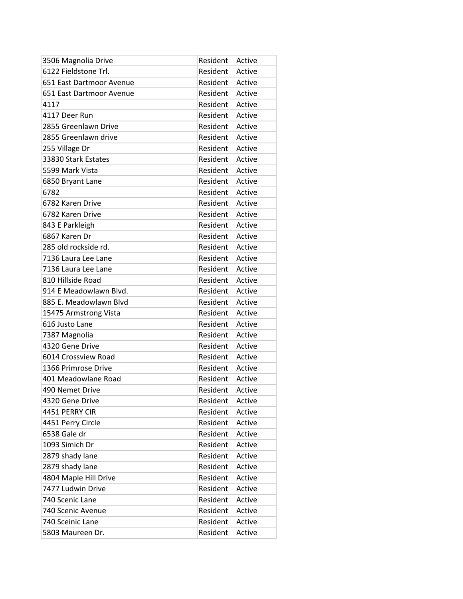| 3506 Magnolia Drive      | Resident | Active |
|--------------------------|----------|--------|
| 6122 Fieldstone Trl.     | Resident | Active |
| 651 East Dartmoor Avenue | Resident | Active |
| 651 East Dartmoor Avenue | Resident | Active |
| 4117                     | Resident | Active |
| 4117 Deer Run            | Resident | Active |
| 2855 Greenlawn Drive     | Resident | Active |
| 2855 Greenlawn drive     | Resident | Active |
| 255 Village Dr           | Resident | Active |
| 33830 Stark Estates      | Resident | Active |
| 5599 Mark Vista          | Resident | Active |
| 6850 Bryant Lane         | Resident | Active |
| 6782                     | Resident | Active |
| 6782 Karen Drive         | Resident | Active |
| 6782 Karen Drive         | Resident | Active |
| 843 E Parkleigh          | Resident | Active |
| 6867 Karen Dr            | Resident | Active |
| 285 old rockside rd.     | Resident | Active |
| 7136 Laura Lee Lane      | Resident | Active |
| 7136 Laura Lee Lane      | Resident | Active |
| 810 Hillside Road        | Resident | Active |
| 914 E Meadowlawn Blvd.   | Resident | Active |
| 885 E. Meadowlawn Blvd   | Resident | Active |
| 15475 Armstrong Vista    | Resident | Active |
| 616 Justo Lane           | Resident | Active |
| 7387 Magnolia            | Resident | Active |
| 4320 Gene Drive          | Resident | Active |
| 6014 Crossview Road      | Resident | Active |
| 1366 Primrose Drive      | Resident | Active |
| 401 Meadowlane Road      | Resident | Active |
| 490 Nemet Drive          | Resident | Active |
| 4320 Gene Drive          | Resident | Active |
| 4451 PERRY CIR           | Resident | Active |
| 4451 Perry Circle        | Resident | Active |
| 6538 Gale dr             | Resident | Active |
| 1093 Simich Dr           | Resident | Active |
| 2879 shady lane          | Resident | Active |
| 2879 shady lane          | Resident | Active |
| 4804 Maple Hill Drive    | Resident | Active |
| 7477 Ludwin Drive        | Resident | Active |
| 740 Scenic Lane          | Resident | Active |
| 740 Scenic Avenue        | Resident | Active |
| 740 Sceinic Lane         | Resident | Active |
| 5803 Maureen Dr.         | Resident | Active |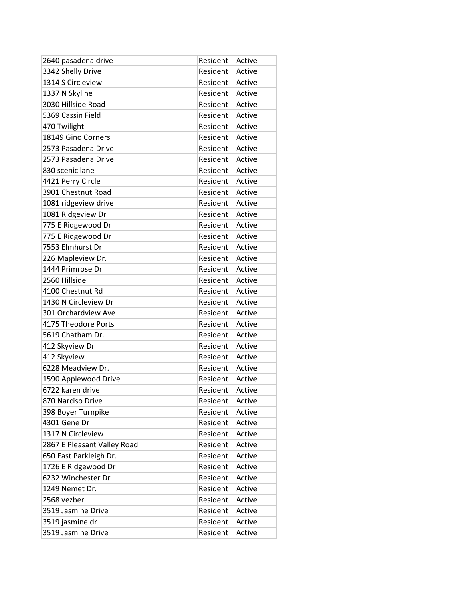| 2640 pasadena drive         | Resident | Active |
|-----------------------------|----------|--------|
| 3342 Shelly Drive           | Resident | Active |
| 1314 S Circleview           | Resident | Active |
| 1337 N Skyline              | Resident | Active |
| 3030 Hillside Road          | Resident | Active |
| 5369 Cassin Field           | Resident | Active |
| 470 Twilight                | Resident | Active |
| 18149 Gino Corners          | Resident | Active |
| 2573 Pasadena Drive         | Resident | Active |
| 2573 Pasadena Drive         | Resident | Active |
| 830 scenic lane             | Resident | Active |
| 4421 Perry Circle           | Resident | Active |
| 3901 Chestnut Road          | Resident | Active |
| 1081 ridgeview drive        | Resident | Active |
| 1081 Ridgeview Dr           | Resident | Active |
| 775 E Ridgewood Dr          | Resident | Active |
| 775 E Ridgewood Dr          | Resident | Active |
| 7553 Elmhurst Dr            | Resident | Active |
| 226 Mapleview Dr.           | Resident | Active |
| 1444 Primrose Dr            | Resident | Active |
| 2560 Hillside               | Resident | Active |
| 4100 Chestnut Rd            | Resident | Active |
| 1430 N Circleview Dr        | Resident | Active |
| 301 Orchardview Ave         | Resident | Active |
| 4175 Theodore Ports         | Resident | Active |
| 5619 Chatham Dr.            | Resident | Active |
| 412 Skyview Dr              | Resident | Active |
| 412 Skyview                 | Resident | Active |
| 6228 Meadview Dr.           | Resident | Active |
| 1590 Applewood Drive        | Resident | Active |
| 6722 karen drive            | Resident | Active |
| 870 Narciso Drive           | Resident | Active |
| 398 Boyer Turnpike          | Resident | Active |
| 4301 Gene Dr                | Resident | Active |
| 1317 N Circleview           | Resident | Active |
| 2867 E Pleasant Valley Road | Resident | Active |
| 650 East Parkleigh Dr.      | Resident | Active |
| 1726 E Ridgewood Dr         | Resident | Active |
| 6232 Winchester Dr          | Resident | Active |
| 1249 Nemet Dr.              | Resident | Active |
| 2568 vezber                 | Resident | Active |
| 3519 Jasmine Drive          | Resident | Active |
| 3519 jasmine dr             | Resident | Active |
| 3519 Jasmine Drive          | Resident | Active |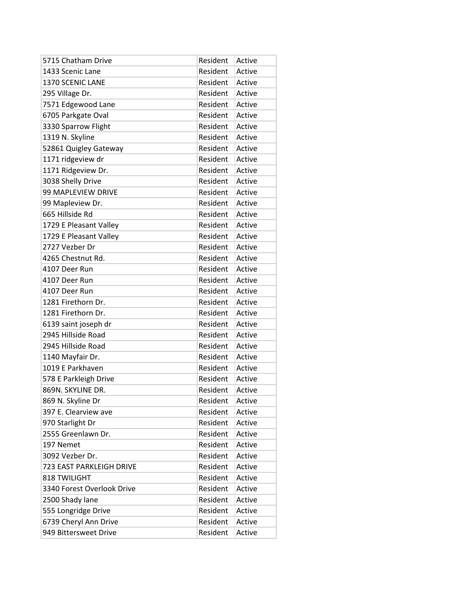| 1433 Scenic Lane<br>Resident<br>Active<br>1370 SCENIC LANE<br>Resident<br>Active<br>295 Village Dr.<br>Resident<br>Active<br>7571 Edgewood Lane<br>Resident<br>Active<br>6705 Parkgate Oval<br>Resident<br>Active<br>3330 Sparrow Flight<br>Resident<br>Active<br>1319 N. Skyline<br>Resident<br>Active<br>52861 Quigley Gateway<br>Resident<br>Active<br>1171 ridgeview dr<br>Resident<br>Active<br>1171 Ridgeview Dr.<br>Resident<br>Active<br>3038 Shelly Drive<br>Resident<br>Active<br>99 MAPLEVIEW DRIVE<br>Resident<br>Active<br>99 Mapleview Dr.<br>Resident<br>Active<br>665 Hillside Rd<br>Resident<br>Active<br>1729 E Pleasant Valley<br>Resident<br>Active<br>Resident<br>1729 E Pleasant Valley<br>Active<br>2727 Vezber Dr<br>Resident<br>Active<br>4265 Chestnut Rd.<br>Resident<br>Active<br>Resident<br>4107 Deer Run<br>Active<br>Resident<br>4107 Deer Run<br>Active<br>Resident<br>4107 Deer Run<br>Active<br>1281 Firethorn Dr.<br>Resident<br>Active<br>1281 Firethorn Dr.<br>Resident<br>Active<br>Resident<br>6139 saint joseph dr<br>Active<br>2945 Hillside Road<br>Resident<br>Active<br>2945 Hillside Road<br>Resident<br>Active<br>1140 Mayfair Dr.<br>Resident<br>Active<br>1019 E Parkhaven<br>Resident<br>Active<br>578 E Parkleigh Drive<br>Resident<br>Active<br>869N. SKYLINE DR.<br>Resident<br>Active |
|---------------------------------------------------------------------------------------------------------------------------------------------------------------------------------------------------------------------------------------------------------------------------------------------------------------------------------------------------------------------------------------------------------------------------------------------------------------------------------------------------------------------------------------------------------------------------------------------------------------------------------------------------------------------------------------------------------------------------------------------------------------------------------------------------------------------------------------------------------------------------------------------------------------------------------------------------------------------------------------------------------------------------------------------------------------------------------------------------------------------------------------------------------------------------------------------------------------------------------------------------------------------------------------------------------------------------------------------|
|                                                                                                                                                                                                                                                                                                                                                                                                                                                                                                                                                                                                                                                                                                                                                                                                                                                                                                                                                                                                                                                                                                                                                                                                                                                                                                                                             |
|                                                                                                                                                                                                                                                                                                                                                                                                                                                                                                                                                                                                                                                                                                                                                                                                                                                                                                                                                                                                                                                                                                                                                                                                                                                                                                                                             |
|                                                                                                                                                                                                                                                                                                                                                                                                                                                                                                                                                                                                                                                                                                                                                                                                                                                                                                                                                                                                                                                                                                                                                                                                                                                                                                                                             |
|                                                                                                                                                                                                                                                                                                                                                                                                                                                                                                                                                                                                                                                                                                                                                                                                                                                                                                                                                                                                                                                                                                                                                                                                                                                                                                                                             |
|                                                                                                                                                                                                                                                                                                                                                                                                                                                                                                                                                                                                                                                                                                                                                                                                                                                                                                                                                                                                                                                                                                                                                                                                                                                                                                                                             |
|                                                                                                                                                                                                                                                                                                                                                                                                                                                                                                                                                                                                                                                                                                                                                                                                                                                                                                                                                                                                                                                                                                                                                                                                                                                                                                                                             |
|                                                                                                                                                                                                                                                                                                                                                                                                                                                                                                                                                                                                                                                                                                                                                                                                                                                                                                                                                                                                                                                                                                                                                                                                                                                                                                                                             |
|                                                                                                                                                                                                                                                                                                                                                                                                                                                                                                                                                                                                                                                                                                                                                                                                                                                                                                                                                                                                                                                                                                                                                                                                                                                                                                                                             |
|                                                                                                                                                                                                                                                                                                                                                                                                                                                                                                                                                                                                                                                                                                                                                                                                                                                                                                                                                                                                                                                                                                                                                                                                                                                                                                                                             |
|                                                                                                                                                                                                                                                                                                                                                                                                                                                                                                                                                                                                                                                                                                                                                                                                                                                                                                                                                                                                                                                                                                                                                                                                                                                                                                                                             |
|                                                                                                                                                                                                                                                                                                                                                                                                                                                                                                                                                                                                                                                                                                                                                                                                                                                                                                                                                                                                                                                                                                                                                                                                                                                                                                                                             |
|                                                                                                                                                                                                                                                                                                                                                                                                                                                                                                                                                                                                                                                                                                                                                                                                                                                                                                                                                                                                                                                                                                                                                                                                                                                                                                                                             |
|                                                                                                                                                                                                                                                                                                                                                                                                                                                                                                                                                                                                                                                                                                                                                                                                                                                                                                                                                                                                                                                                                                                                                                                                                                                                                                                                             |
|                                                                                                                                                                                                                                                                                                                                                                                                                                                                                                                                                                                                                                                                                                                                                                                                                                                                                                                                                                                                                                                                                                                                                                                                                                                                                                                                             |
|                                                                                                                                                                                                                                                                                                                                                                                                                                                                                                                                                                                                                                                                                                                                                                                                                                                                                                                                                                                                                                                                                                                                                                                                                                                                                                                                             |
|                                                                                                                                                                                                                                                                                                                                                                                                                                                                                                                                                                                                                                                                                                                                                                                                                                                                                                                                                                                                                                                                                                                                                                                                                                                                                                                                             |
|                                                                                                                                                                                                                                                                                                                                                                                                                                                                                                                                                                                                                                                                                                                                                                                                                                                                                                                                                                                                                                                                                                                                                                                                                                                                                                                                             |
|                                                                                                                                                                                                                                                                                                                                                                                                                                                                                                                                                                                                                                                                                                                                                                                                                                                                                                                                                                                                                                                                                                                                                                                                                                                                                                                                             |
|                                                                                                                                                                                                                                                                                                                                                                                                                                                                                                                                                                                                                                                                                                                                                                                                                                                                                                                                                                                                                                                                                                                                                                                                                                                                                                                                             |
|                                                                                                                                                                                                                                                                                                                                                                                                                                                                                                                                                                                                                                                                                                                                                                                                                                                                                                                                                                                                                                                                                                                                                                                                                                                                                                                                             |
|                                                                                                                                                                                                                                                                                                                                                                                                                                                                                                                                                                                                                                                                                                                                                                                                                                                                                                                                                                                                                                                                                                                                                                                                                                                                                                                                             |
|                                                                                                                                                                                                                                                                                                                                                                                                                                                                                                                                                                                                                                                                                                                                                                                                                                                                                                                                                                                                                                                                                                                                                                                                                                                                                                                                             |
|                                                                                                                                                                                                                                                                                                                                                                                                                                                                                                                                                                                                                                                                                                                                                                                                                                                                                                                                                                                                                                                                                                                                                                                                                                                                                                                                             |
|                                                                                                                                                                                                                                                                                                                                                                                                                                                                                                                                                                                                                                                                                                                                                                                                                                                                                                                                                                                                                                                                                                                                                                                                                                                                                                                                             |
|                                                                                                                                                                                                                                                                                                                                                                                                                                                                                                                                                                                                                                                                                                                                                                                                                                                                                                                                                                                                                                                                                                                                                                                                                                                                                                                                             |
|                                                                                                                                                                                                                                                                                                                                                                                                                                                                                                                                                                                                                                                                                                                                                                                                                                                                                                                                                                                                                                                                                                                                                                                                                                                                                                                                             |
|                                                                                                                                                                                                                                                                                                                                                                                                                                                                                                                                                                                                                                                                                                                                                                                                                                                                                                                                                                                                                                                                                                                                                                                                                                                                                                                                             |
|                                                                                                                                                                                                                                                                                                                                                                                                                                                                                                                                                                                                                                                                                                                                                                                                                                                                                                                                                                                                                                                                                                                                                                                                                                                                                                                                             |
|                                                                                                                                                                                                                                                                                                                                                                                                                                                                                                                                                                                                                                                                                                                                                                                                                                                                                                                                                                                                                                                                                                                                                                                                                                                                                                                                             |
|                                                                                                                                                                                                                                                                                                                                                                                                                                                                                                                                                                                                                                                                                                                                                                                                                                                                                                                                                                                                                                                                                                                                                                                                                                                                                                                                             |
| 869 N. Skyline Dr<br>Resident<br>Active                                                                                                                                                                                                                                                                                                                                                                                                                                                                                                                                                                                                                                                                                                                                                                                                                                                                                                                                                                                                                                                                                                                                                                                                                                                                                                     |
| 397 E. Clearview ave<br>Resident<br>Active                                                                                                                                                                                                                                                                                                                                                                                                                                                                                                                                                                                                                                                                                                                                                                                                                                                                                                                                                                                                                                                                                                                                                                                                                                                                                                  |
| 970 Starlight Dr<br>Resident<br>Active                                                                                                                                                                                                                                                                                                                                                                                                                                                                                                                                                                                                                                                                                                                                                                                                                                                                                                                                                                                                                                                                                                                                                                                                                                                                                                      |
| 2555 Greenlawn Dr.<br>Resident<br>Active                                                                                                                                                                                                                                                                                                                                                                                                                                                                                                                                                                                                                                                                                                                                                                                                                                                                                                                                                                                                                                                                                                                                                                                                                                                                                                    |
| Resident<br>197 Nemet<br>Active                                                                                                                                                                                                                                                                                                                                                                                                                                                                                                                                                                                                                                                                                                                                                                                                                                                                                                                                                                                                                                                                                                                                                                                                                                                                                                             |
| Resident<br>3092 Vezber Dr.<br>Active                                                                                                                                                                                                                                                                                                                                                                                                                                                                                                                                                                                                                                                                                                                                                                                                                                                                                                                                                                                                                                                                                                                                                                                                                                                                                                       |
| 723 EAST PARKLEIGH DRIVE<br>Resident<br>Active                                                                                                                                                                                                                                                                                                                                                                                                                                                                                                                                                                                                                                                                                                                                                                                                                                                                                                                                                                                                                                                                                                                                                                                                                                                                                              |
| Resident<br>818 TWILIGHT<br>Active                                                                                                                                                                                                                                                                                                                                                                                                                                                                                                                                                                                                                                                                                                                                                                                                                                                                                                                                                                                                                                                                                                                                                                                                                                                                                                          |
| Resident<br>3340 Forest Overlook Drive<br>Active                                                                                                                                                                                                                                                                                                                                                                                                                                                                                                                                                                                                                                                                                                                                                                                                                                                                                                                                                                                                                                                                                                                                                                                                                                                                                            |
| Resident<br>2500 Shady lane<br>Active                                                                                                                                                                                                                                                                                                                                                                                                                                                                                                                                                                                                                                                                                                                                                                                                                                                                                                                                                                                                                                                                                                                                                                                                                                                                                                       |
| 555 Longridge Drive<br>Resident<br>Active                                                                                                                                                                                                                                                                                                                                                                                                                                                                                                                                                                                                                                                                                                                                                                                                                                                                                                                                                                                                                                                                                                                                                                                                                                                                                                   |
| 6739 Cheryl Ann Drive<br>Resident<br>Active                                                                                                                                                                                                                                                                                                                                                                                                                                                                                                                                                                                                                                                                                                                                                                                                                                                                                                                                                                                                                                                                                                                                                                                                                                                                                                 |
| Resident<br>949 Bittersweet Drive<br>Active                                                                                                                                                                                                                                                                                                                                                                                                                                                                                                                                                                                                                                                                                                                                                                                                                                                                                                                                                                                                                                                                                                                                                                                                                                                                                                 |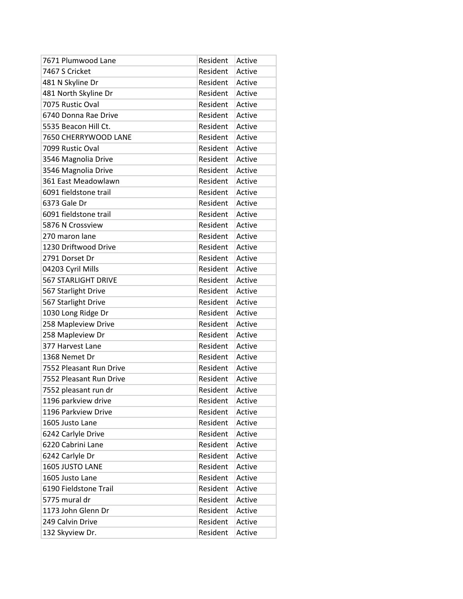| 7671 Plumwood Lane      | Resident | Active |
|-------------------------|----------|--------|
| 7467 S Cricket          | Resident | Active |
| 481 N Skyline Dr        | Resident | Active |
| 481 North Skyline Dr    | Resident | Active |
| 7075 Rustic Oval        | Resident | Active |
| 6740 Donna Rae Drive    | Resident | Active |
| 5535 Beacon Hill Ct.    | Resident | Active |
| 7650 CHERRYWOOD LANE    | Resident | Active |
| 7099 Rustic Oval        | Resident | Active |
| 3546 Magnolia Drive     | Resident | Active |
| 3546 Magnolia Drive     | Resident | Active |
| 361 East Meadowlawn     | Resident | Active |
| 6091 fieldstone trail   | Resident | Active |
| 6373 Gale Dr            | Resident | Active |
| 6091 fieldstone trail   | Resident | Active |
| 5876 N Crossview        | Resident | Active |
| 270 maron lane          | Resident | Active |
| 1230 Driftwood Drive    | Resident | Active |
| 2791 Dorset Dr          | Resident | Active |
| 04203 Cyril Mills       | Resident | Active |
| 567 STARLIGHT DRIVE     | Resident | Active |
| 567 Starlight Drive     | Resident | Active |
| 567 Starlight Drive     | Resident | Active |
| 1030 Long Ridge Dr      | Resident | Active |
| 258 Mapleview Drive     | Resident | Active |
| 258 Mapleview Dr        | Resident | Active |
| 377 Harvest Lane        | Resident | Active |
| 1368 Nemet Dr           | Resident | Active |
| 7552 Pleasant Run Drive | Resident | Active |
| 7552 Pleasant Run Drive | Resident | Active |
| 7552 pleasant run dr    | Resident | Active |
| 1196 parkview drive     | Resident | Active |
| 1196 Parkview Drive     | Resident | Active |
| 1605 Justo Lane         | Resident | Active |
| 6242 Carlyle Drive      | Resident | Active |
| 6220 Cabrini Lane       | Resident | Active |
| 6242 Carlyle Dr         | Resident | Active |
| 1605 JUSTO LANE         | Resident | Active |
| 1605 Justo Lane         | Resident | Active |
| 6190 Fieldstone Trail   | Resident | Active |
| 5775 mural dr           | Resident | Active |
| 1173 John Glenn Dr      | Resident | Active |
| 249 Calvin Drive        | Resident | Active |
| 132 Skyview Dr.         | Resident | Active |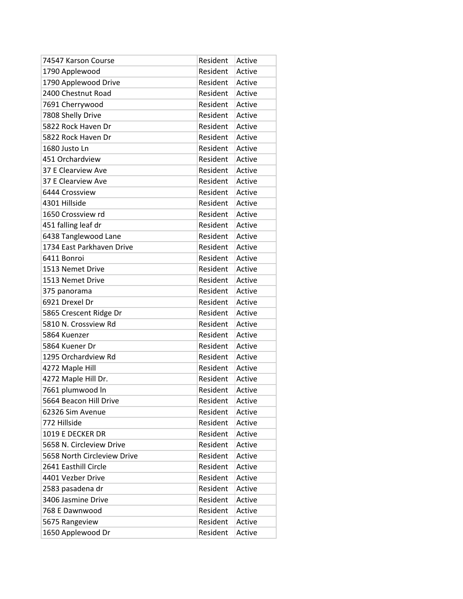| 74547 Karson Course         | Resident | Active |
|-----------------------------|----------|--------|
| 1790 Applewood              | Resident | Active |
| 1790 Applewood Drive        | Resident | Active |
| 2400 Chestnut Road          | Resident | Active |
| 7691 Cherrywood             | Resident | Active |
| 7808 Shelly Drive           | Resident | Active |
| 5822 Rock Haven Dr          | Resident | Active |
| 5822 Rock Haven Dr          | Resident | Active |
| 1680 Justo Ln               | Resident | Active |
| 451 Orchardview             | Resident | Active |
| 37 E Clearview Ave          | Resident | Active |
| 37 E Clearview Ave          | Resident | Active |
| 6444 Crossview              | Resident | Active |
| 4301 Hillside               | Resident | Active |
| 1650 Crossview rd           | Resident | Active |
| 451 falling leaf dr         | Resident | Active |
| 6438 Tanglewood Lane        | Resident | Active |
| 1734 East Parkhaven Drive   | Resident | Active |
| 6411 Bonroi                 | Resident | Active |
| 1513 Nemet Drive            | Resident | Active |
| 1513 Nemet Drive            | Resident | Active |
| 375 panorama                | Resident | Active |
| 6921 Drexel Dr              | Resident | Active |
| 5865 Crescent Ridge Dr      | Resident | Active |
| 5810 N. Crossview Rd        | Resident | Active |
| 5864 Kuenzer                | Resident | Active |
| 5864 Kuener Dr              | Resident | Active |
| 1295 Orchardview Rd         | Resident | Active |
| 4272 Maple Hill             | Resident | Active |
| 4272 Maple Hill Dr.         | Resident | Active |
| 7661 plumwood In            | Resident | Active |
| 5664 Beacon Hill Drive      | Resident | Active |
| 62326 Sim Avenue            | Resident | Active |
| 772 Hillside                | Resident | Active |
| 1019 E DECKER DR            | Resident | Active |
| 5658 N. Circleview Drive    | Resident | Active |
| 5658 North Circleview Drive | Resident | Active |
| 2641 Easthill Circle        | Resident | Active |
| 4401 Vezber Drive           | Resident | Active |
| 2583 pasadena dr            | Resident | Active |
| 3406 Jasmine Drive          | Resident | Active |
| 768 E Dawnwood              | Resident | Active |
| 5675 Rangeview              | Resident | Active |
| 1650 Applewood Dr           | Resident | Active |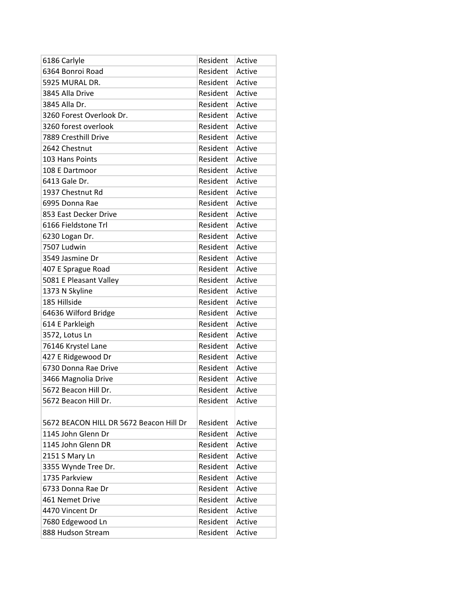| 6186 Carlyle                            | Resident | Active |
|-----------------------------------------|----------|--------|
| 6364 Bonroi Road                        | Resident | Active |
| 5925 MURAL DR.                          | Resident | Active |
| 3845 Alla Drive                         | Resident | Active |
| 3845 Alla Dr.                           | Resident | Active |
| 3260 Forest Overlook Dr.                | Resident | Active |
| 3260 forest overlook                    | Resident | Active |
| 7889 Cresthill Drive                    | Resident | Active |
| 2642 Chestnut                           | Resident | Active |
| 103 Hans Points                         | Resident | Active |
| 108 E Dartmoor                          | Resident | Active |
| 6413 Gale Dr.                           | Resident | Active |
| 1937 Chestnut Rd                        | Resident | Active |
| 6995 Donna Rae                          | Resident | Active |
| 853 East Decker Drive                   | Resident | Active |
| 6166 Fieldstone Trl                     | Resident | Active |
| 6230 Logan Dr.                          | Resident | Active |
| 7507 Ludwin                             | Resident | Active |
| 3549 Jasmine Dr                         | Resident | Active |
| 407 E Sprague Road                      | Resident | Active |
| 5081 E Pleasant Valley                  | Resident | Active |
| 1373 N Skyline                          | Resident | Active |
| 185 Hillside                            | Resident | Active |
| 64636 Wilford Bridge                    | Resident | Active |
| 614 E Parkleigh                         | Resident | Active |
| 3572, Lotus Ln                          | Resident | Active |
| 76146 Krystel Lane                      | Resident | Active |
| 427 E Ridgewood Dr                      | Resident | Active |
| 6730 Donna Rae Drive                    | Resident | Active |
| 3466 Magnolia Drive                     | Resident | Active |
| 5672 Beacon Hill Dr.                    | Resident | Active |
| 5672 Beacon Hill Dr.                    | Resident | Active |
|                                         |          |        |
| 5672 BEACON HILL DR 5672 Beacon Hill Dr | Resident | Active |
| 1145 John Glenn Dr                      | Resident | Active |
| 1145 John Glenn DR                      | Resident | Active |
| 2151 S Mary Ln                          | Resident | Active |
| 3355 Wynde Tree Dr.                     | Resident | Active |
| 1735 Parkview                           | Resident | Active |
| 6733 Donna Rae Dr                       | Resident | Active |
| 461 Nemet Drive                         | Resident | Active |
| 4470 Vincent Dr                         | Resident | Active |
|                                         |          |        |
| 7680 Edgewood Ln                        | Resident | Active |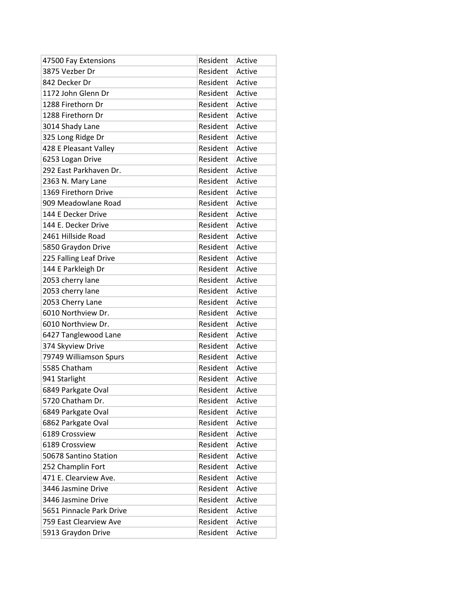| 47500 Fay Extensions     | Resident | Active |
|--------------------------|----------|--------|
| 3875 Vezber Dr           | Resident | Active |
| 842 Decker Dr            | Resident | Active |
| 1172 John Glenn Dr       | Resident | Active |
| 1288 Firethorn Dr        | Resident | Active |
| 1288 Firethorn Dr        | Resident | Active |
| 3014 Shady Lane          | Resident | Active |
| 325 Long Ridge Dr        | Resident | Active |
| 428 E Pleasant Valley    | Resident | Active |
| 6253 Logan Drive         | Resident | Active |
| 292 East Parkhaven Dr.   | Resident | Active |
| 2363 N. Mary Lane        | Resident | Active |
| 1369 Firethorn Drive     | Resident | Active |
| 909 Meadowlane Road      | Resident | Active |
| 144 E Decker Drive       | Resident | Active |
| 144 E. Decker Drive      | Resident | Active |
| 2461 Hillside Road       | Resident | Active |
| 5850 Graydon Drive       | Resident | Active |
| 225 Falling Leaf Drive   | Resident | Active |
| 144 E Parkleigh Dr       | Resident | Active |
| 2053 cherry lane         | Resident | Active |
| 2053 cherry lane         | Resident | Active |
| 2053 Cherry Lane         | Resident | Active |
| 6010 Northview Dr.       | Resident | Active |
| 6010 Northview Dr.       | Resident | Active |
| 6427 Tanglewood Lane     | Resident | Active |
| 374 Skyview Drive        | Resident | Active |
| 79749 Williamson Spurs   | Resident | Active |
| 5585 Chatham             | Resident | Active |
| 941 Starlight            | Resident | Active |
| 6849 Parkgate Oval       | Resident | Active |
| 5720 Chatham Dr.         | Resident | Active |
| 6849 Parkgate Oval       | Resident | Active |
| 6862 Parkgate Oval       | Resident | Active |
| 6189 Crossview           | Resident | Active |
| 6189 Crossview           | Resident | Active |
| 50678 Santino Station    | Resident | Active |
| 252 Champlin Fort        | Resident | Active |
| 471 E. Clearview Ave.    | Resident | Active |
| 3446 Jasmine Drive       | Resident | Active |
| 3446 Jasmine Drive       | Resident | Active |
| 5651 Pinnacle Park Drive | Resident | Active |
| 759 East Clearview Ave   | Resident | Active |
| 5913 Graydon Drive       | Resident | Active |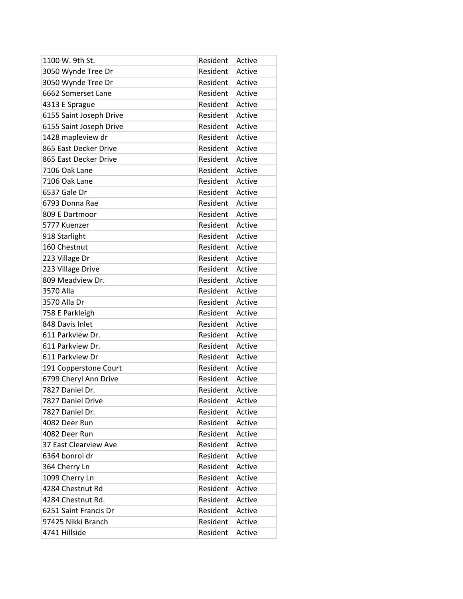| 1100 W. 9th St.         | Resident | Active |
|-------------------------|----------|--------|
| 3050 Wynde Tree Dr      | Resident | Active |
| 3050 Wynde Tree Dr      | Resident | Active |
| 6662 Somerset Lane      | Resident | Active |
| 4313 E Sprague          | Resident | Active |
| 6155 Saint Joseph Drive | Resident | Active |
| 6155 Saint Joseph Drive | Resident | Active |
| 1428 mapleview dr       | Resident | Active |
| 865 East Decker Drive   | Resident | Active |
| 865 East Decker Drive   | Resident | Active |
| 7106 Oak Lane           | Resident | Active |
| 7106 Oak Lane           | Resident | Active |
| 6537 Gale Dr            | Resident | Active |
| 6793 Donna Rae          | Resident | Active |
| 809 E Dartmoor          | Resident | Active |
| 5777 Kuenzer            | Resident | Active |
| 918 Starlight           | Resident | Active |
| 160 Chestnut            | Resident | Active |
| 223 Village Dr          | Resident | Active |
| 223 Village Drive       | Resident | Active |
| 809 Meadview Dr.        | Resident | Active |
| 3570 Alla               | Resident | Active |
| 3570 Alla Dr            | Resident | Active |
| 758 E Parkleigh         | Resident | Active |
| 848 Davis Inlet         | Resident | Active |
| 611 Parkview Dr.        | Resident | Active |
| 611 Parkview Dr.        | Resident | Active |
| 611 Parkview Dr         | Resident | Active |
| 191 Copperstone Court   | Resident | Active |
| 6799 Cheryl Ann Drive   | Resident | Active |
| 7827 Daniel Dr.         | Resident | Active |
| 7827 Daniel Drive       | Resident | Active |
| 7827 Daniel Dr.         | Resident | Active |
| 4082 Deer Run           | Resident | Active |
| 4082 Deer Run           | Resident | Active |
| 37 East Clearview Ave   | Resident | Active |
| 6364 bonroi dr          | Resident | Active |
| 364 Cherry Ln           | Resident | Active |
| 1099 Cherry Ln          | Resident | Active |
| 4284 Chestnut Rd        | Resident | Active |
| 4284 Chestnut Rd.       | Resident | Active |
| 6251 Saint Francis Dr   | Resident | Active |
| 97425 Nikki Branch      | Resident | Active |
| 4741 Hillside           | Resident | Active |
|                         |          |        |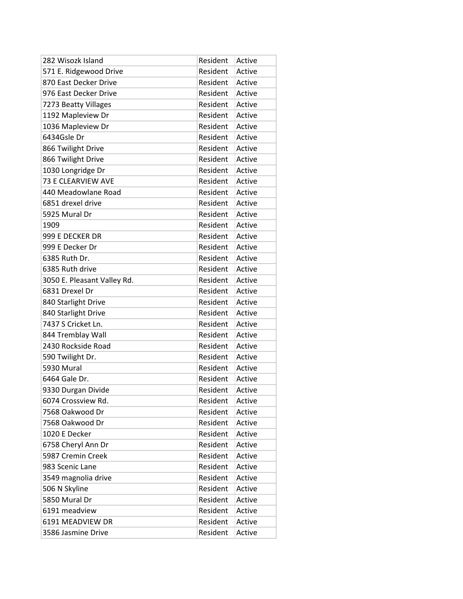| 282 Wisozk Island           | Resident | Active |
|-----------------------------|----------|--------|
| 571 E. Ridgewood Drive      | Resident | Active |
| 870 East Decker Drive       | Resident | Active |
| 976 East Decker Drive       | Resident | Active |
| 7273 Beatty Villages        | Resident | Active |
| 1192 Mapleview Dr           | Resident | Active |
| 1036 Mapleview Dr           | Resident | Active |
| 6434GsleDr                  | Resident | Active |
| 866 Twilight Drive          | Resident | Active |
| 866 Twilight Drive          | Resident | Active |
| 1030 Longridge Dr           | Resident | Active |
| 73 E CLEARVIEW AVE          | Resident | Active |
| 440 Meadowlane Road         | Resident | Active |
| 6851 drexel drive           | Resident | Active |
| 5925 Mural Dr               | Resident | Active |
| 1909                        | Resident | Active |
| 999 E DECKER DR             | Resident | Active |
| 999 E Decker Dr             | Resident | Active |
| 6385 Ruth Dr.               | Resident | Active |
| 6385 Ruth drive             | Resident | Active |
| 3050 E. Pleasant Valley Rd. | Resident | Active |
| 6831 Drexel Dr              | Resident | Active |
| 840 Starlight Drive         | Resident | Active |
| 840 Starlight Drive         | Resident | Active |
| 7437 S Cricket Ln.          | Resident | Active |
| 844 Tremblay Wall           | Resident | Active |
| 2430 Rockside Road          | Resident | Active |
| 590 Twilight Dr.            | Resident | Active |
| 5930 Mural                  | Resident | Active |
| 6464 Gale Dr.               | Resident | Active |
| 9330 Durgan Divide          | Resident | Active |
| 6074 Crossview Rd.          | Resident | Active |
| 7568 Oakwood Dr             | Resident | Active |
| 7568 Oakwood Dr             | Resident | Active |
| 1020 E Decker               | Resident | Active |
| 6758 Cheryl Ann Dr          | Resident | Active |
| 5987 Cremin Creek           | Resident | Active |
| 983 Scenic Lane             | Resident | Active |
| 3549 magnolia drive         | Resident | Active |
| 506 N Skyline               | Resident | Active |
| 5850 Mural Dr               | Resident | Active |
| 6191 meadview               | Resident | Active |
| 6191 MEADVIEW DR            | Resident | Active |
| 3586 Jasmine Drive          | Resident | Active |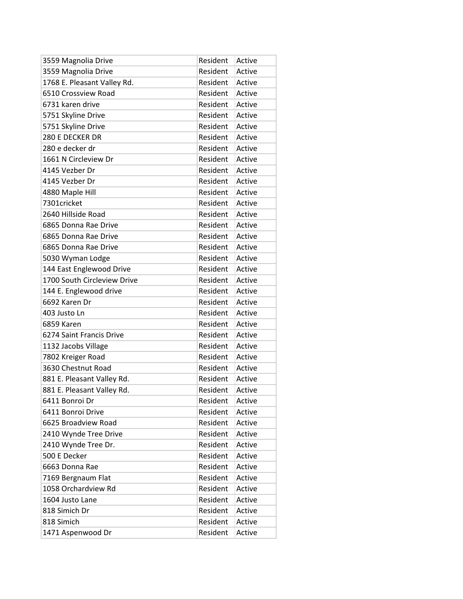| 3559 Magnolia Drive         | Resident | Active |
|-----------------------------|----------|--------|
| 3559 Magnolia Drive         | Resident | Active |
| 1768 E. Pleasant Valley Rd. | Resident | Active |
| 6510 Crossview Road         | Resident | Active |
| 6731 karen drive            | Resident | Active |
| 5751 Skyline Drive          | Resident | Active |
| 5751 Skyline Drive          | Resident | Active |
| 280 E DECKER DR             | Resident | Active |
| 280 e decker dr             | Resident | Active |
| 1661 N Circleview Dr        | Resident | Active |
| 4145 Vezber Dr              | Resident | Active |
| 4145 Vezber Dr              | Resident | Active |
| 4880 Maple Hill             | Resident | Active |
| 7301cricket                 | Resident | Active |
| 2640 Hillside Road          | Resident | Active |
| 6865 Donna Rae Drive        | Resident | Active |
| 6865 Donna Rae Drive        | Resident | Active |
| 6865 Donna Rae Drive        | Resident | Active |
| 5030 Wyman Lodge            | Resident | Active |
| 144 East Englewood Drive    | Resident | Active |
| 1700 South Circleview Drive | Resident | Active |
| 144 E. Englewood drive      | Resident | Active |
| 6692 Karen Dr               | Resident | Active |
| 403 Justo Ln                | Resident | Active |
| 6859 Karen                  | Resident | Active |
| 6274 Saint Francis Drive    | Resident | Active |
| 1132 Jacobs Village         | Resident | Active |
| 7802 Kreiger Road           | Resident | Active |
| 3630 Chestnut Road          | Resident | Active |
| 881 E. Pleasant Valley Rd.  | Resident | Active |
| 881 E. Pleasant Valley Rd.  | Resident | Active |
| 6411 Bonroi Dr              | Resident | Active |
| 6411 Bonroi Drive           | Resident | Active |
| 6625 Broadview Road         | Resident | Active |
| 2410 Wynde Tree Drive       | Resident | Active |
| 2410 Wynde Tree Dr.         | Resident | Active |
| 500 E Decker                | Resident | Active |
| 6663 Donna Rae              | Resident | Active |
| 7169 Bergnaum Flat          | Resident | Active |
| 1058 Orchardview Rd         | Resident | Active |
| 1604 Justo Lane             | Resident | Active |
| 818 Simich Dr               | Resident | Active |
| 818 Simich                  | Resident | Active |
| 1471 Aspenwood Dr           | Resident | Active |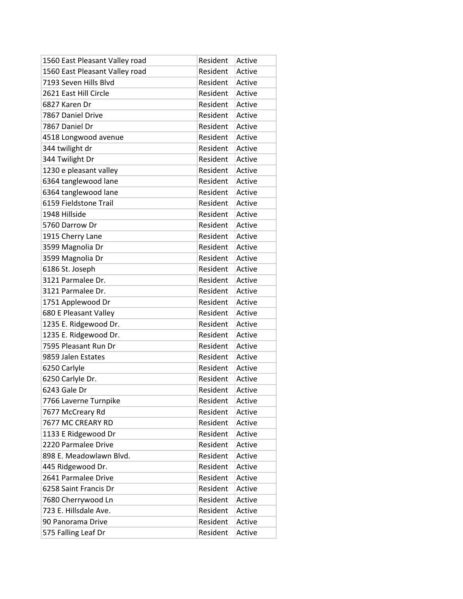| 1560 East Pleasant Valley road | Resident | Active |
|--------------------------------|----------|--------|
| 1560 East Pleasant Valley road | Resident | Active |
| 7193 Seven Hills Blvd          | Resident | Active |
| 2621 East Hill Circle          | Resident | Active |
| 6827 Karen Dr                  | Resident | Active |
| 7867 Daniel Drive              | Resident | Active |
| 7867 Daniel Dr                 | Resident | Active |
| 4518 Longwood avenue           | Resident | Active |
| 344 twilight dr                | Resident | Active |
| 344 Twilight Dr                | Resident | Active |
| 1230 e pleasant valley         | Resident | Active |
| 6364 tanglewood lane           | Resident | Active |
| 6364 tanglewood lane           | Resident | Active |
| 6159 Fieldstone Trail          | Resident | Active |
| 1948 Hillside                  | Resident | Active |
| 5760 Darrow Dr                 | Resident | Active |
| 1915 Cherry Lane               | Resident | Active |
| 3599 Magnolia Dr               | Resident | Active |
| 3599 Magnolia Dr               | Resident | Active |
| 6186 St. Joseph                | Resident | Active |
| 3121 Parmalee Dr.              | Resident | Active |
| 3121 Parmalee Dr.              | Resident | Active |
| 1751 Applewood Dr              | Resident | Active |
| 680 E Pleasant Valley          | Resident | Active |
| 1235 E. Ridgewood Dr.          | Resident | Active |
| 1235 E. Ridgewood Dr.          | Resident | Active |
| 7595 Pleasant Run Dr           | Resident | Active |
| 9859 Jalen Estates             | Resident | Active |
| 6250 Carlyle                   | Resident | Active |
| 6250 Carlyle Dr.               | Resident | Active |
| 6243 Gale Dr                   | Resident | Active |
| 7766 Laverne Turnpike          | Resident | Active |
| 7677 McCreary Rd               | Resident | Active |
| 7677 MC CREARY RD              | Resident | Active |
| 1133 E Ridgewood Dr            | Resident | Active |
| 2220 Parmalee Drive            | Resident | Active |
| 898 E. Meadowlawn Blvd.        | Resident | Active |
| 445 Ridgewood Dr.              | Resident | Active |
| 2641 Parmalee Drive            | Resident | Active |
| 6258 Saint Francis Dr          | Resident | Active |
| 7680 Cherrywood Ln             | Resident | Active |
| 723 E. Hillsdale Ave.          | Resident | Active |
| 90 Panorama Drive              | Resident | Active |
| 575 Falling Leaf Dr            | Resident | Active |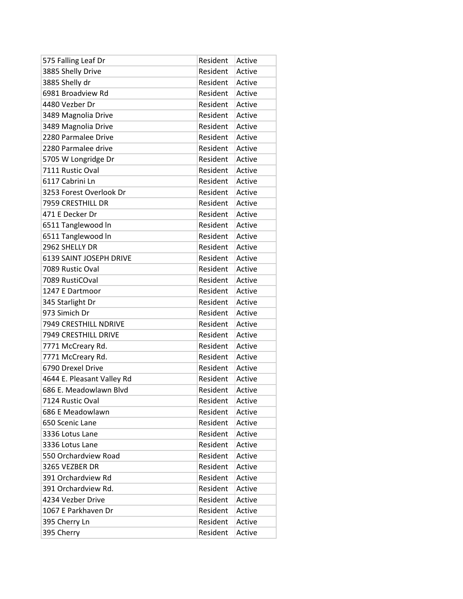| 575 Falling Leaf Dr        | Resident | Active |
|----------------------------|----------|--------|
| 3885 Shelly Drive          | Resident | Active |
| 3885 Shelly dr             | Resident | Active |
| 6981 Broadview Rd          | Resident | Active |
| 4480 Vezber Dr             | Resident | Active |
| 3489 Magnolia Drive        | Resident | Active |
| 3489 Magnolia Drive        | Resident | Active |
| 2280 Parmalee Drive        | Resident | Active |
| 2280 Parmalee drive        | Resident | Active |
| 5705 W Longridge Dr        | Resident | Active |
| 7111 Rustic Oval           | Resident | Active |
| 6117 Cabrini Ln            | Resident | Active |
| 3253 Forest Overlook Dr    | Resident | Active |
| 7959 CRESTHILL DR          | Resident | Active |
| 471 E Decker Dr            | Resident | Active |
| 6511 Tanglewood In         | Resident | Active |
| 6511 Tanglewood In         | Resident | Active |
| 2962 SHELLY DR             | Resident | Active |
| 6139 SAINT JOSEPH DRIVE    | Resident | Active |
| 7089 Rustic Oval           | Resident | Active |
| 7089 RustiCOval            | Resident | Active |
| 1247 E Dartmoor            | Resident | Active |
| 345 Starlight Dr           | Resident | Active |
| 973 Simich Dr              | Resident | Active |
| 7949 CRESTHILL NDRIVE      | Resident | Active |
| 7949 CRESTHILL DRIVE       | Resident | Active |
| 7771 McCreary Rd.          | Resident | Active |
| 7771 McCreary Rd.          | Resident | Active |
| 6790 Drexel Drive          | Resident | Active |
| 4644 E. Pleasant Valley Rd | Resident | Active |
| 686 E. Meadowlawn Blvd     | Resident | Active |
| 7124 Rustic Oval           | Resident | Active |
| 686 E Meadowlawn           | Resident | Active |
| 650 Scenic Lane            | Resident | Active |
| 3336 Lotus Lane            | Resident | Active |
| 3336 Lotus Lane            | Resident | Active |
| 550 Orchardview Road       | Resident | Active |
| 3265 VEZBER DR             | Resident | Active |
| 391 Orchardview Rd         | Resident | Active |
| 391 Orchardview Rd.        | Resident | Active |
| 4234 Vezber Drive          | Resident | Active |
| 1067 E Parkhaven Dr        | Resident | Active |
| 395 Cherry Ln              | Resident | Active |
| 395 Cherry                 | Resident | Active |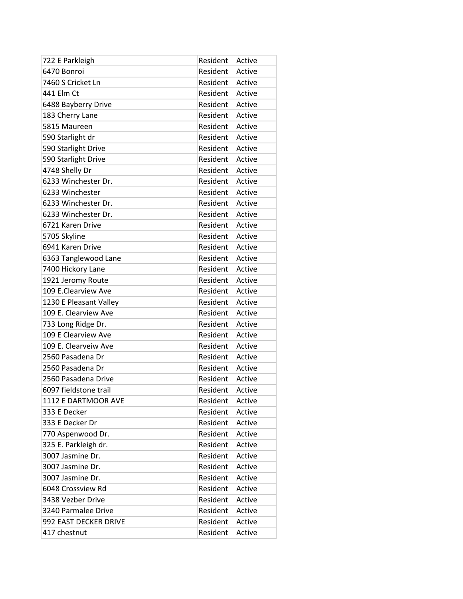| Resident | Active |
|----------|--------|
| Resident | Active |
| Resident | Active |
| Resident | Active |
| Resident | Active |
| Resident | Active |
| Resident | Active |
| Resident | Active |
| Resident | Active |
| Resident | Active |
| Resident | Active |
| Resident | Active |
| Resident | Active |
| Resident | Active |
| Resident | Active |
| Resident | Active |
| Resident | Active |
| Resident | Active |
| Resident | Active |
| Resident | Active |
| Resident | Active |
| Resident | Active |
| Resident | Active |
| Resident | Active |
| Resident | Active |
| Resident | Active |
| Resident | Active |
| Resident | Active |
| Resident | Active |
| Resident | Active |
| Resident | Active |
| Resident | Active |
| Resident | Active |
| Resident | Active |
| Resident | Active |
| Resident | Active |
| Resident | Active |
| Resident | Active |
| Resident | Active |
| Resident | Active |
| Resident | Active |
| Resident | Active |
| Resident | Active |
| Resident | Active |
|          |        |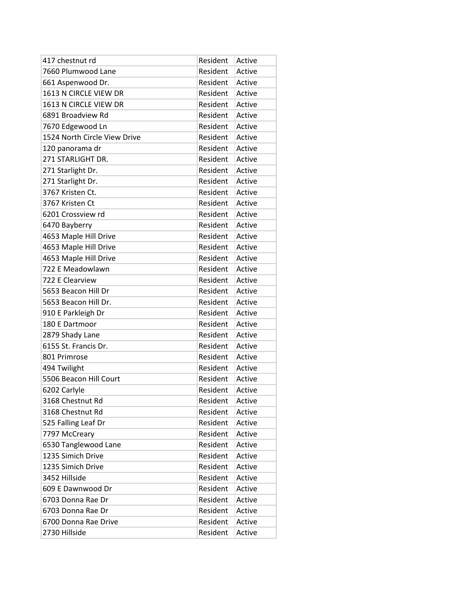| 417 chestnut rd              | Resident | Active |
|------------------------------|----------|--------|
| 7660 Plumwood Lane           | Resident | Active |
| 661 Aspenwood Dr.            | Resident | Active |
| 1613 N CIRCLE VIEW DR        | Resident | Active |
| 1613 N CIRCLE VIEW DR        | Resident | Active |
| 6891 Broadview Rd            | Resident | Active |
| 7670 Edgewood Ln             | Resident | Active |
| 1524 North Circle View Drive | Resident | Active |
| 120 panorama dr              | Resident | Active |
| 271 STARLIGHT DR.            | Resident | Active |
| 271 Starlight Dr.            | Resident | Active |
| 271 Starlight Dr.            | Resident | Active |
| 3767 Kristen Ct.             | Resident | Active |
| 3767 Kristen Ct              | Resident | Active |
| 6201 Crossview rd            | Resident | Active |
| 6470 Bayberry                | Resident | Active |
| 4653 Maple Hill Drive        | Resident | Active |
| 4653 Maple Hill Drive        | Resident | Active |
| 4653 Maple Hill Drive        | Resident | Active |
| 722 E Meadowlawn             | Resident | Active |
| 722 E Clearview              | Resident | Active |
| 5653 Beacon Hill Dr          | Resident | Active |
| 5653 Beacon Hill Dr.         | Resident | Active |
| 910 E Parkleigh Dr           | Resident | Active |
| 180 E Dartmoor               | Resident | Active |
| 2879 Shady Lane              | Resident | Active |
| 6155 St. Francis Dr.         | Resident | Active |
| 801 Primrose                 | Resident | Active |
| 494 Twilight                 | Resident | Active |
| 5506 Beacon Hill Court       | Resident | Active |
| 6202 Carlyle                 | Resident | Active |
| 3168 Chestnut Rd             | Resident | Active |
| 3168 Chestnut Rd             | Resident | Active |
| 525 Falling Leaf Dr          | Resident | Active |
| 7797 McCreary                | Resident | Active |
| 6530 Tanglewood Lane         | Resident | Active |
| 1235 Simich Drive            | Resident | Active |
| 1235 Simich Drive            | Resident | Active |
| 3452 Hillside                | Resident | Active |
| 609 E Dawnwood Dr            | Resident | Active |
| 6703 Donna Rae Dr            | Resident | Active |
| 6703 Donna Rae Dr            | Resident | Active |
| 6700 Donna Rae Drive         | Resident | Active |
| 2730 Hillside                | Resident | Active |
|                              |          |        |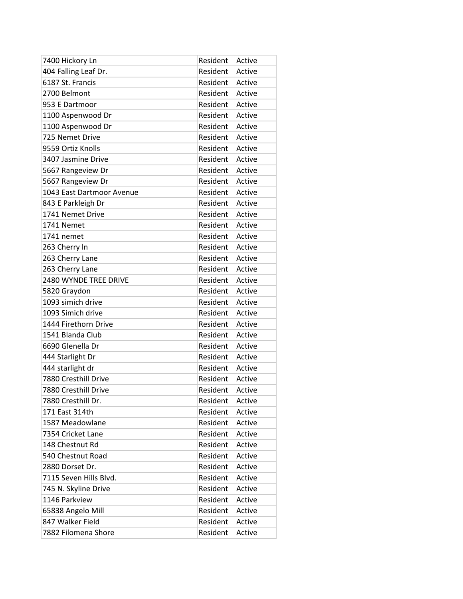| 7400 Hickory Ln           | Resident | Active |
|---------------------------|----------|--------|
| 404 Falling Leaf Dr.      | Resident | Active |
| 6187 St. Francis          | Resident | Active |
| 2700 Belmont              | Resident | Active |
| 953 E Dartmoor            | Resident | Active |
| 1100 Aspenwood Dr         | Resident | Active |
| 1100 Aspenwood Dr         | Resident | Active |
| 725 Nemet Drive           | Resident | Active |
| 9559 Ortiz Knolls         | Resident | Active |
| 3407 Jasmine Drive        | Resident | Active |
| 5667 Rangeview Dr         | Resident | Active |
| 5667 Rangeview Dr         | Resident | Active |
| 1043 East Dartmoor Avenue | Resident | Active |
| 843 E Parkleigh Dr        | Resident | Active |
| 1741 Nemet Drive          | Resident | Active |
| 1741 Nemet                | Resident | Active |
| 1741 nemet                | Resident | Active |
| 263 Cherry In             | Resident | Active |
| 263 Cherry Lane           | Resident | Active |
| 263 Cherry Lane           | Resident | Active |
| 2480 WYNDE TREE DRIVE     | Resident | Active |
| 5820 Graydon              | Resident | Active |
| 1093 simich drive         | Resident | Active |
| 1093 Simich drive         | Resident | Active |
| 1444 Firethorn Drive      | Resident | Active |
| 1541 Blanda Club          | Resident | Active |
| 6690 Glenella Dr          | Resident | Active |
| 444 Starlight Dr          | Resident | Active |
| 444 starlight dr          | Resident | Active |
| 7880 Cresthill Drive      | Resident | Active |
| 7880 Cresthill Drive      | Resident | Active |
| 7880 Cresthill Dr.        | Resident | Active |
| 171 East 314th            | Resident | Active |
| 1587 Meadowlane           | Resident | Active |
| 7354 Cricket Lane         | Resident | Active |
| 148 Chestnut Rd           | Resident | Active |
| 540 Chestnut Road         | Resident | Active |
| 2880 Dorset Dr.           | Resident | Active |
| 7115 Seven Hills Blvd.    | Resident | Active |
| 745 N. Skyline Drive      | Resident | Active |
| 1146 Parkview             | Resident | Active |
| 65838 Angelo Mill         | Resident | Active |
| 847 Walker Field          | Resident | Active |
| 7882 Filomena Shore       | Resident | Active |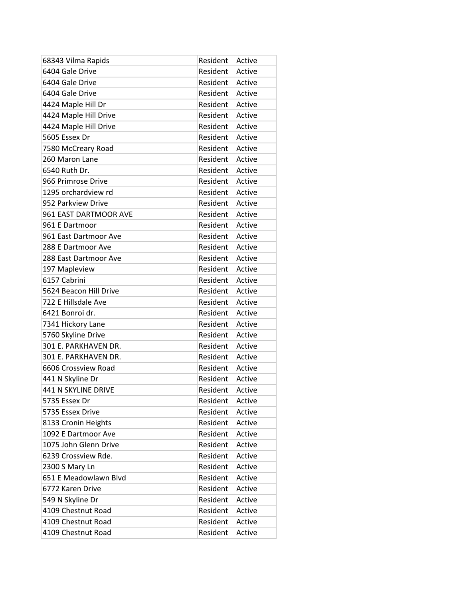| Resident<br>6404 Gale Drive<br>Active<br>6404 Gale Drive<br>Resident<br>Active<br>Resident<br>6404 Gale Drive<br>Active<br>4424 Maple Hill Dr<br>Resident<br>Active<br>4424 Maple Hill Drive<br>Resident<br>Active<br>4424 Maple Hill Drive<br>Resident<br>Active<br>5605 Essex Dr<br>Resident<br>Active<br>7580 McCreary Road<br>Resident<br>Active<br>Resident<br>260 Maron Lane<br>Active<br>6540 Ruth Dr.<br>Resident<br>Active<br>Resident<br>966 Primrose Drive<br>Active<br>Resident<br>1295 orchardview rd<br>Active<br>Resident<br>952 Parkview Drive<br>Active<br>Resident<br>961 EAST DARTMOOR AVE<br>Active<br>Resident<br>961 E Dartmoor<br>Active<br>961 East Dartmoor Ave<br>Resident<br>Active<br>Resident<br>288 E Dartmoor Ave<br>Active<br>Resident<br>288 East Dartmoor Ave<br>Active<br>197 Mapleview<br>Resident<br>Active<br>6157 Cabrini<br>Resident<br>Active<br>5624 Beacon Hill Drive<br>Resident<br>Active<br>722 E Hillsdale Ave<br>Resident<br>Active<br>6421 Bonroi dr.<br>Resident<br>Active<br>Resident<br>7341 Hickory Lane<br>Active<br>5760 Skyline Drive<br>Resident<br>Active<br>301 E. PARKHAVEN DR.<br>Resident<br>Active<br>301 E. PARKHAVEN DR.<br>Resident<br>Active<br>6606 Crossview Road<br>Resident<br>Active<br>441 N Skyline Dr<br>Resident<br>Active<br>441 N SKYLINE DRIVE<br>Resident<br>Active<br>5735 Essex Dr<br>Resident<br>Active<br>Resident<br>5735 Essex Drive<br>Active<br>Resident<br>8133 Cronin Heights<br>Active<br>Resident<br>1092 E Dartmoor Ave<br>Active<br>1075 John Glenn Drive<br>Resident<br>Active<br>6239 Crossview Rde.<br>Resident<br>Active<br>Resident<br>2300 S Mary Ln<br>Active<br>651 E Meadowlawn Blvd<br>Resident<br>Active<br>Resident<br>6772 Karen Drive<br>Active<br>549 N Skyline Dr<br>Resident<br>Active<br>4109 Chestnut Road<br>Resident<br>Active<br>4109 Chestnut Road<br>Resident<br>Active<br>Resident<br>4109 Chestnut Road<br>Active | 68343 Vilma Rapids | Resident | Active |
|-------------------------------------------------------------------------------------------------------------------------------------------------------------------------------------------------------------------------------------------------------------------------------------------------------------------------------------------------------------------------------------------------------------------------------------------------------------------------------------------------------------------------------------------------------------------------------------------------------------------------------------------------------------------------------------------------------------------------------------------------------------------------------------------------------------------------------------------------------------------------------------------------------------------------------------------------------------------------------------------------------------------------------------------------------------------------------------------------------------------------------------------------------------------------------------------------------------------------------------------------------------------------------------------------------------------------------------------------------------------------------------------------------------------------------------------------------------------------------------------------------------------------------------------------------------------------------------------------------------------------------------------------------------------------------------------------------------------------------------------------------------------------------------------------------------------------------------------------------------------------------------------------------------------------------------------|--------------------|----------|--------|
|                                                                                                                                                                                                                                                                                                                                                                                                                                                                                                                                                                                                                                                                                                                                                                                                                                                                                                                                                                                                                                                                                                                                                                                                                                                                                                                                                                                                                                                                                                                                                                                                                                                                                                                                                                                                                                                                                                                                           |                    |          |        |
|                                                                                                                                                                                                                                                                                                                                                                                                                                                                                                                                                                                                                                                                                                                                                                                                                                                                                                                                                                                                                                                                                                                                                                                                                                                                                                                                                                                                                                                                                                                                                                                                                                                                                                                                                                                                                                                                                                                                           |                    |          |        |
|                                                                                                                                                                                                                                                                                                                                                                                                                                                                                                                                                                                                                                                                                                                                                                                                                                                                                                                                                                                                                                                                                                                                                                                                                                                                                                                                                                                                                                                                                                                                                                                                                                                                                                                                                                                                                                                                                                                                           |                    |          |        |
|                                                                                                                                                                                                                                                                                                                                                                                                                                                                                                                                                                                                                                                                                                                                                                                                                                                                                                                                                                                                                                                                                                                                                                                                                                                                                                                                                                                                                                                                                                                                                                                                                                                                                                                                                                                                                                                                                                                                           |                    |          |        |
|                                                                                                                                                                                                                                                                                                                                                                                                                                                                                                                                                                                                                                                                                                                                                                                                                                                                                                                                                                                                                                                                                                                                                                                                                                                                                                                                                                                                                                                                                                                                                                                                                                                                                                                                                                                                                                                                                                                                           |                    |          |        |
|                                                                                                                                                                                                                                                                                                                                                                                                                                                                                                                                                                                                                                                                                                                                                                                                                                                                                                                                                                                                                                                                                                                                                                                                                                                                                                                                                                                                                                                                                                                                                                                                                                                                                                                                                                                                                                                                                                                                           |                    |          |        |
|                                                                                                                                                                                                                                                                                                                                                                                                                                                                                                                                                                                                                                                                                                                                                                                                                                                                                                                                                                                                                                                                                                                                                                                                                                                                                                                                                                                                                                                                                                                                                                                                                                                                                                                                                                                                                                                                                                                                           |                    |          |        |
|                                                                                                                                                                                                                                                                                                                                                                                                                                                                                                                                                                                                                                                                                                                                                                                                                                                                                                                                                                                                                                                                                                                                                                                                                                                                                                                                                                                                                                                                                                                                                                                                                                                                                                                                                                                                                                                                                                                                           |                    |          |        |
|                                                                                                                                                                                                                                                                                                                                                                                                                                                                                                                                                                                                                                                                                                                                                                                                                                                                                                                                                                                                                                                                                                                                                                                                                                                                                                                                                                                                                                                                                                                                                                                                                                                                                                                                                                                                                                                                                                                                           |                    |          |        |
|                                                                                                                                                                                                                                                                                                                                                                                                                                                                                                                                                                                                                                                                                                                                                                                                                                                                                                                                                                                                                                                                                                                                                                                                                                                                                                                                                                                                                                                                                                                                                                                                                                                                                                                                                                                                                                                                                                                                           |                    |          |        |
|                                                                                                                                                                                                                                                                                                                                                                                                                                                                                                                                                                                                                                                                                                                                                                                                                                                                                                                                                                                                                                                                                                                                                                                                                                                                                                                                                                                                                                                                                                                                                                                                                                                                                                                                                                                                                                                                                                                                           |                    |          |        |
|                                                                                                                                                                                                                                                                                                                                                                                                                                                                                                                                                                                                                                                                                                                                                                                                                                                                                                                                                                                                                                                                                                                                                                                                                                                                                                                                                                                                                                                                                                                                                                                                                                                                                                                                                                                                                                                                                                                                           |                    |          |        |
|                                                                                                                                                                                                                                                                                                                                                                                                                                                                                                                                                                                                                                                                                                                                                                                                                                                                                                                                                                                                                                                                                                                                                                                                                                                                                                                                                                                                                                                                                                                                                                                                                                                                                                                                                                                                                                                                                                                                           |                    |          |        |
|                                                                                                                                                                                                                                                                                                                                                                                                                                                                                                                                                                                                                                                                                                                                                                                                                                                                                                                                                                                                                                                                                                                                                                                                                                                                                                                                                                                                                                                                                                                                                                                                                                                                                                                                                                                                                                                                                                                                           |                    |          |        |
|                                                                                                                                                                                                                                                                                                                                                                                                                                                                                                                                                                                                                                                                                                                                                                                                                                                                                                                                                                                                                                                                                                                                                                                                                                                                                                                                                                                                                                                                                                                                                                                                                                                                                                                                                                                                                                                                                                                                           |                    |          |        |
|                                                                                                                                                                                                                                                                                                                                                                                                                                                                                                                                                                                                                                                                                                                                                                                                                                                                                                                                                                                                                                                                                                                                                                                                                                                                                                                                                                                                                                                                                                                                                                                                                                                                                                                                                                                                                                                                                                                                           |                    |          |        |
|                                                                                                                                                                                                                                                                                                                                                                                                                                                                                                                                                                                                                                                                                                                                                                                                                                                                                                                                                                                                                                                                                                                                                                                                                                                                                                                                                                                                                                                                                                                                                                                                                                                                                                                                                                                                                                                                                                                                           |                    |          |        |
|                                                                                                                                                                                                                                                                                                                                                                                                                                                                                                                                                                                                                                                                                                                                                                                                                                                                                                                                                                                                                                                                                                                                                                                                                                                                                                                                                                                                                                                                                                                                                                                                                                                                                                                                                                                                                                                                                                                                           |                    |          |        |
|                                                                                                                                                                                                                                                                                                                                                                                                                                                                                                                                                                                                                                                                                                                                                                                                                                                                                                                                                                                                                                                                                                                                                                                                                                                                                                                                                                                                                                                                                                                                                                                                                                                                                                                                                                                                                                                                                                                                           |                    |          |        |
|                                                                                                                                                                                                                                                                                                                                                                                                                                                                                                                                                                                                                                                                                                                                                                                                                                                                                                                                                                                                                                                                                                                                                                                                                                                                                                                                                                                                                                                                                                                                                                                                                                                                                                                                                                                                                                                                                                                                           |                    |          |        |
|                                                                                                                                                                                                                                                                                                                                                                                                                                                                                                                                                                                                                                                                                                                                                                                                                                                                                                                                                                                                                                                                                                                                                                                                                                                                                                                                                                                                                                                                                                                                                                                                                                                                                                                                                                                                                                                                                                                                           |                    |          |        |
|                                                                                                                                                                                                                                                                                                                                                                                                                                                                                                                                                                                                                                                                                                                                                                                                                                                                                                                                                                                                                                                                                                                                                                                                                                                                                                                                                                                                                                                                                                                                                                                                                                                                                                                                                                                                                                                                                                                                           |                    |          |        |
|                                                                                                                                                                                                                                                                                                                                                                                                                                                                                                                                                                                                                                                                                                                                                                                                                                                                                                                                                                                                                                                                                                                                                                                                                                                                                                                                                                                                                                                                                                                                                                                                                                                                                                                                                                                                                                                                                                                                           |                    |          |        |
|                                                                                                                                                                                                                                                                                                                                                                                                                                                                                                                                                                                                                                                                                                                                                                                                                                                                                                                                                                                                                                                                                                                                                                                                                                                                                                                                                                                                                                                                                                                                                                                                                                                                                                                                                                                                                                                                                                                                           |                    |          |        |
|                                                                                                                                                                                                                                                                                                                                                                                                                                                                                                                                                                                                                                                                                                                                                                                                                                                                                                                                                                                                                                                                                                                                                                                                                                                                                                                                                                                                                                                                                                                                                                                                                                                                                                                                                                                                                                                                                                                                           |                    |          |        |
|                                                                                                                                                                                                                                                                                                                                                                                                                                                                                                                                                                                                                                                                                                                                                                                                                                                                                                                                                                                                                                                                                                                                                                                                                                                                                                                                                                                                                                                                                                                                                                                                                                                                                                                                                                                                                                                                                                                                           |                    |          |        |
|                                                                                                                                                                                                                                                                                                                                                                                                                                                                                                                                                                                                                                                                                                                                                                                                                                                                                                                                                                                                                                                                                                                                                                                                                                                                                                                                                                                                                                                                                                                                                                                                                                                                                                                                                                                                                                                                                                                                           |                    |          |        |
|                                                                                                                                                                                                                                                                                                                                                                                                                                                                                                                                                                                                                                                                                                                                                                                                                                                                                                                                                                                                                                                                                                                                                                                                                                                                                                                                                                                                                                                                                                                                                                                                                                                                                                                                                                                                                                                                                                                                           |                    |          |        |
|                                                                                                                                                                                                                                                                                                                                                                                                                                                                                                                                                                                                                                                                                                                                                                                                                                                                                                                                                                                                                                                                                                                                                                                                                                                                                                                                                                                                                                                                                                                                                                                                                                                                                                                                                                                                                                                                                                                                           |                    |          |        |
|                                                                                                                                                                                                                                                                                                                                                                                                                                                                                                                                                                                                                                                                                                                                                                                                                                                                                                                                                                                                                                                                                                                                                                                                                                                                                                                                                                                                                                                                                                                                                                                                                                                                                                                                                                                                                                                                                                                                           |                    |          |        |
|                                                                                                                                                                                                                                                                                                                                                                                                                                                                                                                                                                                                                                                                                                                                                                                                                                                                                                                                                                                                                                                                                                                                                                                                                                                                                                                                                                                                                                                                                                                                                                                                                                                                                                                                                                                                                                                                                                                                           |                    |          |        |
|                                                                                                                                                                                                                                                                                                                                                                                                                                                                                                                                                                                                                                                                                                                                                                                                                                                                                                                                                                                                                                                                                                                                                                                                                                                                                                                                                                                                                                                                                                                                                                                                                                                                                                                                                                                                                                                                                                                                           |                    |          |        |
|                                                                                                                                                                                                                                                                                                                                                                                                                                                                                                                                                                                                                                                                                                                                                                                                                                                                                                                                                                                                                                                                                                                                                                                                                                                                                                                                                                                                                                                                                                                                                                                                                                                                                                                                                                                                                                                                                                                                           |                    |          |        |
|                                                                                                                                                                                                                                                                                                                                                                                                                                                                                                                                                                                                                                                                                                                                                                                                                                                                                                                                                                                                                                                                                                                                                                                                                                                                                                                                                                                                                                                                                                                                                                                                                                                                                                                                                                                                                                                                                                                                           |                    |          |        |
|                                                                                                                                                                                                                                                                                                                                                                                                                                                                                                                                                                                                                                                                                                                                                                                                                                                                                                                                                                                                                                                                                                                                                                                                                                                                                                                                                                                                                                                                                                                                                                                                                                                                                                                                                                                                                                                                                                                                           |                    |          |        |
|                                                                                                                                                                                                                                                                                                                                                                                                                                                                                                                                                                                                                                                                                                                                                                                                                                                                                                                                                                                                                                                                                                                                                                                                                                                                                                                                                                                                                                                                                                                                                                                                                                                                                                                                                                                                                                                                                                                                           |                    |          |        |
|                                                                                                                                                                                                                                                                                                                                                                                                                                                                                                                                                                                                                                                                                                                                                                                                                                                                                                                                                                                                                                                                                                                                                                                                                                                                                                                                                                                                                                                                                                                                                                                                                                                                                                                                                                                                                                                                                                                                           |                    |          |        |
|                                                                                                                                                                                                                                                                                                                                                                                                                                                                                                                                                                                                                                                                                                                                                                                                                                                                                                                                                                                                                                                                                                                                                                                                                                                                                                                                                                                                                                                                                                                                                                                                                                                                                                                                                                                                                                                                                                                                           |                    |          |        |
|                                                                                                                                                                                                                                                                                                                                                                                                                                                                                                                                                                                                                                                                                                                                                                                                                                                                                                                                                                                                                                                                                                                                                                                                                                                                                                                                                                                                                                                                                                                                                                                                                                                                                                                                                                                                                                                                                                                                           |                    |          |        |
|                                                                                                                                                                                                                                                                                                                                                                                                                                                                                                                                                                                                                                                                                                                                                                                                                                                                                                                                                                                                                                                                                                                                                                                                                                                                                                                                                                                                                                                                                                                                                                                                                                                                                                                                                                                                                                                                                                                                           |                    |          |        |
|                                                                                                                                                                                                                                                                                                                                                                                                                                                                                                                                                                                                                                                                                                                                                                                                                                                                                                                                                                                                                                                                                                                                                                                                                                                                                                                                                                                                                                                                                                                                                                                                                                                                                                                                                                                                                                                                                                                                           |                    |          |        |
|                                                                                                                                                                                                                                                                                                                                                                                                                                                                                                                                                                                                                                                                                                                                                                                                                                                                                                                                                                                                                                                                                                                                                                                                                                                                                                                                                                                                                                                                                                                                                                                                                                                                                                                                                                                                                                                                                                                                           |                    |          |        |
|                                                                                                                                                                                                                                                                                                                                                                                                                                                                                                                                                                                                                                                                                                                                                                                                                                                                                                                                                                                                                                                                                                                                                                                                                                                                                                                                                                                                                                                                                                                                                                                                                                                                                                                                                                                                                                                                                                                                           |                    |          |        |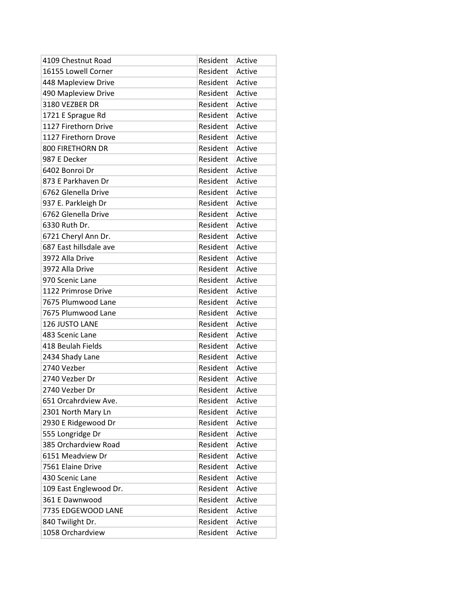| 4109 Chestnut Road      | Resident | Active |
|-------------------------|----------|--------|
| 16155 Lowell Corner     | Resident | Active |
| 448 Mapleview Drive     | Resident | Active |
| 490 Mapleview Drive     | Resident | Active |
| 3180 VEZBER DR          | Resident | Active |
| 1721 E Sprague Rd       | Resident | Active |
| 1127 Firethorn Drive    | Resident | Active |
| 1127 Firethorn Drove    | Resident | Active |
| <b>800 FIRETHORN DR</b> | Resident | Active |
| 987 E Decker            | Resident | Active |
| 6402 Bonroi Dr          | Resident | Active |
| 873 E Parkhaven Dr      | Resident | Active |
| 6762 Glenella Drive     | Resident | Active |
| 937 E. Parkleigh Dr     | Resident | Active |
| 6762 Glenella Drive     | Resident | Active |
| 6330 Ruth Dr.           | Resident | Active |
| 6721 Cheryl Ann Dr.     | Resident | Active |
| 687 East hillsdale ave  | Resident | Active |
| 3972 Alla Drive         | Resident | Active |
| 3972 Alla Drive         | Resident | Active |
| 970 Scenic Lane         | Resident | Active |
| 1122 Primrose Drive     | Resident | Active |
| 7675 Plumwood Lane      | Resident | Active |
| 7675 Plumwood Lane      | Resident | Active |
| 126 JUSTO LANE          | Resident | Active |
| 483 Scenic Lane         | Resident | Active |
| 418 Beulah Fields       | Resident | Active |
| 2434 Shady Lane         | Resident | Active |
| 2740 Vezber             | Resident | Active |
| 2740 Vezber Dr          | Resident | Active |
| 2740 Vezber Dr          | Resident | Active |
| 651 Orcahrdview Ave.    | Resident | Active |
| 2301 North Mary Ln      | Resident | Active |
| 2930 E Ridgewood Dr     | Resident | Active |
| 555 Longridge Dr        | Resident | Active |
| 385 Orchardview Road    | Resident | Active |
| 6151 Meadview Dr        | Resident | Active |
| 7561 Elaine Drive       | Resident | Active |
| 430 Scenic Lane         | Resident | Active |
| 109 East Englewood Dr.  | Resident | Active |
| 361 E Dawnwood          | Resident | Active |
| 7735 EDGEWOOD LANE      | Resident | Active |
| 840 Twilight Dr.        | Resident | Active |
| 1058 Orchardview        | Resident | Active |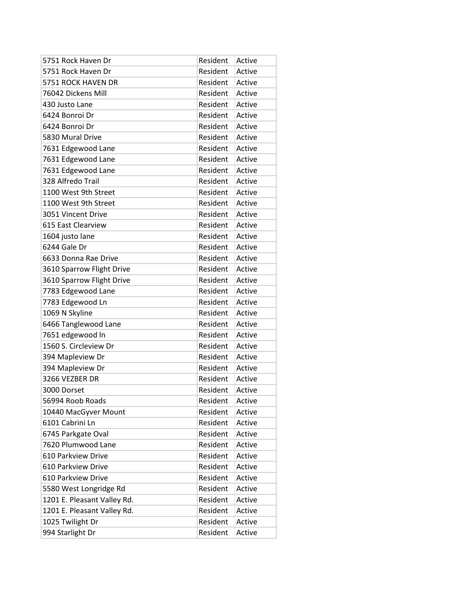| 5751 Rock Haven Dr          | Resident | Active |
|-----------------------------|----------|--------|
| 5751 Rock Haven Dr          | Resident | Active |
| 5751 ROCK HAVEN DR          | Resident | Active |
| 76042 Dickens Mill          | Resident | Active |
| 430 Justo Lane              | Resident | Active |
| 6424 Bonroi Dr              | Resident | Active |
| 6424 Bonroi Dr              | Resident | Active |
| 5830 Mural Drive            | Resident | Active |
| 7631 Edgewood Lane          | Resident | Active |
| 7631 Edgewood Lane          | Resident | Active |
| 7631 Edgewood Lane          | Resident | Active |
| 328 Alfredo Trail           | Resident | Active |
| 1100 West 9th Street        | Resident | Active |
| 1100 West 9th Street        | Resident | Active |
| 3051 Vincent Drive          | Resident | Active |
| 615 East Clearview          | Resident | Active |
| 1604 justo lane             | Resident | Active |
| 6244 Gale Dr                | Resident | Active |
| 6633 Donna Rae Drive        | Resident | Active |
| 3610 Sparrow Flight Drive   | Resident | Active |
| 3610 Sparrow Flight Drive   | Resident | Active |
| 7783 Edgewood Lane          | Resident | Active |
| 7783 Edgewood Ln            | Resident | Active |
| 1069 N Skyline              | Resident | Active |
| 6466 Tanglewood Lane        | Resident | Active |
| 7651 edgewood In            | Resident | Active |
| 1560 S. Circleview Dr       | Resident | Active |
| 394 Mapleview Dr            | Resident | Active |
| 394 Mapleview Dr            | Resident | Active |
| 3266 VEZBER DR              | Resident | Active |
| 3000 Dorset                 | Resident | Active |
| 56994 Roob Roads            | Resident | Active |
| 10440 MacGyver Mount        | Resident | Active |
| 6101 Cabrini Ln             | Resident | Active |
| 6745 Parkgate Oval          | Resident | Active |
| 7620 Plumwood Lane          | Resident | Active |
| 610 Parkview Drive          | Resident | Active |
| 610 Parkview Drive          | Resident | Active |
| 610 Parkview Drive          | Resident | Active |
| 5580 West Longridge Rd      | Resident | Active |
| 1201 E. Pleasant Valley Rd. | Resident | Active |
| 1201 E. Pleasant Valley Rd. | Resident | Active |
| 1025 Twilight Dr            | Resident | Active |
| 994 Starlight Dr            | Resident | Active |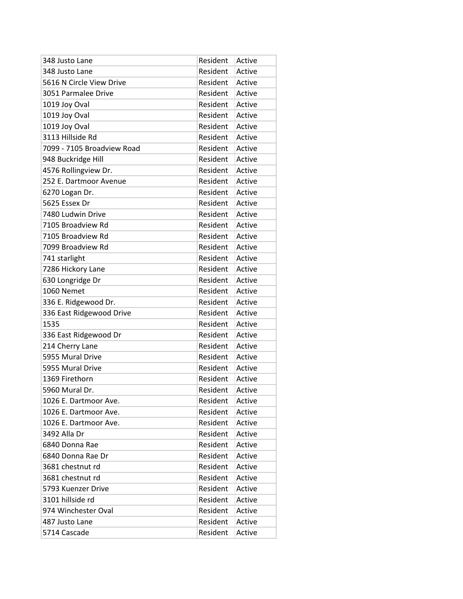| 348 Justo Lane             | Resident | Active |
|----------------------------|----------|--------|
| 348 Justo Lane             | Resident | Active |
| 5616 N Circle View Drive   | Resident | Active |
| 3051 Parmalee Drive        | Resident | Active |
| 1019 Joy Oval              | Resident | Active |
| 1019 Joy Oval              | Resident | Active |
| 1019 Joy Oval              | Resident | Active |
| 3113 Hillside Rd           | Resident | Active |
| 7099 - 7105 Broadview Road | Resident | Active |
| 948 Buckridge Hill         | Resident | Active |
| 4576 Rollingview Dr.       | Resident | Active |
| 252 E. Dartmoor Avenue     | Resident | Active |
| 6270 Logan Dr.             | Resident | Active |
| 5625 Essex Dr              | Resident | Active |
| 7480 Ludwin Drive          | Resident | Active |
| 7105 Broadview Rd          | Resident | Active |
| 7105 Broadview Rd          | Resident | Active |
| 7099 Broadview Rd          | Resident | Active |
| 741 starlight              | Resident | Active |
| 7286 Hickory Lane          | Resident | Active |
| 630 Longridge Dr           | Resident | Active |
| 1060 Nemet                 | Resident | Active |
| 336 E. Ridgewood Dr.       | Resident | Active |
| 336 East Ridgewood Drive   | Resident | Active |
| 1535                       | Resident | Active |
| 336 East Ridgewood Dr      | Resident | Active |
| 214 Cherry Lane            | Resident | Active |
| 5955 Mural Drive           | Resident | Active |
| 5955 Mural Drive           | Resident | Active |
| 1369 Firethorn             | Resident | Active |
| 5960 Mural Dr.             | Resident | Active |
| 1026 E. Dartmoor Ave.      | Resident | Active |
| 1026 E. Dartmoor Ave.      | Resident | Active |
| 1026 E. Dartmoor Ave.      | Resident | Active |
| 3492 Alla Dr               | Resident | Active |
| 6840 Donna Rae             | Resident | Active |
| 6840 Donna Rae Dr          | Resident | Active |
| 3681 chestnut rd           | Resident | Active |
| 3681 chestnut rd           | Resident | Active |
| 5793 Kuenzer Drive         | Resident | Active |
| 3101 hillside rd           | Resident | Active |
| 974 Winchester Oval        | Resident | Active |
| 487 Justo Lane             | Resident | Active |
| 5714 Cascade               | Resident | Active |
|                            |          |        |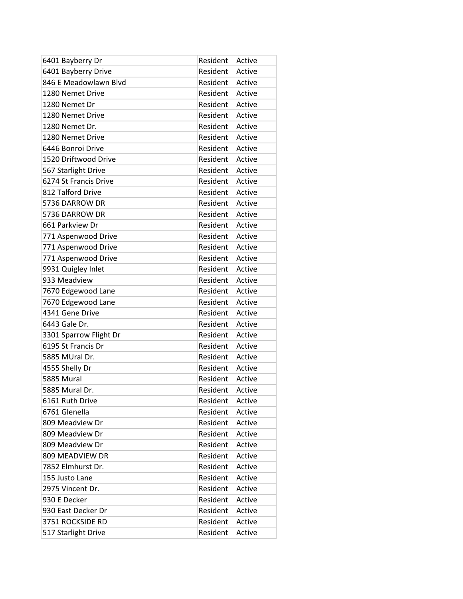| 6401 Bayberry Dr<br>Resident<br>Active<br>6401 Bayberry Drive<br>Resident<br>Active<br>846 E Meadowlawn Blvd<br>Resident<br>Active<br>Resident<br>1280 Nemet Drive<br>Active<br>Resident<br>1280 Nemet Dr<br>Active<br>Resident<br>Active<br>1280 Nemet Drive<br>Resident<br>1280 Nemet Dr.<br>Active<br>Resident<br>1280 Nemet Drive<br>Active<br>Resident<br>6446 Bonroi Drive<br>Active<br>1520 Driftwood Drive<br>Resident<br>Active<br>567 Starlight Drive<br>Resident<br>Active<br>6274 St Francis Drive<br>Resident<br>Active<br>812 Talford Drive<br>Resident<br>Active<br>Resident<br>5736 DARROW DR<br>Active<br>Resident<br>5736 DARROW DR<br>Active<br>661 Parkview Dr<br>Resident<br>Active<br>Resident<br>771 Aspenwood Drive<br>Active<br>771 Aspenwood Drive<br>Resident<br>Active<br>771 Aspenwood Drive<br>Resident<br>Active<br>9931 Quigley Inlet<br>Resident<br>Active<br>933 Meadview<br>Resident<br>Active<br>7670 Edgewood Lane<br>Resident<br>Active<br>7670 Edgewood Lane<br>Resident<br>Active<br>4341 Gene Drive<br>Resident<br>Active<br>6443 Gale Dr.<br>Resident<br>Active<br>Resident<br>3301 Sparrow Flight Dr<br>Active<br>6195 St Francis Dr<br>Resident<br>Active<br>5885 MUral Dr.<br>Resident<br>Active<br>4555 Shelly Dr<br>Resident<br>Active<br>5885 Mural<br>Resident<br>Active<br>5885 Mural Dr.<br>Resident<br>Active<br>6161 Ruth Drive<br>Resident<br>Active<br>6761 Glenella<br>Resident<br>Active<br>809 Meadview Dr<br>Resident<br>Active<br>Resident<br>809 Meadview Dr<br>Active<br>Resident<br>809 Meadview Dr<br>Active<br>Resident<br>809 MEADVIEW DR<br>Active<br>7852 Elmhurst Dr.<br>Resident<br>Active |                                 |          |        |
|------------------------------------------------------------------------------------------------------------------------------------------------------------------------------------------------------------------------------------------------------------------------------------------------------------------------------------------------------------------------------------------------------------------------------------------------------------------------------------------------------------------------------------------------------------------------------------------------------------------------------------------------------------------------------------------------------------------------------------------------------------------------------------------------------------------------------------------------------------------------------------------------------------------------------------------------------------------------------------------------------------------------------------------------------------------------------------------------------------------------------------------------------------------------------------------------------------------------------------------------------------------------------------------------------------------------------------------------------------------------------------------------------------------------------------------------------------------------------------------------------------------------------------------------------------------------------------------------------------------------------------------------------------------|---------------------------------|----------|--------|
|                                                                                                                                                                                                                                                                                                                                                                                                                                                                                                                                                                                                                                                                                                                                                                                                                                                                                                                                                                                                                                                                                                                                                                                                                                                                                                                                                                                                                                                                                                                                                                                                                                                                  |                                 |          |        |
|                                                                                                                                                                                                                                                                                                                                                                                                                                                                                                                                                                                                                                                                                                                                                                                                                                                                                                                                                                                                                                                                                                                                                                                                                                                                                                                                                                                                                                                                                                                                                                                                                                                                  |                                 |          |        |
|                                                                                                                                                                                                                                                                                                                                                                                                                                                                                                                                                                                                                                                                                                                                                                                                                                                                                                                                                                                                                                                                                                                                                                                                                                                                                                                                                                                                                                                                                                                                                                                                                                                                  |                                 |          |        |
|                                                                                                                                                                                                                                                                                                                                                                                                                                                                                                                                                                                                                                                                                                                                                                                                                                                                                                                                                                                                                                                                                                                                                                                                                                                                                                                                                                                                                                                                                                                                                                                                                                                                  |                                 |          |        |
|                                                                                                                                                                                                                                                                                                                                                                                                                                                                                                                                                                                                                                                                                                                                                                                                                                                                                                                                                                                                                                                                                                                                                                                                                                                                                                                                                                                                                                                                                                                                                                                                                                                                  |                                 |          |        |
|                                                                                                                                                                                                                                                                                                                                                                                                                                                                                                                                                                                                                                                                                                                                                                                                                                                                                                                                                                                                                                                                                                                                                                                                                                                                                                                                                                                                                                                                                                                                                                                                                                                                  |                                 |          |        |
|                                                                                                                                                                                                                                                                                                                                                                                                                                                                                                                                                                                                                                                                                                                                                                                                                                                                                                                                                                                                                                                                                                                                                                                                                                                                                                                                                                                                                                                                                                                                                                                                                                                                  |                                 |          |        |
|                                                                                                                                                                                                                                                                                                                                                                                                                                                                                                                                                                                                                                                                                                                                                                                                                                                                                                                                                                                                                                                                                                                                                                                                                                                                                                                                                                                                                                                                                                                                                                                                                                                                  |                                 |          |        |
|                                                                                                                                                                                                                                                                                                                                                                                                                                                                                                                                                                                                                                                                                                                                                                                                                                                                                                                                                                                                                                                                                                                                                                                                                                                                                                                                                                                                                                                                                                                                                                                                                                                                  |                                 |          |        |
|                                                                                                                                                                                                                                                                                                                                                                                                                                                                                                                                                                                                                                                                                                                                                                                                                                                                                                                                                                                                                                                                                                                                                                                                                                                                                                                                                                                                                                                                                                                                                                                                                                                                  |                                 |          |        |
|                                                                                                                                                                                                                                                                                                                                                                                                                                                                                                                                                                                                                                                                                                                                                                                                                                                                                                                                                                                                                                                                                                                                                                                                                                                                                                                                                                                                                                                                                                                                                                                                                                                                  |                                 |          |        |
|                                                                                                                                                                                                                                                                                                                                                                                                                                                                                                                                                                                                                                                                                                                                                                                                                                                                                                                                                                                                                                                                                                                                                                                                                                                                                                                                                                                                                                                                                                                                                                                                                                                                  |                                 |          |        |
|                                                                                                                                                                                                                                                                                                                                                                                                                                                                                                                                                                                                                                                                                                                                                                                                                                                                                                                                                                                                                                                                                                                                                                                                                                                                                                                                                                                                                                                                                                                                                                                                                                                                  |                                 |          |        |
|                                                                                                                                                                                                                                                                                                                                                                                                                                                                                                                                                                                                                                                                                                                                                                                                                                                                                                                                                                                                                                                                                                                                                                                                                                                                                                                                                                                                                                                                                                                                                                                                                                                                  |                                 |          |        |
|                                                                                                                                                                                                                                                                                                                                                                                                                                                                                                                                                                                                                                                                                                                                                                                                                                                                                                                                                                                                                                                                                                                                                                                                                                                                                                                                                                                                                                                                                                                                                                                                                                                                  |                                 |          |        |
|                                                                                                                                                                                                                                                                                                                                                                                                                                                                                                                                                                                                                                                                                                                                                                                                                                                                                                                                                                                                                                                                                                                                                                                                                                                                                                                                                                                                                                                                                                                                                                                                                                                                  |                                 |          |        |
|                                                                                                                                                                                                                                                                                                                                                                                                                                                                                                                                                                                                                                                                                                                                                                                                                                                                                                                                                                                                                                                                                                                                                                                                                                                                                                                                                                                                                                                                                                                                                                                                                                                                  |                                 |          |        |
|                                                                                                                                                                                                                                                                                                                                                                                                                                                                                                                                                                                                                                                                                                                                                                                                                                                                                                                                                                                                                                                                                                                                                                                                                                                                                                                                                                                                                                                                                                                                                                                                                                                                  |                                 |          |        |
|                                                                                                                                                                                                                                                                                                                                                                                                                                                                                                                                                                                                                                                                                                                                                                                                                                                                                                                                                                                                                                                                                                                                                                                                                                                                                                                                                                                                                                                                                                                                                                                                                                                                  |                                 |          |        |
|                                                                                                                                                                                                                                                                                                                                                                                                                                                                                                                                                                                                                                                                                                                                                                                                                                                                                                                                                                                                                                                                                                                                                                                                                                                                                                                                                                                                                                                                                                                                                                                                                                                                  |                                 |          |        |
|                                                                                                                                                                                                                                                                                                                                                                                                                                                                                                                                                                                                                                                                                                                                                                                                                                                                                                                                                                                                                                                                                                                                                                                                                                                                                                                                                                                                                                                                                                                                                                                                                                                                  |                                 |          |        |
|                                                                                                                                                                                                                                                                                                                                                                                                                                                                                                                                                                                                                                                                                                                                                                                                                                                                                                                                                                                                                                                                                                                                                                                                                                                                                                                                                                                                                                                                                                                                                                                                                                                                  |                                 |          |        |
|                                                                                                                                                                                                                                                                                                                                                                                                                                                                                                                                                                                                                                                                                                                                                                                                                                                                                                                                                                                                                                                                                                                                                                                                                                                                                                                                                                                                                                                                                                                                                                                                                                                                  |                                 |          |        |
|                                                                                                                                                                                                                                                                                                                                                                                                                                                                                                                                                                                                                                                                                                                                                                                                                                                                                                                                                                                                                                                                                                                                                                                                                                                                                                                                                                                                                                                                                                                                                                                                                                                                  |                                 |          |        |
|                                                                                                                                                                                                                                                                                                                                                                                                                                                                                                                                                                                                                                                                                                                                                                                                                                                                                                                                                                                                                                                                                                                                                                                                                                                                                                                                                                                                                                                                                                                                                                                                                                                                  |                                 |          |        |
|                                                                                                                                                                                                                                                                                                                                                                                                                                                                                                                                                                                                                                                                                                                                                                                                                                                                                                                                                                                                                                                                                                                                                                                                                                                                                                                                                                                                                                                                                                                                                                                                                                                                  |                                 |          |        |
|                                                                                                                                                                                                                                                                                                                                                                                                                                                                                                                                                                                                                                                                                                                                                                                                                                                                                                                                                                                                                                                                                                                                                                                                                                                                                                                                                                                                                                                                                                                                                                                                                                                                  |                                 |          |        |
|                                                                                                                                                                                                                                                                                                                                                                                                                                                                                                                                                                                                                                                                                                                                                                                                                                                                                                                                                                                                                                                                                                                                                                                                                                                                                                                                                                                                                                                                                                                                                                                                                                                                  |                                 |          |        |
|                                                                                                                                                                                                                                                                                                                                                                                                                                                                                                                                                                                                                                                                                                                                                                                                                                                                                                                                                                                                                                                                                                                                                                                                                                                                                                                                                                                                                                                                                                                                                                                                                                                                  |                                 |          |        |
|                                                                                                                                                                                                                                                                                                                                                                                                                                                                                                                                                                                                                                                                                                                                                                                                                                                                                                                                                                                                                                                                                                                                                                                                                                                                                                                                                                                                                                                                                                                                                                                                                                                                  |                                 |          |        |
|                                                                                                                                                                                                                                                                                                                                                                                                                                                                                                                                                                                                                                                                                                                                                                                                                                                                                                                                                                                                                                                                                                                                                                                                                                                                                                                                                                                                                                                                                                                                                                                                                                                                  |                                 |          |        |
|                                                                                                                                                                                                                                                                                                                                                                                                                                                                                                                                                                                                                                                                                                                                                                                                                                                                                                                                                                                                                                                                                                                                                                                                                                                                                                                                                                                                                                                                                                                                                                                                                                                                  |                                 |          |        |
|                                                                                                                                                                                                                                                                                                                                                                                                                                                                                                                                                                                                                                                                                                                                                                                                                                                                                                                                                                                                                                                                                                                                                                                                                                                                                                                                                                                                                                                                                                                                                                                                                                                                  |                                 |          |        |
|                                                                                                                                                                                                                                                                                                                                                                                                                                                                                                                                                                                                                                                                                                                                                                                                                                                                                                                                                                                                                                                                                                                                                                                                                                                                                                                                                                                                                                                                                                                                                                                                                                                                  |                                 |          |        |
|                                                                                                                                                                                                                                                                                                                                                                                                                                                                                                                                                                                                                                                                                                                                                                                                                                                                                                                                                                                                                                                                                                                                                                                                                                                                                                                                                                                                                                                                                                                                                                                                                                                                  |                                 |          |        |
|                                                                                                                                                                                                                                                                                                                                                                                                                                                                                                                                                                                                                                                                                                                                                                                                                                                                                                                                                                                                                                                                                                                                                                                                                                                                                                                                                                                                                                                                                                                                                                                                                                                                  |                                 |          |        |
|                                                                                                                                                                                                                                                                                                                                                                                                                                                                                                                                                                                                                                                                                                                                                                                                                                                                                                                                                                                                                                                                                                                                                                                                                                                                                                                                                                                                                                                                                                                                                                                                                                                                  |                                 |          |        |
|                                                                                                                                                                                                                                                                                                                                                                                                                                                                                                                                                                                                                                                                                                                                                                                                                                                                                                                                                                                                                                                                                                                                                                                                                                                                                                                                                                                                                                                                                                                                                                                                                                                                  |                                 |          |        |
| Resident<br>155 Justo Lane<br>Active                                                                                                                                                                                                                                                                                                                                                                                                                                                                                                                                                                                                                                                                                                                                                                                                                                                                                                                                                                                                                                                                                                                                                                                                                                                                                                                                                                                                                                                                                                                                                                                                                             |                                 |          |        |
| Resident<br>2975 Vincent Dr.<br>Active                                                                                                                                                                                                                                                                                                                                                                                                                                                                                                                                                                                                                                                                                                                                                                                                                                                                                                                                                                                                                                                                                                                                                                                                                                                                                                                                                                                                                                                                                                                                                                                                                           |                                 |          |        |
| Resident<br>930 E Decker<br>Active                                                                                                                                                                                                                                                                                                                                                                                                                                                                                                                                                                                                                                                                                                                                                                                                                                                                                                                                                                                                                                                                                                                                                                                                                                                                                                                                                                                                                                                                                                                                                                                                                               |                                 |          |        |
| 930 East Decker Dr<br>Resident<br>Active                                                                                                                                                                                                                                                                                                                                                                                                                                                                                                                                                                                                                                                                                                                                                                                                                                                                                                                                                                                                                                                                                                                                                                                                                                                                                                                                                                                                                                                                                                                                                                                                                         |                                 |          |        |
|                                                                                                                                                                                                                                                                                                                                                                                                                                                                                                                                                                                                                                                                                                                                                                                                                                                                                                                                                                                                                                                                                                                                                                                                                                                                                                                                                                                                                                                                                                                                                                                                                                                                  | 3751 ROCKSIDE RD                |          | Active |
|                                                                                                                                                                                                                                                                                                                                                                                                                                                                                                                                                                                                                                                                                                                                                                                                                                                                                                                                                                                                                                                                                                                                                                                                                                                                                                                                                                                                                                                                                                                                                                                                                                                                  | 517 Starlight Drive<br>Resident | Resident |        |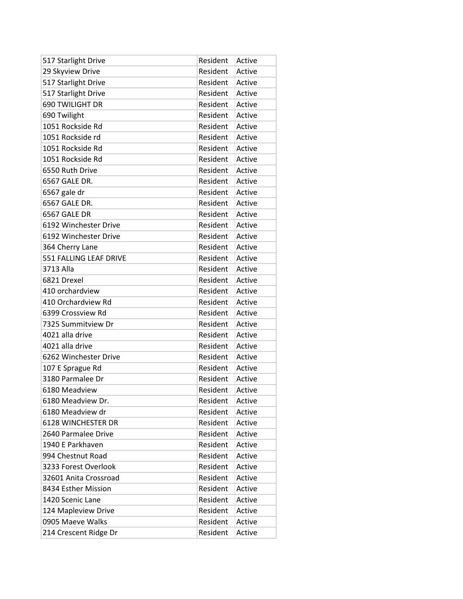| 517 Starlight Drive       | Resident | Active |
|---------------------------|----------|--------|
| 29 Skyview Drive          | Resident | Active |
| 517 Starlight Drive       | Resident | Active |
| 517 Starlight Drive       | Resident | Active |
| 690 TWILIGHT DR           | Resident | Active |
| 690 Twilight              | Resident | Active |
| 1051 Rockside Rd          | Resident | Active |
| 1051 Rockside rd          | Resident | Active |
| 1051 Rockside Rd          | Resident | Active |
| 1051 Rockside Rd          | Resident | Active |
| 6550 Ruth Drive           | Resident | Active |
| 6567 GALE DR.             | Resident | Active |
| 6567 gale dr              | Resident | Active |
| 6567 GALE DR.             | Resident | Active |
| 6567 GALE DR              | Resident | Active |
| 6192 Winchester Drive     | Resident | Active |
| 6192 Winchester Drive     | Resident | Active |
| 364 Cherry Lane           | Resident | Active |
| 551 FALLING LEAF DRIVE    | Resident | Active |
| 3713 Alla                 | Resident | Active |
| 6821 Drexel               | Resident | Active |
| 410 orchardview           | Resident | Active |
| 410 Orchardview Rd        | Resident | Active |
| 6399 Crossview Rd         | Resident | Active |
| 7325 Summitview Dr        | Resident | Active |
| 4021 alla drive           | Resident | Active |
| 4021 alla drive           | Resident | Active |
| 6262 Winchester Drive     | Resident | Active |
| 107 E Sprague Rd          | Resident | Active |
| 3180 Parmalee Dr          | Resident | Active |
| 6180 Meadview             | Resident | Active |
| 6180 Meadview Dr.         | Resident | Active |
| 6180 Meadview dr          | Resident | Active |
| <b>6128 WINCHESTER DR</b> | Resident | Active |
| 2640 Parmalee Drive       | Resident | Active |
| 1940 E Parkhaven          | Resident | Active |
| 994 Chestnut Road         | Resident | Active |
| 3233 Forest Overlook      | Resident | Active |
| 32601 Anita Crossroad     | Resident | Active |
| 8434 Esther Mission       | Resident | Active |
| 1420 Scenic Lane          | Resident | Active |
| 124 Mapleview Drive       | Resident | Active |
| 0905 Maeve Walks          | Resident | Active |
|                           |          |        |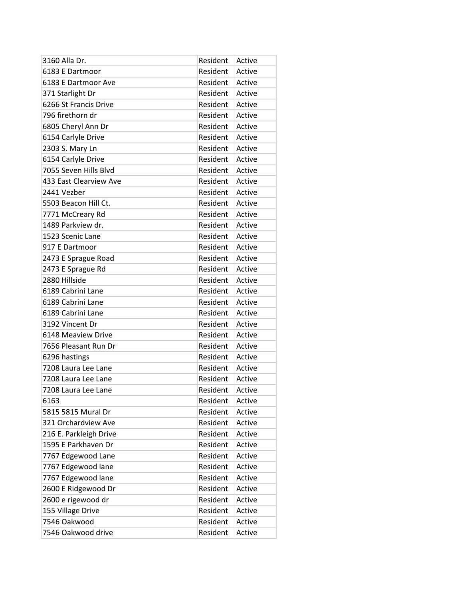| 3160 Alla Dr.          | Resident | Active |
|------------------------|----------|--------|
| 6183 E Dartmoor        | Resident | Active |
| 6183 E Dartmoor Ave    | Resident | Active |
| 371 Starlight Dr       | Resident | Active |
| 6266 St Francis Drive  | Resident | Active |
| 796 firethorn dr       | Resident | Active |
| 6805 Cheryl Ann Dr     | Resident | Active |
| 6154 Carlyle Drive     | Resident | Active |
| 2303 S. Mary Ln        | Resident | Active |
| 6154 Carlyle Drive     | Resident | Active |
| 7055 Seven Hills Blvd  | Resident | Active |
| 433 East Clearview Ave | Resident | Active |
| 2441 Vezber            | Resident | Active |
| 5503 Beacon Hill Ct.   | Resident | Active |
| 7771 McCreary Rd       | Resident | Active |
| 1489 Parkview dr.      | Resident | Active |
| 1523 Scenic Lane       | Resident | Active |
| 917 E Dartmoor         | Resident | Active |
| 2473 E Sprague Road    | Resident | Active |
| 2473 E Sprague Rd      | Resident | Active |
| 2880 Hillside          | Resident | Active |
| 6189 Cabrini Lane      | Resident | Active |
| 6189 Cabrini Lane      | Resident | Active |
| 6189 Cabrini Lane      | Resident | Active |
| 3192 Vincent Dr        | Resident | Active |
| 6148 Meaview Drive     | Resident | Active |
| 7656 Pleasant Run Dr   | Resident | Active |
| 6296 hastings          | Resident | Active |
| 7208 Laura Lee Lane    | Resident | Active |
| 7208 Laura Lee Lane    | Resident | Active |
| 7208 Laura Lee Lane    | Resident | Active |
| 6163                   | Resident | Active |
| 5815 5815 Mural Dr     | Resident | Active |
| 321 Orchardview Ave    | Resident | Active |
| 216 E. Parkleigh Drive | Resident | Active |
| 1595 E Parkhaven Dr    | Resident | Active |
| 7767 Edgewood Lane     | Resident | Active |
| 7767 Edgewood lane     | Resident | Active |
| 7767 Edgewood lane     | Resident | Active |
| 2600 E Ridgewood Dr    | Resident | Active |
| 2600 e rigewood dr     | Resident | Active |
| 155 Village Drive      | Resident | Active |
| 7546 Oakwood           | Resident | Active |
| 7546 Oakwood drive     | Resident | Active |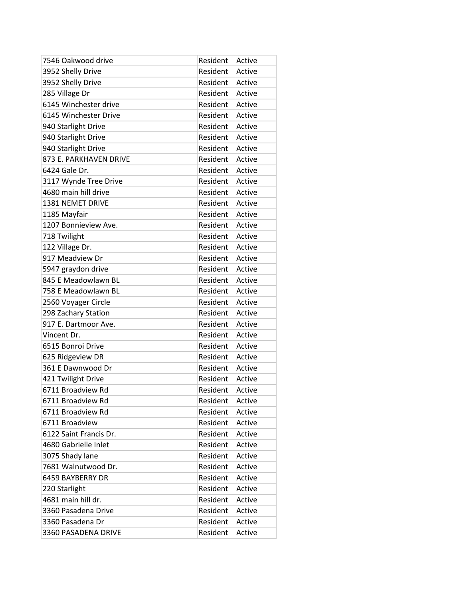| 7546 Oakwood drive     | Resident | Active |
|------------------------|----------|--------|
| 3952 Shelly Drive      | Resident | Active |
| 3952 Shelly Drive      | Resident | Active |
| 285 Village Dr         | Resident | Active |
| 6145 Winchester drive  | Resident | Active |
| 6145 Winchester Drive  | Resident | Active |
| 940 Starlight Drive    | Resident | Active |
| 940 Starlight Drive    | Resident | Active |
| 940 Starlight Drive    | Resident | Active |
| 873 E. PARKHAVEN DRIVE | Resident | Active |
| 6424 Gale Dr.          | Resident | Active |
| 3117 Wynde Tree Drive  | Resident | Active |
| 4680 main hill drive   | Resident | Active |
| 1381 NEMET DRIVE       | Resident | Active |
| 1185 Mayfair           | Resident | Active |
| 1207 Bonnieview Ave.   | Resident | Active |
| 718 Twilight           | Resident | Active |
| 122 Village Dr.        | Resident | Active |
| 917 Meadview Dr        | Resident | Active |
| 5947 graydon drive     | Resident | Active |
| 845 E Meadowlawn BL    | Resident | Active |
| 758 E Meadowlawn BL    | Resident | Active |
| 2560 Voyager Circle    | Resident | Active |
| 298 Zachary Station    | Resident | Active |
| 917 E. Dartmoor Ave.   | Resident | Active |
| Vincent Dr.            | Resident | Active |
| 6515 Bonroi Drive      | Resident | Active |
| 625 Ridgeview DR       | Resident | Active |
| 361 E Dawnwood Dr      | Resident | Active |
| 421 Twilight Drive     | Resident | Active |
| 6711 Broadview Rd      | Resident | Active |
| 6711 Broadview Rd      | Resident | Active |
| 6711 Broadview Rd      | Resident | Active |
| 6711 Broadview         | Resident | Active |
| 6122 Saint Francis Dr. | Resident | Active |
| 4680 Gabrielle Inlet   | Resident | Active |
| 3075 Shady lane        | Resident | Active |
| 7681 Walnutwood Dr.    | Resident | Active |
| 6459 BAYBERRY DR       | Resident | Active |
| 220 Starlight          | Resident | Active |
| 4681 main hill dr.     | Resident | Active |
| 3360 Pasadena Drive    | Resident | Active |
| 3360 Pasadena Dr       | Resident | Active |
| 3360 PASADENA DRIVE    | Resident | Active |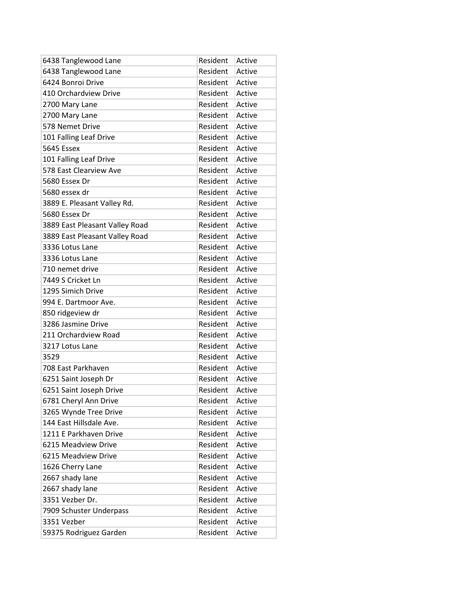| 6438 Tanglewood Lane           | Resident | Active |
|--------------------------------|----------|--------|
| 6438 Tanglewood Lane           | Resident | Active |
| 6424 Bonroi Drive              | Resident | Active |
| 410 Orchardview Drive          | Resident | Active |
| 2700 Mary Lane                 | Resident | Active |
| 2700 Mary Lane                 | Resident | Active |
| 578 Nemet Drive                | Resident | Active |
| 101 Falling Leaf Drive         | Resident | Active |
| 5645 Essex                     | Resident | Active |
| 101 Falling Leaf Drive         | Resident | Active |
| 578 East Clearview Ave         | Resident | Active |
| 5680 Essex Dr                  | Resident | Active |
| 5680 essex dr                  | Resident | Active |
| 3889 E. Pleasant Valley Rd.    | Resident | Active |
| 5680 Essex Dr                  | Resident | Active |
| 3889 East Pleasant Valley Road | Resident | Active |
| 3889 East Pleasant Valley Road | Resident | Active |
| 3336 Lotus Lane                | Resident | Active |
| 3336 Lotus Lane                | Resident | Active |
| 710 nemet drive                | Resident | Active |
| 7449 S Cricket Ln              | Resident | Active |
| 1295 Simich Drive              | Resident | Active |
| 994 E. Dartmoor Ave.           | Resident | Active |
| 850 ridgeview dr               | Resident | Active |
| 3286 Jasmine Drive             | Resident | Active |
| 211 Orchardview Road           | Resident | Active |
| 3217 Lotus Lane                | Resident | Active |
| 3529                           | Resident | Active |
| 708 East Parkhaven             | Resident | Active |
| 6251 Saint Joseph Dr           | Resident | Active |
| 6251 Saint Joseph Drive        | Resident | Active |
| 6781 Cheryl Ann Drive          | Resident | Active |
| 3265 Wynde Tree Drive          | Resident | Active |
| 144 East Hillsdale Ave.        | Resident | Active |
| 1211 E Parkhaven Drive         | Resident | Active |
| 6215 Meadview Drive            | Resident | Active |
| 6215 Meadview Drive            | Resident | Active |
| 1626 Cherry Lane               | Resident | Active |
| 2667 shady lane                | Resident | Active |
| 2667 shady lane                | Resident | Active |
| 3351 Vezber Dr.                | Resident | Active |
| 7909 Schuster Underpass        | Resident | Active |
| 3351 Vezber                    | Resident | Active |
| 59375 Rodriguez Garden         | Resident | Active |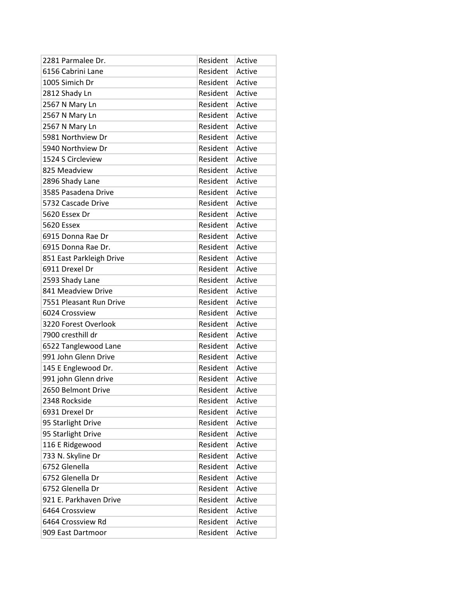| 2281 Parmalee Dr.        | Resident | Active |
|--------------------------|----------|--------|
| 6156 Cabrini Lane        | Resident | Active |
| 1005 Simich Dr           | Resident | Active |
| 2812 Shady Ln            | Resident | Active |
| 2567 N Mary Ln           | Resident | Active |
| 2567 N Mary Ln           | Resident | Active |
| 2567 N Mary Ln           | Resident | Active |
| 5981 Northview Dr        | Resident | Active |
| 5940 Northview Dr        | Resident | Active |
| 1524 S Circleview        | Resident | Active |
| 825 Meadview             | Resident | Active |
| 2896 Shady Lane          | Resident | Active |
| 3585 Pasadena Drive      | Resident | Active |
| 5732 Cascade Drive       | Resident | Active |
| 5620 Essex Dr            | Resident | Active |
| 5620 Essex               | Resident | Active |
| 6915 Donna Rae Dr        | Resident | Active |
| 6915 Donna Rae Dr.       | Resident | Active |
| 851 East Parkleigh Drive | Resident | Active |
| 6911 Drexel Dr           | Resident | Active |
| 2593 Shady Lane          | Resident | Active |
| 841 Meadview Drive       | Resident | Active |
| 7551 Pleasant Run Drive  | Resident | Active |
| 6024 Crossview           | Resident | Active |
| 3220 Forest Overlook     | Resident | Active |
| 7900 cresthill dr        | Resident | Active |
| 6522 Tanglewood Lane     | Resident | Active |
| 991 John Glenn Drive     | Resident | Active |
| 145 E Englewood Dr.      | Resident | Active |
| 991 john Glenn drive     | Resident | Active |
| 2650 Belmont Drive       | Resident | Active |
| 2348 Rockside            | Resident | Active |
| 6931 Drexel Dr           | Resident | Active |
| 95 Starlight Drive       | Resident | Active |
| 95 Starlight Drive       | Resident | Active |
| 116 E Ridgewood          | Resident | Active |
| 733 N. Skyline Dr        | Resident | Active |
| 6752 Glenella            | Resident | Active |
| 6752 Glenella Dr         | Resident | Active |
| 6752 Glenella Dr         | Resident | Active |
| 921 E. Parkhaven Drive   | Resident | Active |
| 6464 Crossview           | Resident | Active |
| 6464 Crossview Rd        | Resident | Active |
| 909 East Dartmoor        | Resident | Active |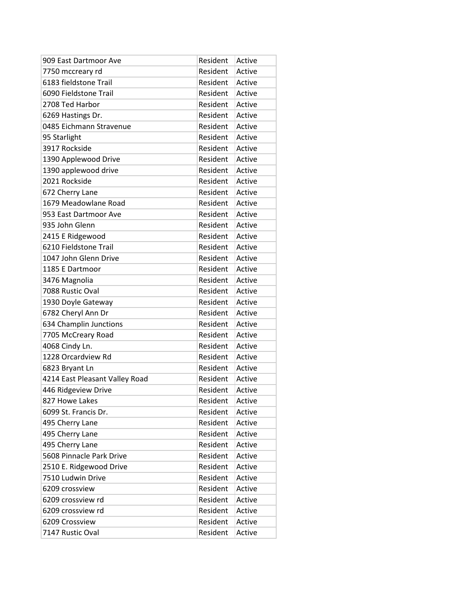| Resident<br>Active<br>7750 mccreary rd<br>6183 fieldstone Trail<br>Resident<br>Active<br>6090 Fieldstone Trail<br>Resident<br>Active<br>2708 Ted Harbor<br>Resident<br>Active<br>Resident<br>Active<br>6269 Hastings Dr.<br>0485 Eichmann Stravenue<br>Resident<br>Active<br>Resident<br>95 Starlight<br>Active<br>3917 Rockside<br>Resident<br>Active<br>Resident<br>1390 Applewood Drive<br>Active<br>1390 applewood drive<br>Resident<br>Active<br>2021 Rockside<br>Resident<br>Active<br>Resident<br>672 Cherry Lane<br>Active<br>1679 Meadowlane Road<br>Resident<br>Active<br>Resident<br>953 East Dartmoor Ave<br>Active<br>Resident<br>935 John Glenn<br>Active<br>Resident<br>2415 E Ridgewood<br>Active<br>6210 Fieldstone Trail<br>Resident<br>Active<br>1047 John Glenn Drive<br>Resident<br>Active<br>1185 E Dartmoor<br>Resident<br>Active<br>Resident<br>Active<br>3476 Magnolia<br>7088 Rustic Oval<br>Resident<br>Active<br>Resident<br>1930 Doyle Gateway<br>Active<br>6782 Cheryl Ann Dr<br>Resident<br>Active<br>634 Champlin Junctions<br>Resident<br>Active<br>7705 McCreary Road<br>Resident<br>Active<br>4068 Cindy Ln.<br>Resident<br>Active<br>1228 Orcardview Rd<br>Resident<br>Active<br>Resident<br>Active<br>6823 Bryant Ln<br>4214 East Pleasant Valley Road<br>Resident<br>Active<br>446 Ridgeview Drive<br>Resident<br>Active<br>827 Howe Lakes<br>Resident<br>Active<br>6099 St. Francis Dr.<br>Resident<br>Active<br>Resident<br>495 Cherry Lane<br>Active<br>Resident<br>495 Cherry Lane<br>Active<br>Resident<br>495 Cherry Lane<br>Active<br>5608 Pinnacle Park Drive<br>Resident<br>Active<br>2510 E. Ridgewood Drive<br>Resident<br>Active<br>7510 Ludwin Drive<br>Resident<br>Active<br>Resident<br>6209 crossview<br>Active<br>6209 crossview rd<br>Resident<br>Active<br>6209 crossview rd<br>Resident<br>Active<br>Resident<br>6209 Crossview<br>Active<br>Resident<br>7147 Rustic Oval<br>Active | 909 East Dartmoor Ave | Resident | Active |
|-----------------------------------------------------------------------------------------------------------------------------------------------------------------------------------------------------------------------------------------------------------------------------------------------------------------------------------------------------------------------------------------------------------------------------------------------------------------------------------------------------------------------------------------------------------------------------------------------------------------------------------------------------------------------------------------------------------------------------------------------------------------------------------------------------------------------------------------------------------------------------------------------------------------------------------------------------------------------------------------------------------------------------------------------------------------------------------------------------------------------------------------------------------------------------------------------------------------------------------------------------------------------------------------------------------------------------------------------------------------------------------------------------------------------------------------------------------------------------------------------------------------------------------------------------------------------------------------------------------------------------------------------------------------------------------------------------------------------------------------------------------------------------------------------------------------------------------------------------------------------------------------------------------------------------------------------|-----------------------|----------|--------|
|                                                                                                                                                                                                                                                                                                                                                                                                                                                                                                                                                                                                                                                                                                                                                                                                                                                                                                                                                                                                                                                                                                                                                                                                                                                                                                                                                                                                                                                                                                                                                                                                                                                                                                                                                                                                                                                                                                                                               |                       |          |        |
|                                                                                                                                                                                                                                                                                                                                                                                                                                                                                                                                                                                                                                                                                                                                                                                                                                                                                                                                                                                                                                                                                                                                                                                                                                                                                                                                                                                                                                                                                                                                                                                                                                                                                                                                                                                                                                                                                                                                               |                       |          |        |
|                                                                                                                                                                                                                                                                                                                                                                                                                                                                                                                                                                                                                                                                                                                                                                                                                                                                                                                                                                                                                                                                                                                                                                                                                                                                                                                                                                                                                                                                                                                                                                                                                                                                                                                                                                                                                                                                                                                                               |                       |          |        |
|                                                                                                                                                                                                                                                                                                                                                                                                                                                                                                                                                                                                                                                                                                                                                                                                                                                                                                                                                                                                                                                                                                                                                                                                                                                                                                                                                                                                                                                                                                                                                                                                                                                                                                                                                                                                                                                                                                                                               |                       |          |        |
|                                                                                                                                                                                                                                                                                                                                                                                                                                                                                                                                                                                                                                                                                                                                                                                                                                                                                                                                                                                                                                                                                                                                                                                                                                                                                                                                                                                                                                                                                                                                                                                                                                                                                                                                                                                                                                                                                                                                               |                       |          |        |
|                                                                                                                                                                                                                                                                                                                                                                                                                                                                                                                                                                                                                                                                                                                                                                                                                                                                                                                                                                                                                                                                                                                                                                                                                                                                                                                                                                                                                                                                                                                                                                                                                                                                                                                                                                                                                                                                                                                                               |                       |          |        |
|                                                                                                                                                                                                                                                                                                                                                                                                                                                                                                                                                                                                                                                                                                                                                                                                                                                                                                                                                                                                                                                                                                                                                                                                                                                                                                                                                                                                                                                                                                                                                                                                                                                                                                                                                                                                                                                                                                                                               |                       |          |        |
|                                                                                                                                                                                                                                                                                                                                                                                                                                                                                                                                                                                                                                                                                                                                                                                                                                                                                                                                                                                                                                                                                                                                                                                                                                                                                                                                                                                                                                                                                                                                                                                                                                                                                                                                                                                                                                                                                                                                               |                       |          |        |
|                                                                                                                                                                                                                                                                                                                                                                                                                                                                                                                                                                                                                                                                                                                                                                                                                                                                                                                                                                                                                                                                                                                                                                                                                                                                                                                                                                                                                                                                                                                                                                                                                                                                                                                                                                                                                                                                                                                                               |                       |          |        |
|                                                                                                                                                                                                                                                                                                                                                                                                                                                                                                                                                                                                                                                                                                                                                                                                                                                                                                                                                                                                                                                                                                                                                                                                                                                                                                                                                                                                                                                                                                                                                                                                                                                                                                                                                                                                                                                                                                                                               |                       |          |        |
|                                                                                                                                                                                                                                                                                                                                                                                                                                                                                                                                                                                                                                                                                                                                                                                                                                                                                                                                                                                                                                                                                                                                                                                                                                                                                                                                                                                                                                                                                                                                                                                                                                                                                                                                                                                                                                                                                                                                               |                       |          |        |
|                                                                                                                                                                                                                                                                                                                                                                                                                                                                                                                                                                                                                                                                                                                                                                                                                                                                                                                                                                                                                                                                                                                                                                                                                                                                                                                                                                                                                                                                                                                                                                                                                                                                                                                                                                                                                                                                                                                                               |                       |          |        |
|                                                                                                                                                                                                                                                                                                                                                                                                                                                                                                                                                                                                                                                                                                                                                                                                                                                                                                                                                                                                                                                                                                                                                                                                                                                                                                                                                                                                                                                                                                                                                                                                                                                                                                                                                                                                                                                                                                                                               |                       |          |        |
|                                                                                                                                                                                                                                                                                                                                                                                                                                                                                                                                                                                                                                                                                                                                                                                                                                                                                                                                                                                                                                                                                                                                                                                                                                                                                                                                                                                                                                                                                                                                                                                                                                                                                                                                                                                                                                                                                                                                               |                       |          |        |
|                                                                                                                                                                                                                                                                                                                                                                                                                                                                                                                                                                                                                                                                                                                                                                                                                                                                                                                                                                                                                                                                                                                                                                                                                                                                                                                                                                                                                                                                                                                                                                                                                                                                                                                                                                                                                                                                                                                                               |                       |          |        |
|                                                                                                                                                                                                                                                                                                                                                                                                                                                                                                                                                                                                                                                                                                                                                                                                                                                                                                                                                                                                                                                                                                                                                                                                                                                                                                                                                                                                                                                                                                                                                                                                                                                                                                                                                                                                                                                                                                                                               |                       |          |        |
|                                                                                                                                                                                                                                                                                                                                                                                                                                                                                                                                                                                                                                                                                                                                                                                                                                                                                                                                                                                                                                                                                                                                                                                                                                                                                                                                                                                                                                                                                                                                                                                                                                                                                                                                                                                                                                                                                                                                               |                       |          |        |
|                                                                                                                                                                                                                                                                                                                                                                                                                                                                                                                                                                                                                                                                                                                                                                                                                                                                                                                                                                                                                                                                                                                                                                                                                                                                                                                                                                                                                                                                                                                                                                                                                                                                                                                                                                                                                                                                                                                                               |                       |          |        |
|                                                                                                                                                                                                                                                                                                                                                                                                                                                                                                                                                                                                                                                                                                                                                                                                                                                                                                                                                                                                                                                                                                                                                                                                                                                                                                                                                                                                                                                                                                                                                                                                                                                                                                                                                                                                                                                                                                                                               |                       |          |        |
|                                                                                                                                                                                                                                                                                                                                                                                                                                                                                                                                                                                                                                                                                                                                                                                                                                                                                                                                                                                                                                                                                                                                                                                                                                                                                                                                                                                                                                                                                                                                                                                                                                                                                                                                                                                                                                                                                                                                               |                       |          |        |
|                                                                                                                                                                                                                                                                                                                                                                                                                                                                                                                                                                                                                                                                                                                                                                                                                                                                                                                                                                                                                                                                                                                                                                                                                                                                                                                                                                                                                                                                                                                                                                                                                                                                                                                                                                                                                                                                                                                                               |                       |          |        |
|                                                                                                                                                                                                                                                                                                                                                                                                                                                                                                                                                                                                                                                                                                                                                                                                                                                                                                                                                                                                                                                                                                                                                                                                                                                                                                                                                                                                                                                                                                                                                                                                                                                                                                                                                                                                                                                                                                                                               |                       |          |        |
|                                                                                                                                                                                                                                                                                                                                                                                                                                                                                                                                                                                                                                                                                                                                                                                                                                                                                                                                                                                                                                                                                                                                                                                                                                                                                                                                                                                                                                                                                                                                                                                                                                                                                                                                                                                                                                                                                                                                               |                       |          |        |
|                                                                                                                                                                                                                                                                                                                                                                                                                                                                                                                                                                                                                                                                                                                                                                                                                                                                                                                                                                                                                                                                                                                                                                                                                                                                                                                                                                                                                                                                                                                                                                                                                                                                                                                                                                                                                                                                                                                                               |                       |          |        |
|                                                                                                                                                                                                                                                                                                                                                                                                                                                                                                                                                                                                                                                                                                                                                                                                                                                                                                                                                                                                                                                                                                                                                                                                                                                                                                                                                                                                                                                                                                                                                                                                                                                                                                                                                                                                                                                                                                                                               |                       |          |        |
|                                                                                                                                                                                                                                                                                                                                                                                                                                                                                                                                                                                                                                                                                                                                                                                                                                                                                                                                                                                                                                                                                                                                                                                                                                                                                                                                                                                                                                                                                                                                                                                                                                                                                                                                                                                                                                                                                                                                               |                       |          |        |
|                                                                                                                                                                                                                                                                                                                                                                                                                                                                                                                                                                                                                                                                                                                                                                                                                                                                                                                                                                                                                                                                                                                                                                                                                                                                                                                                                                                                                                                                                                                                                                                                                                                                                                                                                                                                                                                                                                                                               |                       |          |        |
|                                                                                                                                                                                                                                                                                                                                                                                                                                                                                                                                                                                                                                                                                                                                                                                                                                                                                                                                                                                                                                                                                                                                                                                                                                                                                                                                                                                                                                                                                                                                                                                                                                                                                                                                                                                                                                                                                                                                               |                       |          |        |
|                                                                                                                                                                                                                                                                                                                                                                                                                                                                                                                                                                                                                                                                                                                                                                                                                                                                                                                                                                                                                                                                                                                                                                                                                                                                                                                                                                                                                                                                                                                                                                                                                                                                                                                                                                                                                                                                                                                                               |                       |          |        |
|                                                                                                                                                                                                                                                                                                                                                                                                                                                                                                                                                                                                                                                                                                                                                                                                                                                                                                                                                                                                                                                                                                                                                                                                                                                                                                                                                                                                                                                                                                                                                                                                                                                                                                                                                                                                                                                                                                                                               |                       |          |        |
|                                                                                                                                                                                                                                                                                                                                                                                                                                                                                                                                                                                                                                                                                                                                                                                                                                                                                                                                                                                                                                                                                                                                                                                                                                                                                                                                                                                                                                                                                                                                                                                                                                                                                                                                                                                                                                                                                                                                               |                       |          |        |
|                                                                                                                                                                                                                                                                                                                                                                                                                                                                                                                                                                                                                                                                                                                                                                                                                                                                                                                                                                                                                                                                                                                                                                                                                                                                                                                                                                                                                                                                                                                                                                                                                                                                                                                                                                                                                                                                                                                                               |                       |          |        |
|                                                                                                                                                                                                                                                                                                                                                                                                                                                                                                                                                                                                                                                                                                                                                                                                                                                                                                                                                                                                                                                                                                                                                                                                                                                                                                                                                                                                                                                                                                                                                                                                                                                                                                                                                                                                                                                                                                                                               |                       |          |        |
|                                                                                                                                                                                                                                                                                                                                                                                                                                                                                                                                                                                                                                                                                                                                                                                                                                                                                                                                                                                                                                                                                                                                                                                                                                                                                                                                                                                                                                                                                                                                                                                                                                                                                                                                                                                                                                                                                                                                               |                       |          |        |
|                                                                                                                                                                                                                                                                                                                                                                                                                                                                                                                                                                                                                                                                                                                                                                                                                                                                                                                                                                                                                                                                                                                                                                                                                                                                                                                                                                                                                                                                                                                                                                                                                                                                                                                                                                                                                                                                                                                                               |                       |          |        |
|                                                                                                                                                                                                                                                                                                                                                                                                                                                                                                                                                                                                                                                                                                                                                                                                                                                                                                                                                                                                                                                                                                                                                                                                                                                                                                                                                                                                                                                                                                                                                                                                                                                                                                                                                                                                                                                                                                                                               |                       |          |        |
|                                                                                                                                                                                                                                                                                                                                                                                                                                                                                                                                                                                                                                                                                                                                                                                                                                                                                                                                                                                                                                                                                                                                                                                                                                                                                                                                                                                                                                                                                                                                                                                                                                                                                                                                                                                                                                                                                                                                               |                       |          |        |
|                                                                                                                                                                                                                                                                                                                                                                                                                                                                                                                                                                                                                                                                                                                                                                                                                                                                                                                                                                                                                                                                                                                                                                                                                                                                                                                                                                                                                                                                                                                                                                                                                                                                                                                                                                                                                                                                                                                                               |                       |          |        |
|                                                                                                                                                                                                                                                                                                                                                                                                                                                                                                                                                                                                                                                                                                                                                                                                                                                                                                                                                                                                                                                                                                                                                                                                                                                                                                                                                                                                                                                                                                                                                                                                                                                                                                                                                                                                                                                                                                                                               |                       |          |        |
|                                                                                                                                                                                                                                                                                                                                                                                                                                                                                                                                                                                                                                                                                                                                                                                                                                                                                                                                                                                                                                                                                                                                                                                                                                                                                                                                                                                                                                                                                                                                                                                                                                                                                                                                                                                                                                                                                                                                               |                       |          |        |
|                                                                                                                                                                                                                                                                                                                                                                                                                                                                                                                                                                                                                                                                                                                                                                                                                                                                                                                                                                                                                                                                                                                                                                                                                                                                                                                                                                                                                                                                                                                                                                                                                                                                                                                                                                                                                                                                                                                                               |                       |          |        |
|                                                                                                                                                                                                                                                                                                                                                                                                                                                                                                                                                                                                                                                                                                                                                                                                                                                                                                                                                                                                                                                                                                                                                                                                                                                                                                                                                                                                                                                                                                                                                                                                                                                                                                                                                                                                                                                                                                                                               |                       |          |        |
|                                                                                                                                                                                                                                                                                                                                                                                                                                                                                                                                                                                                                                                                                                                                                                                                                                                                                                                                                                                                                                                                                                                                                                                                                                                                                                                                                                                                                                                                                                                                                                                                                                                                                                                                                                                                                                                                                                                                               |                       |          |        |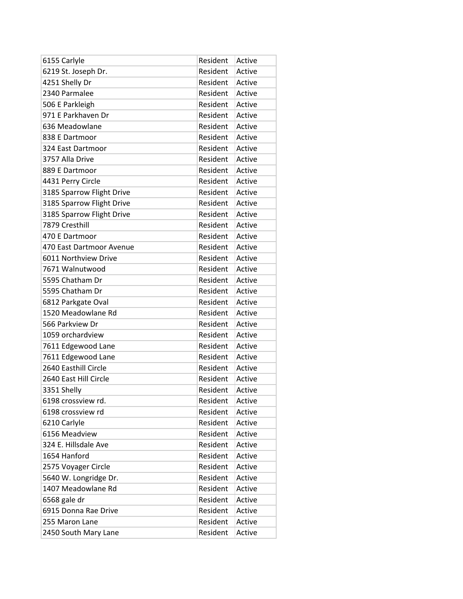| 6155 Carlyle              | Resident | Active |
|---------------------------|----------|--------|
| 6219 St. Joseph Dr.       | Resident | Active |
| 4251 Shelly Dr            | Resident | Active |
| 2340 Parmalee             | Resident | Active |
| 506 E Parkleigh           | Resident | Active |
| 971 E Parkhaven Dr        | Resident | Active |
| 636 Meadowlane            | Resident | Active |
| 838 E Dartmoor            | Resident | Active |
| 324 East Dartmoor         | Resident | Active |
| 3757 Alla Drive           | Resident | Active |
| 889 E Dartmoor            | Resident | Active |
| 4431 Perry Circle         | Resident | Active |
| 3185 Sparrow Flight Drive | Resident | Active |
| 3185 Sparrow Flight Drive | Resident | Active |
| 3185 Sparrow Flight Drive | Resident | Active |
| 7879 Cresthill            | Resident | Active |
| 470 E Dartmoor            | Resident | Active |
| 470 East Dartmoor Avenue  | Resident | Active |
| 6011 Northview Drive      | Resident | Active |
| 7671 Walnutwood           | Resident | Active |
| 5595 Chatham Dr           | Resident | Active |
| 5595 Chatham Dr           | Resident | Active |
| 6812 Parkgate Oval        | Resident | Active |
| 1520 Meadowlane Rd        | Resident | Active |
| 566 Parkview Dr           | Resident | Active |
| 1059 orchardview          | Resident | Active |
| 7611 Edgewood Lane        | Resident | Active |
| 7611 Edgewood Lane        | Resident | Active |
| 2640 Easthill Circle      | Resident | Active |
| 2640 East Hill Circle     | Resident | Active |
| 3351 Shelly               | Resident | Active |
| 6198 crossview rd.        | Resident | Active |
| 6198 crossview rd         | Resident | Active |
| 6210 Carlyle              | Resident | Active |
| 6156 Meadview             | Resident | Active |
| 324 E. Hillsdale Ave      | Resident | Active |
| 1654 Hanford              | Resident | Active |
| 2575 Voyager Circle       | Resident | Active |
| 5640 W. Longridge Dr.     | Resident | Active |
| 1407 Meadowlane Rd        | Resident | Active |
| 6568 gale dr              | Resident | Active |
| 6915 Donna Rae Drive      | Resident | Active |
| 255 Maron Lane            | Resident | Active |
| 2450 South Mary Lane      | Resident | Active |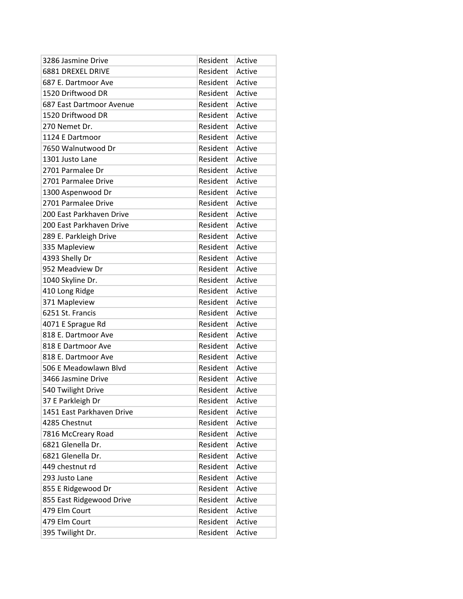| 3286 Jasmine Drive        | Resident | Active |
|---------------------------|----------|--------|
| <b>6881 DREXEL DRIVE</b>  | Resident | Active |
| 687 E. Dartmoor Ave       | Resident | Active |
| 1520 Driftwood DR         | Resident | Active |
| 687 East Dartmoor Avenue  | Resident | Active |
| 1520 Driftwood DR         | Resident | Active |
| 270 Nemet Dr.             | Resident | Active |
| 1124 E Dartmoor           | Resident | Active |
| 7650 Walnutwood Dr        | Resident | Active |
| 1301 Justo Lane           | Resident | Active |
| 2701 Parmalee Dr          | Resident | Active |
| 2701 Parmalee Drive       | Resident | Active |
| 1300 Aspenwood Dr         | Resident | Active |
| 2701 Parmalee Drive       | Resident | Active |
| 200 East Parkhaven Drive  | Resident | Active |
| 200 East Parkhaven Drive  | Resident | Active |
| 289 E. Parkleigh Drive    | Resident | Active |
| 335 Mapleview             | Resident | Active |
| 4393 Shelly Dr            | Resident | Active |
| 952 Meadview Dr           | Resident | Active |
| 1040 Skyline Dr.          | Resident | Active |
| 410 Long Ridge            | Resident | Active |
| 371 Mapleview             | Resident | Active |
| 6251 St. Francis          | Resident | Active |
| 4071 E Sprague Rd         | Resident | Active |
| 818 E. Dartmoor Ave       | Resident | Active |
| 818 E Dartmoor Ave        | Resident | Active |
| 818 E. Dartmoor Ave       | Resident | Active |
| 506 E Meadowlawn Blvd     | Resident | Active |
| 3466 Jasmine Drive        | Resident | Active |
| 540 Twilight Drive        | Resident | Active |
| 37 E Parkleigh Dr         | Resident | Active |
| 1451 East Parkhaven Drive | Resident | Active |
| 4285 Chestnut             | Resident | Active |
| 7816 McCreary Road        | Resident | Active |
| 6821 Glenella Dr.         | Resident | Active |
| 6821 Glenella Dr.         | Resident | Active |
| 449 chestnut rd           | Resident | Active |
| 293 Justo Lane            | Resident | Active |
| 855 E Ridgewood Dr        | Resident | Active |
| 855 East Ridgewood Drive  | Resident | Active |
| 479 Elm Court             | Resident | Active |
| 479 Elm Court             | Resident | Active |
| 395 Twilight Dr.          | Resident | Active |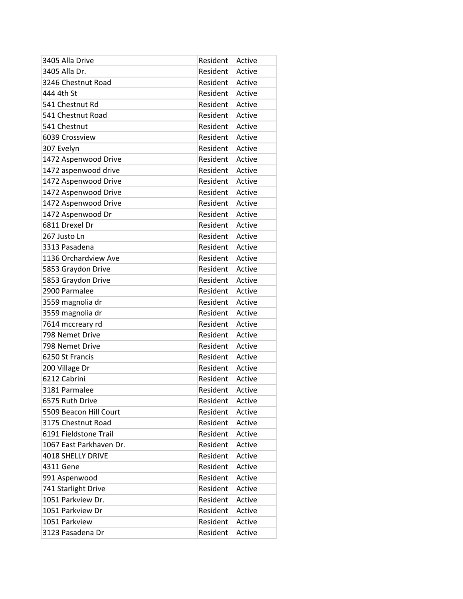| 3405 Alla Drive         | Resident | Active |
|-------------------------|----------|--------|
| 3405 Alla Dr.           | Resident | Active |
| 3246 Chestnut Road      | Resident | Active |
| 444 4th St              | Resident | Active |
| 541 Chestnut Rd         | Resident | Active |
| 541 Chestnut Road       | Resident | Active |
| 541 Chestnut            | Resident | Active |
| 6039 Crossview          | Resident | Active |
| 307 Evelyn              | Resident | Active |
| 1472 Aspenwood Drive    | Resident | Active |
| 1472 aspenwood drive    | Resident | Active |
| 1472 Aspenwood Drive    | Resident | Active |
| 1472 Aspenwood Drive    | Resident | Active |
| 1472 Aspenwood Drive    | Resident | Active |
| 1472 Aspenwood Dr       | Resident | Active |
| 6811 Drexel Dr          | Resident | Active |
| 267 Justo Ln            | Resident | Active |
| 3313 Pasadena           | Resident | Active |
| 1136 Orchardview Ave    | Resident | Active |
| 5853 Graydon Drive      | Resident | Active |
| 5853 Graydon Drive      | Resident | Active |
| 2900 Parmalee           | Resident | Active |
| 3559 magnolia dr        | Resident | Active |
| 3559 magnolia dr        | Resident | Active |
| 7614 mccreary rd        | Resident | Active |
| 798 Nemet Drive         | Resident | Active |
| 798 Nemet Drive         | Resident | Active |
| 6250 St Francis         | Resident | Active |
| 200 Village Dr          | Resident | Active |
| 6212 Cabrini            | Resident | Active |
| 3181 Parmalee           | Resident | Active |
| 6575 Ruth Drive         | Resident | Active |
| 5509 Beacon Hill Court  | Resident | Active |
| 3175 Chestnut Road      | Resident | Active |
| 6191 Fieldstone Trail   | Resident | Active |
| 1067 East Parkhaven Dr. | Resident | Active |
| 4018 SHELLY DRIVE       | Resident | Active |
| 4311 Gene               | Resident | Active |
| 991 Aspenwood           | Resident | Active |
| 741 Starlight Drive     | Resident | Active |
| 1051 Parkview Dr.       | Resident | Active |
| 1051 Parkview Dr        | Resident | Active |
| 1051 Parkview           | Resident | Active |
| 3123 Pasadena Dr        | Resident | Active |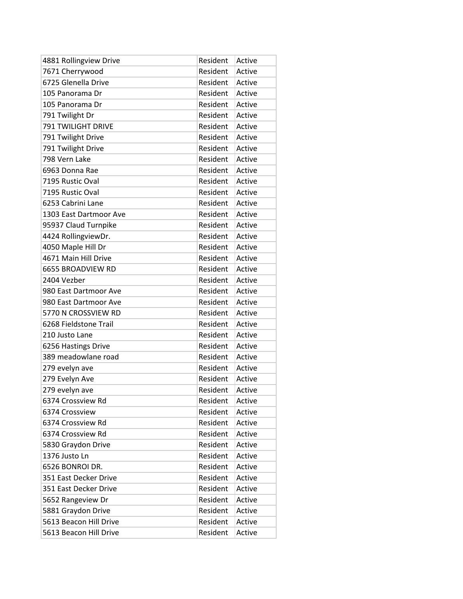| 4881 Rollingview Drive    | Resident | Active |
|---------------------------|----------|--------|
| 7671 Cherrywood           | Resident | Active |
| 6725 Glenella Drive       | Resident | Active |
| 105 Panorama Dr           | Resident | Active |
| 105 Panorama Dr           | Resident | Active |
| 791 Twilight Dr           | Resident | Active |
| <b>791 TWILIGHT DRIVE</b> | Resident | Active |
| 791 Twilight Drive        | Resident | Active |
| 791 Twilight Drive        | Resident | Active |
| 798 Vern Lake             | Resident | Active |
| 6963 Donna Rae            | Resident | Active |
| 7195 Rustic Oval          | Resident | Active |
| 7195 Rustic Oval          | Resident | Active |
| 6253 Cabrini Lane         | Resident | Active |
| 1303 East Dartmoor Ave    | Resident | Active |
| 95937 Claud Turnpike      | Resident | Active |
| 4424 RollingviewDr.       | Resident | Active |
| 4050 Maple Hill Dr        | Resident | Active |
| 4671 Main Hill Drive      | Resident | Active |
| <b>6655 BROADVIEW RD</b>  | Resident | Active |
| 2404 Vezber               | Resident | Active |
| 980 East Dartmoor Ave     | Resident | Active |
| 980 East Dartmoor Ave     | Resident | Active |
| 5770 N CROSSVIEW RD       | Resident | Active |
| 6268 Fieldstone Trail     | Resident | Active |
| 210 Justo Lane            | Resident | Active |
| 6256 Hastings Drive       | Resident | Active |
| 389 meadowlane road       | Resident | Active |
| 279 evelyn ave            | Resident | Active |
| 279 Evelyn Ave            | Resident | Active |
| 279 evelyn ave            | Resident | Active |
| 6374 Crossview Rd         | Resident | Active |
| 6374 Crossview            | Resident | Active |
| 6374 Crossview Rd         | Resident | Active |
| 6374 Crossview Rd         | Resident | Active |
| 5830 Graydon Drive        | Resident | Active |
| 1376 Justo Ln             | Resident | Active |
| 6526 BONROI DR.           | Resident | Active |
| 351 East Decker Drive     | Resident | Active |
| 351 East Decker Drive     | Resident | Active |
| 5652 Rangeview Dr         | Resident | Active |
| 5881 Graydon Drive        | Resident | Active |
| 5613 Beacon Hill Drive    | Resident | Active |
| 5613 Beacon Hill Drive    | Resident | Active |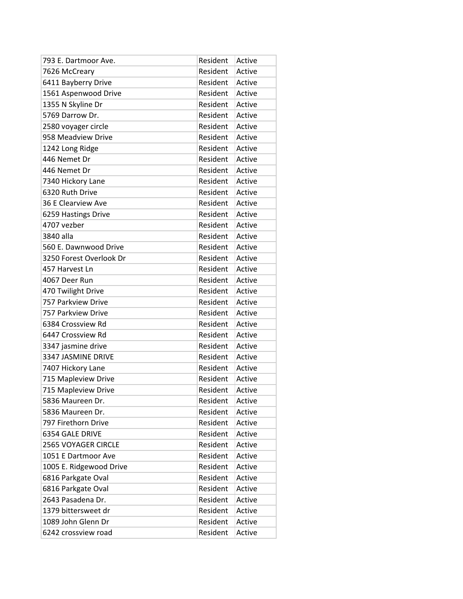| Resident<br>Active<br>7626 McCreary<br>Resident<br>6411 Bayberry Drive<br>Active<br>1561 Aspenwood Drive<br>Resident<br>Active<br>1355 N Skyline Dr<br>Resident<br>Active<br>5769 Darrow Dr.<br>Resident<br>Active<br>Resident<br>2580 voyager circle<br>Active<br>958 Meadview Drive<br>Resident<br>Active<br>Resident<br>1242 Long Ridge<br>Active<br>446 Nemet Dr<br>Resident<br>Active<br>Resident<br>446 Nemet Dr<br>Active<br>Resident<br>7340 Hickory Lane<br>Active<br>6320 Ruth Drive<br>Resident<br>Active<br>36 E Clearview Ave<br>Resident<br>Active<br>Resident<br>6259 Hastings Drive<br>Active<br>4707 vezber<br>Resident<br>Active<br>3840 alla<br>Resident<br>Active<br>Resident<br>560 E. Dawnwood Drive<br>Active<br>3250 Forest Overlook Dr<br>Resident<br>Active<br>Resident<br>457 Harvest Ln<br>Active<br>Resident<br>4067 Deer Run<br>Active<br>470 Twilight Drive<br>Resident<br>Active<br>757 Parkview Drive<br>Resident<br>Active<br>Resident<br>757 Parkview Drive<br>Active<br>6384 Crossview Rd<br>Resident<br>Active<br>Resident<br>6447 Crossview Rd<br>Active<br>Resident<br>3347 jasmine drive<br>Active<br>3347 JASMINE DRIVE<br>Resident<br>Active<br>Resident<br>7407 Hickory Lane<br>Active<br>715 Mapleview Drive<br>Resident<br>Active<br>715 Mapleview Drive<br>Resident<br>Active<br>Resident<br>Active<br>5836 Maureen Dr.<br>Resident<br>5836 Maureen Dr.<br>Active<br>Resident<br>797 Firethorn Drive<br>Active<br>6354 GALE DRIVE<br>Resident<br>Active<br>2565 VOYAGER CIRCLE<br>Resident<br>Active<br>Resident<br>1051 E Dartmoor Ave<br>Active<br>1005 E. Ridgewood Drive<br>Resident<br>Active<br>Resident<br>6816 Parkgate Oval<br>Active<br>Resident<br>6816 Parkgate Oval<br>Active<br>2643 Pasadena Dr.<br>Resident<br>Active<br>1379 bittersweet dr<br>Resident<br>Active<br>1089 John Glenn Dr<br>Resident<br>Active<br>Resident<br>6242 crossview road<br>Active | 793 E. Dartmoor Ave. | Resident | Active |
|---------------------------------------------------------------------------------------------------------------------------------------------------------------------------------------------------------------------------------------------------------------------------------------------------------------------------------------------------------------------------------------------------------------------------------------------------------------------------------------------------------------------------------------------------------------------------------------------------------------------------------------------------------------------------------------------------------------------------------------------------------------------------------------------------------------------------------------------------------------------------------------------------------------------------------------------------------------------------------------------------------------------------------------------------------------------------------------------------------------------------------------------------------------------------------------------------------------------------------------------------------------------------------------------------------------------------------------------------------------------------------------------------------------------------------------------------------------------------------------------------------------------------------------------------------------------------------------------------------------------------------------------------------------------------------------------------------------------------------------------------------------------------------------------------------------------------------------------------------------------------------------------------------------------------|----------------------|----------|--------|
|                                                                                                                                                                                                                                                                                                                                                                                                                                                                                                                                                                                                                                                                                                                                                                                                                                                                                                                                                                                                                                                                                                                                                                                                                                                                                                                                                                                                                                                                                                                                                                                                                                                                                                                                                                                                                                                                                                                           |                      |          |        |
|                                                                                                                                                                                                                                                                                                                                                                                                                                                                                                                                                                                                                                                                                                                                                                                                                                                                                                                                                                                                                                                                                                                                                                                                                                                                                                                                                                                                                                                                                                                                                                                                                                                                                                                                                                                                                                                                                                                           |                      |          |        |
|                                                                                                                                                                                                                                                                                                                                                                                                                                                                                                                                                                                                                                                                                                                                                                                                                                                                                                                                                                                                                                                                                                                                                                                                                                                                                                                                                                                                                                                                                                                                                                                                                                                                                                                                                                                                                                                                                                                           |                      |          |        |
|                                                                                                                                                                                                                                                                                                                                                                                                                                                                                                                                                                                                                                                                                                                                                                                                                                                                                                                                                                                                                                                                                                                                                                                                                                                                                                                                                                                                                                                                                                                                                                                                                                                                                                                                                                                                                                                                                                                           |                      |          |        |
|                                                                                                                                                                                                                                                                                                                                                                                                                                                                                                                                                                                                                                                                                                                                                                                                                                                                                                                                                                                                                                                                                                                                                                                                                                                                                                                                                                                                                                                                                                                                                                                                                                                                                                                                                                                                                                                                                                                           |                      |          |        |
|                                                                                                                                                                                                                                                                                                                                                                                                                                                                                                                                                                                                                                                                                                                                                                                                                                                                                                                                                                                                                                                                                                                                                                                                                                                                                                                                                                                                                                                                                                                                                                                                                                                                                                                                                                                                                                                                                                                           |                      |          |        |
|                                                                                                                                                                                                                                                                                                                                                                                                                                                                                                                                                                                                                                                                                                                                                                                                                                                                                                                                                                                                                                                                                                                                                                                                                                                                                                                                                                                                                                                                                                                                                                                                                                                                                                                                                                                                                                                                                                                           |                      |          |        |
|                                                                                                                                                                                                                                                                                                                                                                                                                                                                                                                                                                                                                                                                                                                                                                                                                                                                                                                                                                                                                                                                                                                                                                                                                                                                                                                                                                                                                                                                                                                                                                                                                                                                                                                                                                                                                                                                                                                           |                      |          |        |
|                                                                                                                                                                                                                                                                                                                                                                                                                                                                                                                                                                                                                                                                                                                                                                                                                                                                                                                                                                                                                                                                                                                                                                                                                                                                                                                                                                                                                                                                                                                                                                                                                                                                                                                                                                                                                                                                                                                           |                      |          |        |
|                                                                                                                                                                                                                                                                                                                                                                                                                                                                                                                                                                                                                                                                                                                                                                                                                                                                                                                                                                                                                                                                                                                                                                                                                                                                                                                                                                                                                                                                                                                                                                                                                                                                                                                                                                                                                                                                                                                           |                      |          |        |
|                                                                                                                                                                                                                                                                                                                                                                                                                                                                                                                                                                                                                                                                                                                                                                                                                                                                                                                                                                                                                                                                                                                                                                                                                                                                                                                                                                                                                                                                                                                                                                                                                                                                                                                                                                                                                                                                                                                           |                      |          |        |
|                                                                                                                                                                                                                                                                                                                                                                                                                                                                                                                                                                                                                                                                                                                                                                                                                                                                                                                                                                                                                                                                                                                                                                                                                                                                                                                                                                                                                                                                                                                                                                                                                                                                                                                                                                                                                                                                                                                           |                      |          |        |
|                                                                                                                                                                                                                                                                                                                                                                                                                                                                                                                                                                                                                                                                                                                                                                                                                                                                                                                                                                                                                                                                                                                                                                                                                                                                                                                                                                                                                                                                                                                                                                                                                                                                                                                                                                                                                                                                                                                           |                      |          |        |
|                                                                                                                                                                                                                                                                                                                                                                                                                                                                                                                                                                                                                                                                                                                                                                                                                                                                                                                                                                                                                                                                                                                                                                                                                                                                                                                                                                                                                                                                                                                                                                                                                                                                                                                                                                                                                                                                                                                           |                      |          |        |
|                                                                                                                                                                                                                                                                                                                                                                                                                                                                                                                                                                                                                                                                                                                                                                                                                                                                                                                                                                                                                                                                                                                                                                                                                                                                                                                                                                                                                                                                                                                                                                                                                                                                                                                                                                                                                                                                                                                           |                      |          |        |
|                                                                                                                                                                                                                                                                                                                                                                                                                                                                                                                                                                                                                                                                                                                                                                                                                                                                                                                                                                                                                                                                                                                                                                                                                                                                                                                                                                                                                                                                                                                                                                                                                                                                                                                                                                                                                                                                                                                           |                      |          |        |
|                                                                                                                                                                                                                                                                                                                                                                                                                                                                                                                                                                                                                                                                                                                                                                                                                                                                                                                                                                                                                                                                                                                                                                                                                                                                                                                                                                                                                                                                                                                                                                                                                                                                                                                                                                                                                                                                                                                           |                      |          |        |
|                                                                                                                                                                                                                                                                                                                                                                                                                                                                                                                                                                                                                                                                                                                                                                                                                                                                                                                                                                                                                                                                                                                                                                                                                                                                                                                                                                                                                                                                                                                                                                                                                                                                                                                                                                                                                                                                                                                           |                      |          |        |
|                                                                                                                                                                                                                                                                                                                                                                                                                                                                                                                                                                                                                                                                                                                                                                                                                                                                                                                                                                                                                                                                                                                                                                                                                                                                                                                                                                                                                                                                                                                                                                                                                                                                                                                                                                                                                                                                                                                           |                      |          |        |
|                                                                                                                                                                                                                                                                                                                                                                                                                                                                                                                                                                                                                                                                                                                                                                                                                                                                                                                                                                                                                                                                                                                                                                                                                                                                                                                                                                                                                                                                                                                                                                                                                                                                                                                                                                                                                                                                                                                           |                      |          |        |
|                                                                                                                                                                                                                                                                                                                                                                                                                                                                                                                                                                                                                                                                                                                                                                                                                                                                                                                                                                                                                                                                                                                                                                                                                                                                                                                                                                                                                                                                                                                                                                                                                                                                                                                                                                                                                                                                                                                           |                      |          |        |
|                                                                                                                                                                                                                                                                                                                                                                                                                                                                                                                                                                                                                                                                                                                                                                                                                                                                                                                                                                                                                                                                                                                                                                                                                                                                                                                                                                                                                                                                                                                                                                                                                                                                                                                                                                                                                                                                                                                           |                      |          |        |
|                                                                                                                                                                                                                                                                                                                                                                                                                                                                                                                                                                                                                                                                                                                                                                                                                                                                                                                                                                                                                                                                                                                                                                                                                                                                                                                                                                                                                                                                                                                                                                                                                                                                                                                                                                                                                                                                                                                           |                      |          |        |
|                                                                                                                                                                                                                                                                                                                                                                                                                                                                                                                                                                                                                                                                                                                                                                                                                                                                                                                                                                                                                                                                                                                                                                                                                                                                                                                                                                                                                                                                                                                                                                                                                                                                                                                                                                                                                                                                                                                           |                      |          |        |
|                                                                                                                                                                                                                                                                                                                                                                                                                                                                                                                                                                                                                                                                                                                                                                                                                                                                                                                                                                                                                                                                                                                                                                                                                                                                                                                                                                                                                                                                                                                                                                                                                                                                                                                                                                                                                                                                                                                           |                      |          |        |
|                                                                                                                                                                                                                                                                                                                                                                                                                                                                                                                                                                                                                                                                                                                                                                                                                                                                                                                                                                                                                                                                                                                                                                                                                                                                                                                                                                                                                                                                                                                                                                                                                                                                                                                                                                                                                                                                                                                           |                      |          |        |
|                                                                                                                                                                                                                                                                                                                                                                                                                                                                                                                                                                                                                                                                                                                                                                                                                                                                                                                                                                                                                                                                                                                                                                                                                                                                                                                                                                                                                                                                                                                                                                                                                                                                                                                                                                                                                                                                                                                           |                      |          |        |
|                                                                                                                                                                                                                                                                                                                                                                                                                                                                                                                                                                                                                                                                                                                                                                                                                                                                                                                                                                                                                                                                                                                                                                                                                                                                                                                                                                                                                                                                                                                                                                                                                                                                                                                                                                                                                                                                                                                           |                      |          |        |
|                                                                                                                                                                                                                                                                                                                                                                                                                                                                                                                                                                                                                                                                                                                                                                                                                                                                                                                                                                                                                                                                                                                                                                                                                                                                                                                                                                                                                                                                                                                                                                                                                                                                                                                                                                                                                                                                                                                           |                      |          |        |
|                                                                                                                                                                                                                                                                                                                                                                                                                                                                                                                                                                                                                                                                                                                                                                                                                                                                                                                                                                                                                                                                                                                                                                                                                                                                                                                                                                                                                                                                                                                                                                                                                                                                                                                                                                                                                                                                                                                           |                      |          |        |
|                                                                                                                                                                                                                                                                                                                                                                                                                                                                                                                                                                                                                                                                                                                                                                                                                                                                                                                                                                                                                                                                                                                                                                                                                                                                                                                                                                                                                                                                                                                                                                                                                                                                                                                                                                                                                                                                                                                           |                      |          |        |
|                                                                                                                                                                                                                                                                                                                                                                                                                                                                                                                                                                                                                                                                                                                                                                                                                                                                                                                                                                                                                                                                                                                                                                                                                                                                                                                                                                                                                                                                                                                                                                                                                                                                                                                                                                                                                                                                                                                           |                      |          |        |
|                                                                                                                                                                                                                                                                                                                                                                                                                                                                                                                                                                                                                                                                                                                                                                                                                                                                                                                                                                                                                                                                                                                                                                                                                                                                                                                                                                                                                                                                                                                                                                                                                                                                                                                                                                                                                                                                                                                           |                      |          |        |
|                                                                                                                                                                                                                                                                                                                                                                                                                                                                                                                                                                                                                                                                                                                                                                                                                                                                                                                                                                                                                                                                                                                                                                                                                                                                                                                                                                                                                                                                                                                                                                                                                                                                                                                                                                                                                                                                                                                           |                      |          |        |
|                                                                                                                                                                                                                                                                                                                                                                                                                                                                                                                                                                                                                                                                                                                                                                                                                                                                                                                                                                                                                                                                                                                                                                                                                                                                                                                                                                                                                                                                                                                                                                                                                                                                                                                                                                                                                                                                                                                           |                      |          |        |
|                                                                                                                                                                                                                                                                                                                                                                                                                                                                                                                                                                                                                                                                                                                                                                                                                                                                                                                                                                                                                                                                                                                                                                                                                                                                                                                                                                                                                                                                                                                                                                                                                                                                                                                                                                                                                                                                                                                           |                      |          |        |
|                                                                                                                                                                                                                                                                                                                                                                                                                                                                                                                                                                                                                                                                                                                                                                                                                                                                                                                                                                                                                                                                                                                                                                                                                                                                                                                                                                                                                                                                                                                                                                                                                                                                                                                                                                                                                                                                                                                           |                      |          |        |
|                                                                                                                                                                                                                                                                                                                                                                                                                                                                                                                                                                                                                                                                                                                                                                                                                                                                                                                                                                                                                                                                                                                                                                                                                                                                                                                                                                                                                                                                                                                                                                                                                                                                                                                                                                                                                                                                                                                           |                      |          |        |
|                                                                                                                                                                                                                                                                                                                                                                                                                                                                                                                                                                                                                                                                                                                                                                                                                                                                                                                                                                                                                                                                                                                                                                                                                                                                                                                                                                                                                                                                                                                                                                                                                                                                                                                                                                                                                                                                                                                           |                      |          |        |
|                                                                                                                                                                                                                                                                                                                                                                                                                                                                                                                                                                                                                                                                                                                                                                                                                                                                                                                                                                                                                                                                                                                                                                                                                                                                                                                                                                                                                                                                                                                                                                                                                                                                                                                                                                                                                                                                                                                           |                      |          |        |
|                                                                                                                                                                                                                                                                                                                                                                                                                                                                                                                                                                                                                                                                                                                                                                                                                                                                                                                                                                                                                                                                                                                                                                                                                                                                                                                                                                                                                                                                                                                                                                                                                                                                                                                                                                                                                                                                                                                           |                      |          |        |
|                                                                                                                                                                                                                                                                                                                                                                                                                                                                                                                                                                                                                                                                                                                                                                                                                                                                                                                                                                                                                                                                                                                                                                                                                                                                                                                                                                                                                                                                                                                                                                                                                                                                                                                                                                                                                                                                                                                           |                      |          |        |
|                                                                                                                                                                                                                                                                                                                                                                                                                                                                                                                                                                                                                                                                                                                                                                                                                                                                                                                                                                                                                                                                                                                                                                                                                                                                                                                                                                                                                                                                                                                                                                                                                                                                                                                                                                                                                                                                                                                           |                      |          |        |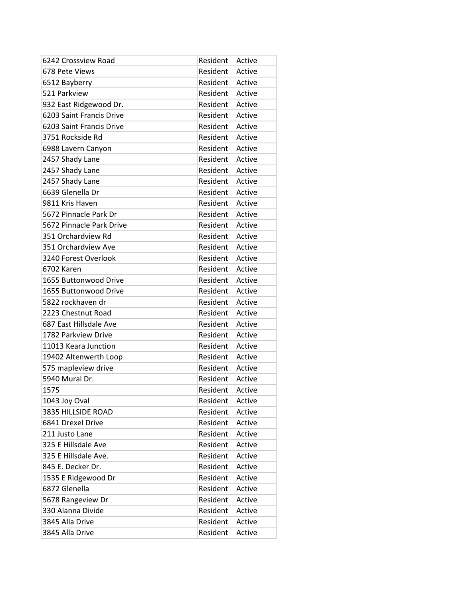| 6242 Crossview Road      | Resident | Active |
|--------------------------|----------|--------|
| 678 Pete Views           | Resident | Active |
| 6512 Bayberry            | Resident | Active |
| 521 Parkview             | Resident | Active |
| 932 East Ridgewood Dr.   | Resident | Active |
| 6203 Saint Francis Drive | Resident | Active |
| 6203 Saint Francis Drive | Resident | Active |
| 3751 Rockside Rd         | Resident | Active |
| 6988 Lavern Canyon       | Resident | Active |
| 2457 Shady Lane          | Resident | Active |
| 2457 Shady Lane          | Resident | Active |
| 2457 Shady Lane          | Resident | Active |
| 6639 Glenella Dr         | Resident | Active |
| 9811 Kris Haven          | Resident | Active |
| 5672 Pinnacle Park Dr    | Resident | Active |
| 5672 Pinnacle Park Drive | Resident | Active |
| 351 Orchardview Rd       | Resident | Active |
| 351 Orchardview Ave      | Resident | Active |
| 3240 Forest Overlook     | Resident | Active |
| 6702 Karen               | Resident | Active |
| 1655 Buttonwood Drive    | Resident | Active |
| 1655 Buttonwood Drive    | Resident | Active |
| 5822 rockhaven dr        | Resident | Active |
| 2223 Chestnut Road       | Resident | Active |
| 687 East Hillsdale Ave   | Resident | Active |
| 1782 Parkview Drive      | Resident | Active |
| 11013 Keara Junction     | Resident | Active |
| 19402 Altenwerth Loop    | Resident | Active |
| 575 mapleview drive      | Resident | Active |
| 5940 Mural Dr.           | Resident | Active |
| 1575                     | Resident | Active |
| 1043 Joy Oval            | Resident | Active |
| 3835 HILLSIDE ROAD       | Resident | Active |
| 6841 Drexel Drive        | Resident | Active |
| 211 Justo Lane           | Resident | Active |
| 325 E Hillsdale Ave      | Resident | Active |
| 325 E Hillsdale Ave.     | Resident | Active |
| 845 E. Decker Dr.        | Resident | Active |
| 1535 E Ridgewood Dr      | Resident | Active |
| 6872 Glenella            | Resident | Active |
| 5678 Rangeview Dr        | Resident | Active |
| 330 Alanna Divide        | Resident | Active |
| 3845 Alla Drive          | Resident | Active |
| 3845 Alla Drive          | Resident | Active |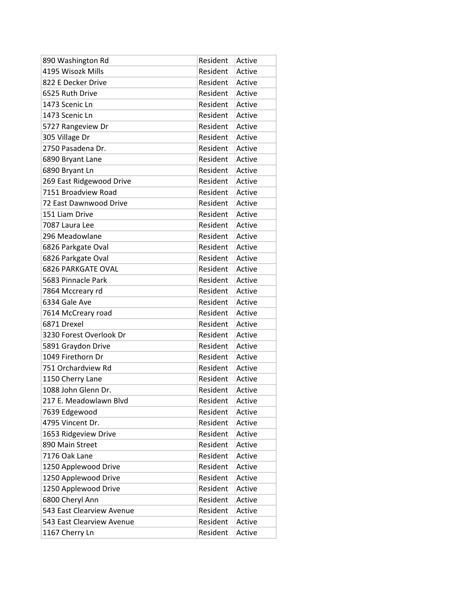| 890 Washington Rd         | Resident | Active |
|---------------------------|----------|--------|
| 4195 Wisozk Mills         | Resident | Active |
| 822 E Decker Drive        | Resident | Active |
| 6525 Ruth Drive           | Resident | Active |
| 1473 Scenic Ln            | Resident | Active |
| 1473 Scenic Ln            | Resident | Active |
| 5727 Rangeview Dr         | Resident | Active |
| 305 Village Dr            | Resident | Active |
| 2750 Pasadena Dr.         | Resident | Active |
| 6890 Bryant Lane          | Resident | Active |
| 6890 Bryant Ln            | Resident | Active |
| 269 East Ridgewood Drive  | Resident | Active |
| 7151 Broadview Road       | Resident | Active |
| 72 East Dawnwood Drive    | Resident | Active |
| 151 Liam Drive            | Resident | Active |
| 7087 Laura Lee            | Resident | Active |
| 296 Meadowlane            | Resident | Active |
| 6826 Parkgate Oval        | Resident | Active |
| 6826 Parkgate Oval        | Resident | Active |
| <b>6826 PARKGATE OVAL</b> | Resident | Active |
| 5683 Pinnacle Park        | Resident | Active |
| 7864 Mccreary rd          | Resident | Active |
| 6334 Gale Ave             | Resident | Active |
| 7614 McCreary road        | Resident | Active |
| 6871 Drexel               | Resident | Active |
| 3230 Forest Overlook Dr   | Resident | Active |
| 5891 Graydon Drive        | Resident | Active |
| 1049 Firethorn Dr         | Resident | Active |
| 751 Orchardview Rd        | Resident | Active |
| 1150 Cherry Lane          | Resident | Active |
| 1088 John Glenn Dr.       | Resident | Active |
| 217 E. Meadowlawn Blvd    | Resident | Active |
| 7639 Edgewood             | Resident | Active |
| 4795 Vincent Dr.          | Resident | Active |
| 1653 Ridgeview Drive      | Resident | Active |
| 890 Main Street           | Resident | Active |
| 7176 Oak Lane             | Resident | Active |
| 1250 Applewood Drive      | Resident | Active |
| 1250 Applewood Drive      | Resident | Active |
| 1250 Applewood Drive      | Resident | Active |
| 6800 Cheryl Ann           | Resident | Active |
| 543 East Clearview Avenue | Resident | Active |
| 543 East Clearview Avenue | Resident | Active |
| 1167 Cherry Ln            | Resident | Active |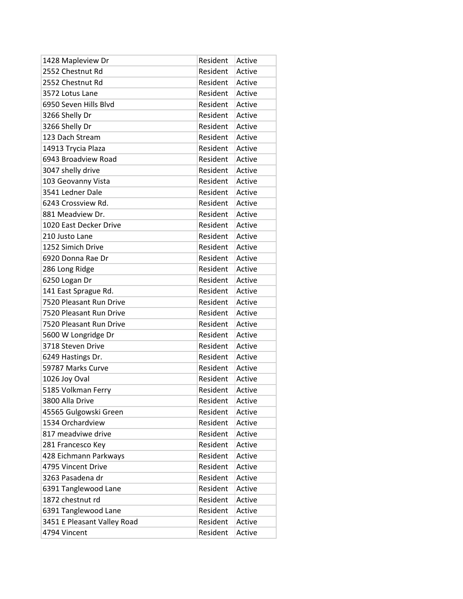| 2552 Chestnut Rd<br>Resident<br>Active<br>2552 Chestnut Rd<br>Resident<br>Active<br>Resident<br>3572 Lotus Lane<br>Active<br>6950 Seven Hills Blvd<br>Resident<br>Active<br>Resident<br>3266 Shelly Dr<br>Active<br>3266 Shelly Dr<br>Resident<br>Active<br>123 Dach Stream<br>Resident<br>Active<br>14913 Trycia Plaza<br>Resident<br>Active<br>6943 Broadview Road<br>Resident<br>Active<br>3047 shelly drive<br>Resident<br>Active<br>103 Geovanny Vista<br>Resident<br>Active<br>3541 Ledner Dale<br>Resident<br>Active<br>6243 Crossview Rd.<br>Resident<br>Active<br>881 Meadview Dr.<br>Resident<br>Active<br>Resident<br>1020 East Decker Drive<br>Active<br>Resident<br>Active<br>210 Justo Lane<br>1252 Simich Drive<br>Resident<br>Active<br>6920 Donna Rae Dr<br>Resident<br>Active<br>286 Long Ridge<br>Resident<br>Active<br>Resident<br>6250 Logan Dr<br>Active<br>141 East Sprague Rd.<br>Resident<br>Active<br>7520 Pleasant Run Drive<br>Resident<br>Active<br>Resident<br>7520 Pleasant Run Drive<br>Active<br>Resident<br>7520 Pleasant Run Drive<br>Active<br>5600 W Longridge Dr<br>Resident<br>Active<br>3718 Steven Drive<br>Resident<br>Active<br>Resident<br>6249 Hastings Dr.<br>Active<br>59787 Marks Curve<br>Resident<br>Active<br>1026 Joy Oval<br>Resident<br>Active<br>5185 Volkman Ferry<br>Resident<br>Active<br>3800 Alla Drive<br>Resident<br>Active<br>45565 Gulgowski Green<br>Resident<br>Active<br>1534 Orchardview<br>Resident<br>Active<br>817 meadviwe drive<br>Resident<br>Active<br>Resident<br>281 Francesco Key<br>Active<br>Resident<br>428 Eichmann Parkways<br>Active<br>4795 Vincent Drive<br>Resident<br>Active<br>3263 Pasadena dr<br>Resident<br>Active<br>6391 Tanglewood Lane<br>Resident<br>Active<br>1872 chestnut rd<br>Resident<br>Active<br>6391 Tanglewood Lane<br>Resident<br>Active<br>3451 E Pleasant Valley Road<br>Resident<br>Active<br>Resident<br>4794 Vincent<br>Active | 1428 Mapleview Dr | Resident | Active |
|-------------------------------------------------------------------------------------------------------------------------------------------------------------------------------------------------------------------------------------------------------------------------------------------------------------------------------------------------------------------------------------------------------------------------------------------------------------------------------------------------------------------------------------------------------------------------------------------------------------------------------------------------------------------------------------------------------------------------------------------------------------------------------------------------------------------------------------------------------------------------------------------------------------------------------------------------------------------------------------------------------------------------------------------------------------------------------------------------------------------------------------------------------------------------------------------------------------------------------------------------------------------------------------------------------------------------------------------------------------------------------------------------------------------------------------------------------------------------------------------------------------------------------------------------------------------------------------------------------------------------------------------------------------------------------------------------------------------------------------------------------------------------------------------------------------------------------------------------------------------------------------------------------------------------------------------------|-------------------|----------|--------|
|                                                                                                                                                                                                                                                                                                                                                                                                                                                                                                                                                                                                                                                                                                                                                                                                                                                                                                                                                                                                                                                                                                                                                                                                                                                                                                                                                                                                                                                                                                                                                                                                                                                                                                                                                                                                                                                                                                                                                 |                   |          |        |
|                                                                                                                                                                                                                                                                                                                                                                                                                                                                                                                                                                                                                                                                                                                                                                                                                                                                                                                                                                                                                                                                                                                                                                                                                                                                                                                                                                                                                                                                                                                                                                                                                                                                                                                                                                                                                                                                                                                                                 |                   |          |        |
|                                                                                                                                                                                                                                                                                                                                                                                                                                                                                                                                                                                                                                                                                                                                                                                                                                                                                                                                                                                                                                                                                                                                                                                                                                                                                                                                                                                                                                                                                                                                                                                                                                                                                                                                                                                                                                                                                                                                                 |                   |          |        |
|                                                                                                                                                                                                                                                                                                                                                                                                                                                                                                                                                                                                                                                                                                                                                                                                                                                                                                                                                                                                                                                                                                                                                                                                                                                                                                                                                                                                                                                                                                                                                                                                                                                                                                                                                                                                                                                                                                                                                 |                   |          |        |
|                                                                                                                                                                                                                                                                                                                                                                                                                                                                                                                                                                                                                                                                                                                                                                                                                                                                                                                                                                                                                                                                                                                                                                                                                                                                                                                                                                                                                                                                                                                                                                                                                                                                                                                                                                                                                                                                                                                                                 |                   |          |        |
|                                                                                                                                                                                                                                                                                                                                                                                                                                                                                                                                                                                                                                                                                                                                                                                                                                                                                                                                                                                                                                                                                                                                                                                                                                                                                                                                                                                                                                                                                                                                                                                                                                                                                                                                                                                                                                                                                                                                                 |                   |          |        |
|                                                                                                                                                                                                                                                                                                                                                                                                                                                                                                                                                                                                                                                                                                                                                                                                                                                                                                                                                                                                                                                                                                                                                                                                                                                                                                                                                                                                                                                                                                                                                                                                                                                                                                                                                                                                                                                                                                                                                 |                   |          |        |
|                                                                                                                                                                                                                                                                                                                                                                                                                                                                                                                                                                                                                                                                                                                                                                                                                                                                                                                                                                                                                                                                                                                                                                                                                                                                                                                                                                                                                                                                                                                                                                                                                                                                                                                                                                                                                                                                                                                                                 |                   |          |        |
|                                                                                                                                                                                                                                                                                                                                                                                                                                                                                                                                                                                                                                                                                                                                                                                                                                                                                                                                                                                                                                                                                                                                                                                                                                                                                                                                                                                                                                                                                                                                                                                                                                                                                                                                                                                                                                                                                                                                                 |                   |          |        |
|                                                                                                                                                                                                                                                                                                                                                                                                                                                                                                                                                                                                                                                                                                                                                                                                                                                                                                                                                                                                                                                                                                                                                                                                                                                                                                                                                                                                                                                                                                                                                                                                                                                                                                                                                                                                                                                                                                                                                 |                   |          |        |
|                                                                                                                                                                                                                                                                                                                                                                                                                                                                                                                                                                                                                                                                                                                                                                                                                                                                                                                                                                                                                                                                                                                                                                                                                                                                                                                                                                                                                                                                                                                                                                                                                                                                                                                                                                                                                                                                                                                                                 |                   |          |        |
|                                                                                                                                                                                                                                                                                                                                                                                                                                                                                                                                                                                                                                                                                                                                                                                                                                                                                                                                                                                                                                                                                                                                                                                                                                                                                                                                                                                                                                                                                                                                                                                                                                                                                                                                                                                                                                                                                                                                                 |                   |          |        |
|                                                                                                                                                                                                                                                                                                                                                                                                                                                                                                                                                                                                                                                                                                                                                                                                                                                                                                                                                                                                                                                                                                                                                                                                                                                                                                                                                                                                                                                                                                                                                                                                                                                                                                                                                                                                                                                                                                                                                 |                   |          |        |
|                                                                                                                                                                                                                                                                                                                                                                                                                                                                                                                                                                                                                                                                                                                                                                                                                                                                                                                                                                                                                                                                                                                                                                                                                                                                                                                                                                                                                                                                                                                                                                                                                                                                                                                                                                                                                                                                                                                                                 |                   |          |        |
|                                                                                                                                                                                                                                                                                                                                                                                                                                                                                                                                                                                                                                                                                                                                                                                                                                                                                                                                                                                                                                                                                                                                                                                                                                                                                                                                                                                                                                                                                                                                                                                                                                                                                                                                                                                                                                                                                                                                                 |                   |          |        |
|                                                                                                                                                                                                                                                                                                                                                                                                                                                                                                                                                                                                                                                                                                                                                                                                                                                                                                                                                                                                                                                                                                                                                                                                                                                                                                                                                                                                                                                                                                                                                                                                                                                                                                                                                                                                                                                                                                                                                 |                   |          |        |
|                                                                                                                                                                                                                                                                                                                                                                                                                                                                                                                                                                                                                                                                                                                                                                                                                                                                                                                                                                                                                                                                                                                                                                                                                                                                                                                                                                                                                                                                                                                                                                                                                                                                                                                                                                                                                                                                                                                                                 |                   |          |        |
|                                                                                                                                                                                                                                                                                                                                                                                                                                                                                                                                                                                                                                                                                                                                                                                                                                                                                                                                                                                                                                                                                                                                                                                                                                                                                                                                                                                                                                                                                                                                                                                                                                                                                                                                                                                                                                                                                                                                                 |                   |          |        |
|                                                                                                                                                                                                                                                                                                                                                                                                                                                                                                                                                                                                                                                                                                                                                                                                                                                                                                                                                                                                                                                                                                                                                                                                                                                                                                                                                                                                                                                                                                                                                                                                                                                                                                                                                                                                                                                                                                                                                 |                   |          |        |
|                                                                                                                                                                                                                                                                                                                                                                                                                                                                                                                                                                                                                                                                                                                                                                                                                                                                                                                                                                                                                                                                                                                                                                                                                                                                                                                                                                                                                                                                                                                                                                                                                                                                                                                                                                                                                                                                                                                                                 |                   |          |        |
|                                                                                                                                                                                                                                                                                                                                                                                                                                                                                                                                                                                                                                                                                                                                                                                                                                                                                                                                                                                                                                                                                                                                                                                                                                                                                                                                                                                                                                                                                                                                                                                                                                                                                                                                                                                                                                                                                                                                                 |                   |          |        |
|                                                                                                                                                                                                                                                                                                                                                                                                                                                                                                                                                                                                                                                                                                                                                                                                                                                                                                                                                                                                                                                                                                                                                                                                                                                                                                                                                                                                                                                                                                                                                                                                                                                                                                                                                                                                                                                                                                                                                 |                   |          |        |
|                                                                                                                                                                                                                                                                                                                                                                                                                                                                                                                                                                                                                                                                                                                                                                                                                                                                                                                                                                                                                                                                                                                                                                                                                                                                                                                                                                                                                                                                                                                                                                                                                                                                                                                                                                                                                                                                                                                                                 |                   |          |        |
|                                                                                                                                                                                                                                                                                                                                                                                                                                                                                                                                                                                                                                                                                                                                                                                                                                                                                                                                                                                                                                                                                                                                                                                                                                                                                                                                                                                                                                                                                                                                                                                                                                                                                                                                                                                                                                                                                                                                                 |                   |          |        |
|                                                                                                                                                                                                                                                                                                                                                                                                                                                                                                                                                                                                                                                                                                                                                                                                                                                                                                                                                                                                                                                                                                                                                                                                                                                                                                                                                                                                                                                                                                                                                                                                                                                                                                                                                                                                                                                                                                                                                 |                   |          |        |
|                                                                                                                                                                                                                                                                                                                                                                                                                                                                                                                                                                                                                                                                                                                                                                                                                                                                                                                                                                                                                                                                                                                                                                                                                                                                                                                                                                                                                                                                                                                                                                                                                                                                                                                                                                                                                                                                                                                                                 |                   |          |        |
|                                                                                                                                                                                                                                                                                                                                                                                                                                                                                                                                                                                                                                                                                                                                                                                                                                                                                                                                                                                                                                                                                                                                                                                                                                                                                                                                                                                                                                                                                                                                                                                                                                                                                                                                                                                                                                                                                                                                                 |                   |          |        |
|                                                                                                                                                                                                                                                                                                                                                                                                                                                                                                                                                                                                                                                                                                                                                                                                                                                                                                                                                                                                                                                                                                                                                                                                                                                                                                                                                                                                                                                                                                                                                                                                                                                                                                                                                                                                                                                                                                                                                 |                   |          |        |
|                                                                                                                                                                                                                                                                                                                                                                                                                                                                                                                                                                                                                                                                                                                                                                                                                                                                                                                                                                                                                                                                                                                                                                                                                                                                                                                                                                                                                                                                                                                                                                                                                                                                                                                                                                                                                                                                                                                                                 |                   |          |        |
|                                                                                                                                                                                                                                                                                                                                                                                                                                                                                                                                                                                                                                                                                                                                                                                                                                                                                                                                                                                                                                                                                                                                                                                                                                                                                                                                                                                                                                                                                                                                                                                                                                                                                                                                                                                                                                                                                                                                                 |                   |          |        |
|                                                                                                                                                                                                                                                                                                                                                                                                                                                                                                                                                                                                                                                                                                                                                                                                                                                                                                                                                                                                                                                                                                                                                                                                                                                                                                                                                                                                                                                                                                                                                                                                                                                                                                                                                                                                                                                                                                                                                 |                   |          |        |
|                                                                                                                                                                                                                                                                                                                                                                                                                                                                                                                                                                                                                                                                                                                                                                                                                                                                                                                                                                                                                                                                                                                                                                                                                                                                                                                                                                                                                                                                                                                                                                                                                                                                                                                                                                                                                                                                                                                                                 |                   |          |        |
|                                                                                                                                                                                                                                                                                                                                                                                                                                                                                                                                                                                                                                                                                                                                                                                                                                                                                                                                                                                                                                                                                                                                                                                                                                                                                                                                                                                                                                                                                                                                                                                                                                                                                                                                                                                                                                                                                                                                                 |                   |          |        |
|                                                                                                                                                                                                                                                                                                                                                                                                                                                                                                                                                                                                                                                                                                                                                                                                                                                                                                                                                                                                                                                                                                                                                                                                                                                                                                                                                                                                                                                                                                                                                                                                                                                                                                                                                                                                                                                                                                                                                 |                   |          |        |
|                                                                                                                                                                                                                                                                                                                                                                                                                                                                                                                                                                                                                                                                                                                                                                                                                                                                                                                                                                                                                                                                                                                                                                                                                                                                                                                                                                                                                                                                                                                                                                                                                                                                                                                                                                                                                                                                                                                                                 |                   |          |        |
|                                                                                                                                                                                                                                                                                                                                                                                                                                                                                                                                                                                                                                                                                                                                                                                                                                                                                                                                                                                                                                                                                                                                                                                                                                                                                                                                                                                                                                                                                                                                                                                                                                                                                                                                                                                                                                                                                                                                                 |                   |          |        |
|                                                                                                                                                                                                                                                                                                                                                                                                                                                                                                                                                                                                                                                                                                                                                                                                                                                                                                                                                                                                                                                                                                                                                                                                                                                                                                                                                                                                                                                                                                                                                                                                                                                                                                                                                                                                                                                                                                                                                 |                   |          |        |
|                                                                                                                                                                                                                                                                                                                                                                                                                                                                                                                                                                                                                                                                                                                                                                                                                                                                                                                                                                                                                                                                                                                                                                                                                                                                                                                                                                                                                                                                                                                                                                                                                                                                                                                                                                                                                                                                                                                                                 |                   |          |        |
|                                                                                                                                                                                                                                                                                                                                                                                                                                                                                                                                                                                                                                                                                                                                                                                                                                                                                                                                                                                                                                                                                                                                                                                                                                                                                                                                                                                                                                                                                                                                                                                                                                                                                                                                                                                                                                                                                                                                                 |                   |          |        |
|                                                                                                                                                                                                                                                                                                                                                                                                                                                                                                                                                                                                                                                                                                                                                                                                                                                                                                                                                                                                                                                                                                                                                                                                                                                                                                                                                                                                                                                                                                                                                                                                                                                                                                                                                                                                                                                                                                                                                 |                   |          |        |
|                                                                                                                                                                                                                                                                                                                                                                                                                                                                                                                                                                                                                                                                                                                                                                                                                                                                                                                                                                                                                                                                                                                                                                                                                                                                                                                                                                                                                                                                                                                                                                                                                                                                                                                                                                                                                                                                                                                                                 |                   |          |        |
|                                                                                                                                                                                                                                                                                                                                                                                                                                                                                                                                                                                                                                                                                                                                                                                                                                                                                                                                                                                                                                                                                                                                                                                                                                                                                                                                                                                                                                                                                                                                                                                                                                                                                                                                                                                                                                                                                                                                                 |                   |          |        |
|                                                                                                                                                                                                                                                                                                                                                                                                                                                                                                                                                                                                                                                                                                                                                                                                                                                                                                                                                                                                                                                                                                                                                                                                                                                                                                                                                                                                                                                                                                                                                                                                                                                                                                                                                                                                                                                                                                                                                 |                   |          |        |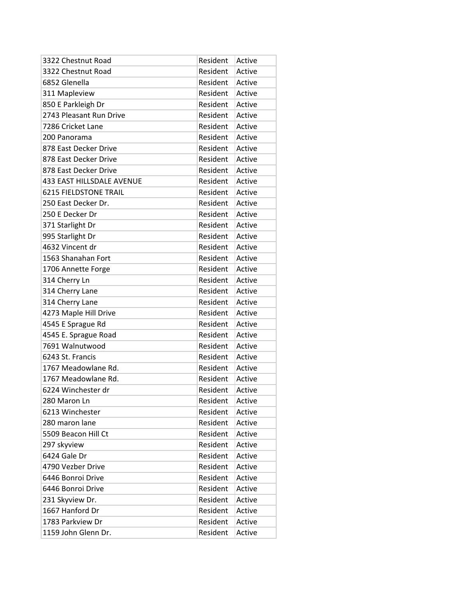| 3322 Chestnut Road           | Resident | Active |
|------------------------------|----------|--------|
| 3322 Chestnut Road           | Resident | Active |
| 6852 Glenella                | Resident | Active |
| 311 Mapleview                | Resident | Active |
| 850 E Parkleigh Dr           | Resident | Active |
| 2743 Pleasant Run Drive      | Resident | Active |
| 7286 Cricket Lane            | Resident | Active |
| 200 Panorama                 | Resident | Active |
| 878 East Decker Drive        | Resident | Active |
| 878 East Decker Drive        | Resident | Active |
| 878 East Decker Drive        | Resident | Active |
| 433 EAST HILLSDALE AVENUE    | Resident | Active |
| <b>6215 FIELDSTONE TRAIL</b> | Resident | Active |
| 250 East Decker Dr.          | Resident | Active |
| 250 E Decker Dr              | Resident | Active |
| 371 Starlight Dr             | Resident | Active |
| 995 Starlight Dr             | Resident | Active |
| 4632 Vincent dr              | Resident | Active |
| 1563 Shanahan Fort           | Resident | Active |
| 1706 Annette Forge           | Resident | Active |
| 314 Cherry Ln                | Resident | Active |
| 314 Cherry Lane              | Resident | Active |
| 314 Cherry Lane              | Resident | Active |
| 4273 Maple Hill Drive        | Resident | Active |
| 4545 E Sprague Rd            | Resident | Active |
| 4545 E. Sprague Road         | Resident | Active |
| 7691 Walnutwood              | Resident | Active |
| 6243 St. Francis             | Resident | Active |
| 1767 Meadowlane Rd.          | Resident | Active |
| 1767 Meadowlane Rd.          | Resident | Active |
| 6224 Winchester dr           | Resident | Active |
| 280 Maron Ln                 | Resident | Active |
| 6213 Winchester              | Resident | Active |
| 280 maron lane               | Resident | Active |
| 5509 Beacon Hill Ct          | Resident | Active |
| 297 skyview                  | Resident | Active |
| 6424 Gale Dr                 | Resident | Active |
| 4790 Vezber Drive            | Resident | Active |
| 6446 Bonroi Drive            | Resident | Active |
| 6446 Bonroi Drive            | Resident | Active |
| 231 Skyview Dr.              | Resident | Active |
| 1667 Hanford Dr              | Resident | Active |
|                              |          |        |
| 1783 Parkview Dr             | Resident | Active |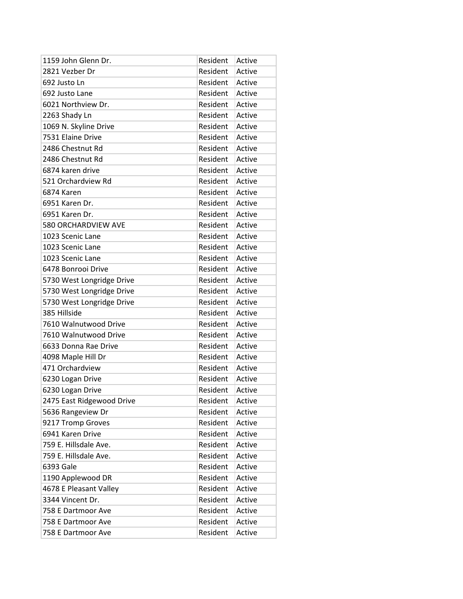| 1159 John Glenn Dr.       | Resident | Active |
|---------------------------|----------|--------|
| 2821 Vezber Dr            | Resident | Active |
| 692 Justo Ln              | Resident | Active |
| 692 Justo Lane            | Resident | Active |
| 6021 Northview Dr.        | Resident | Active |
| 2263 Shady Ln             | Resident | Active |
| 1069 N. Skyline Drive     | Resident | Active |
| 7531 Elaine Drive         | Resident | Active |
| 2486 Chestnut Rd          | Resident | Active |
| 2486 Chestnut Rd          | Resident | Active |
| 6874 karen drive          | Resident | Active |
| 521 Orchardview Rd        | Resident | Active |
| 6874 Karen                | Resident | Active |
| 6951 Karen Dr.            | Resident | Active |
| 6951 Karen Dr.            | Resident | Active |
| 580 ORCHARDVIEW AVE       | Resident | Active |
| 1023 Scenic Lane          | Resident | Active |
| 1023 Scenic Lane          | Resident | Active |
| 1023 Scenic Lane          | Resident | Active |
| 6478 Bonrooi Drive        | Resident | Active |
| 5730 West Longridge Drive | Resident | Active |
| 5730 West Longridge Drive | Resident | Active |
| 5730 West Longridge Drive | Resident | Active |
| 385 Hillside              | Resident | Active |
| 7610 Walnutwood Drive     | Resident | Active |
| 7610 Walnutwood Drive     | Resident | Active |
| 6633 Donna Rae Drive      | Resident | Active |
| 4098 Maple Hill Dr        | Resident | Active |
| 471 Orchardview           | Resident | Active |
| 6230 Logan Drive          | Resident | Active |
| 6230 Logan Drive          | Resident | Active |
| 2475 East Ridgewood Drive | Resident | Active |
| 5636 Rangeview Dr         | Resident | Active |
| 9217 Tromp Groves         | Resident | Active |
| 6941 Karen Drive          | Resident | Active |
| 759 E. Hillsdale Ave.     | Resident | Active |
| 759 E. Hillsdale Ave.     | Resident | Active |
| 6393 Gale                 | Resident | Active |
| 1190 Applewood DR         | Resident | Active |
| 4678 E Pleasant Valley    | Resident | Active |
| 3344 Vincent Dr.          | Resident | Active |
| 758 E Dartmoor Ave        | Resident | Active |
| 758 E Dartmoor Ave        | Resident | Active |
| 758 E Dartmoor Ave        | Resident | Active |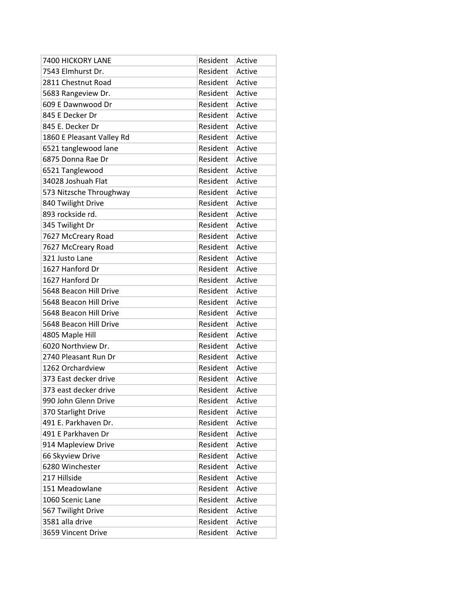| 7400 HICKORY LANE         | Resident | Active |
|---------------------------|----------|--------|
| 7543 Elmhurst Dr.         | Resident | Active |
| 2811 Chestnut Road        | Resident | Active |
| 5683 Rangeview Dr.        | Resident | Active |
| 609 E Dawnwood Dr         | Resident | Active |
| 845 E Decker Dr           | Resident | Active |
| 845 E. Decker Dr          | Resident | Active |
| 1860 E Pleasant Valley Rd | Resident | Active |
| 6521 tanglewood lane      | Resident | Active |
| 6875 Donna Rae Dr         | Resident | Active |
| 6521 Tanglewood           | Resident | Active |
| 34028 Joshuah Flat        | Resident | Active |
| 573 Nitzsche Throughway   | Resident | Active |
| 840 Twilight Drive        | Resident | Active |
| 893 rockside rd.          | Resident | Active |
| 345 Twilight Dr           | Resident | Active |
| 7627 McCreary Road        | Resident | Active |
| 7627 McCreary Road        | Resident | Active |
| 321 Justo Lane            | Resident | Active |
| 1627 Hanford Dr           | Resident | Active |
| 1627 Hanford Dr           | Resident | Active |
| 5648 Beacon Hill Drive    | Resident | Active |
| 5648 Beacon Hill Drive    | Resident | Active |
| 5648 Beacon Hill Drive    | Resident | Active |
| 5648 Beacon Hill Drive    | Resident | Active |
| 4805 Maple Hill           | Resident | Active |
| 6020 Northview Dr.        | Resident | Active |
| 2740 Pleasant Run Dr      | Resident | Active |
| 1262 Orchardview          | Resident | Active |
| 373 East decker drive     | Resident | Active |
| 373 east decker drive     | Resident | Active |
| 990 John Glenn Drive      | Resident | Active |
| 370 Starlight Drive       | Resident | Active |
| 491 E. Parkhaven Dr.      | Resident | Active |
| 491 E Parkhaven Dr        | Resident | Active |
| 914 Mapleview Drive       | Resident | Active |
| 66 Skyview Drive          | Resident | Active |
| 6280 Winchester           | Resident | Active |
| 217 Hillside              | Resident | Active |
| 151 Meadowlane            | Resident | Active |
| 1060 Scenic Lane          | Resident | Active |
| 567 Twilight Drive        | Resident | Active |
| 3581 alla drive           | Resident | Active |
| 3659 Vincent Drive        | Resident | Active |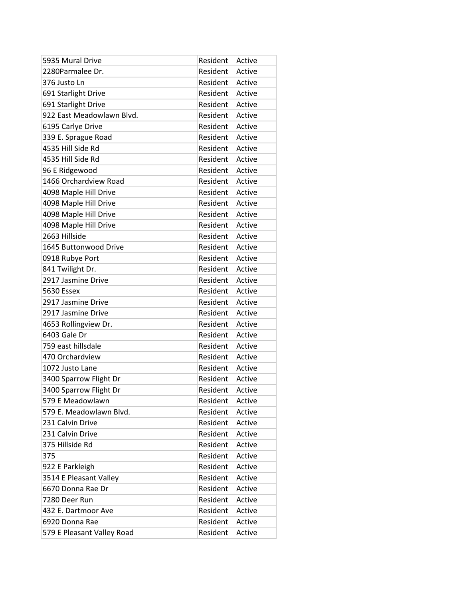| 5935 Mural Drive           | Resident | Active |
|----------------------------|----------|--------|
| 2280Parmalee Dr.           | Resident | Active |
| 376 Justo Ln               | Resident | Active |
| 691 Starlight Drive        | Resident | Active |
| 691 Starlight Drive        | Resident | Active |
| 922 East Meadowlawn Blvd.  | Resident | Active |
| 6195 Carlye Drive          | Resident | Active |
| 339 E. Sprague Road        | Resident | Active |
| 4535 Hill Side Rd          | Resident | Active |
| 4535 Hill Side Rd          | Resident | Active |
| 96 E Ridgewood             | Resident | Active |
| 1466 Orchardview Road      | Resident | Active |
| 4098 Maple Hill Drive      | Resident | Active |
| 4098 Maple Hill Drive      | Resident | Active |
| 4098 Maple Hill Drive      | Resident | Active |
| 4098 Maple Hill Drive      | Resident | Active |
| 2663 Hillside              | Resident | Active |
| 1645 Buttonwood Drive      | Resident | Active |
| 0918 Rubye Port            | Resident | Active |
| 841 Twilight Dr.           | Resident | Active |
| 2917 Jasmine Drive         | Resident | Active |
| 5630 Essex                 | Resident | Active |
| 2917 Jasmine Drive         | Resident | Active |
| 2917 Jasmine Drive         | Resident | Active |
| 4653 Rollingview Dr.       | Resident | Active |
| 6403 Gale Dr               | Resident | Active |
| 759 east hillsdale         | Resident | Active |
| 470 Orchardview            | Resident | Active |
| 1072 Justo Lane            | Resident | Active |
| 3400 Sparrow Flight Dr     | Resident | Active |
| 3400 Sparrow Flight Dr     | Resident | Active |
| 579 E Meadowlawn           | Resident | Active |
| 579 E. Meadowlawn Blvd.    | Resident | Active |
| 231 Calvin Drive           | Resident | Active |
| 231 Calvin Drive           | Resident | Active |
| 375 Hillside Rd            | Resident | Active |
| 375                        | Resident | Active |
| 922 E Parkleigh            | Resident | Active |
| 3514 E Pleasant Valley     | Resident | Active |
| 6670 Donna Rae Dr          | Resident | Active |
| 7280 Deer Run              | Resident | Active |
| 432 E. Dartmoor Ave        | Resident | Active |
| 6920 Donna Rae             | Resident | Active |
| 579 E Pleasant Valley Road | Resident | Active |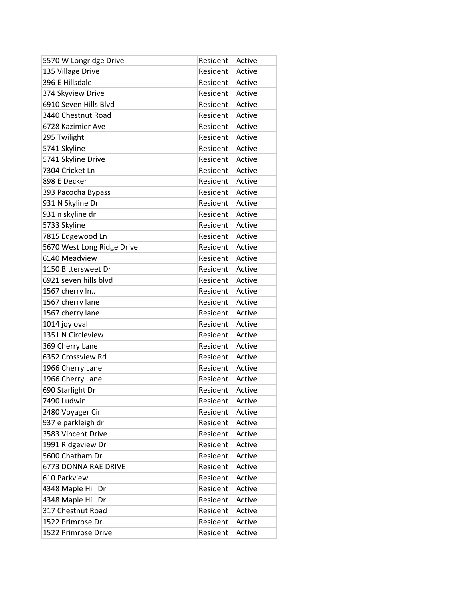| 5570 W Longridge Drive     | Resident | Active |
|----------------------------|----------|--------|
| 135 Village Drive          | Resident | Active |
| 396 E Hillsdale            | Resident | Active |
| 374 Skyview Drive          | Resident | Active |
| 6910 Seven Hills Blvd      | Resident | Active |
| 3440 Chestnut Road         | Resident | Active |
| 6728 Kazimier Ave          | Resident | Active |
| 295 Twilight               | Resident | Active |
| 5741 Skyline               | Resident | Active |
| 5741 Skyline Drive         | Resident | Active |
| 7304 Cricket Ln            | Resident | Active |
| 898 E Decker               | Resident | Active |
| 393 Pacocha Bypass         | Resident | Active |
| 931 N Skyline Dr           | Resident | Active |
| 931 n skyline dr           | Resident | Active |
| 5733 Skyline               | Resident | Active |
| 7815 Edgewood Ln           | Resident | Active |
| 5670 West Long Ridge Drive | Resident | Active |
| 6140 Meadview              | Resident | Active |
| 1150 Bittersweet Dr        | Resident | Active |
| 6921 seven hills blvd      | Resident | Active |
| 1567 cherry In             | Resident | Active |
| 1567 cherry lane           | Resident | Active |
| 1567 cherry lane           | Resident | Active |
| 1014 joy oval              | Resident | Active |
| 1351 N Circleview          | Resident | Active |
| 369 Cherry Lane            | Resident | Active |
| 6352 Crossview Rd          | Resident | Active |
| 1966 Cherry Lane           | Resident | Active |
| 1966 Cherry Lane           | Resident | Active |
| 690 Starlight Dr           | Resident | Active |
| 7490 Ludwin                | Resident | Active |
| 2480 Voyager Cir           | Resident | Active |
| 937 e parkleigh dr         | Resident | Active |
| 3583 Vincent Drive         | Resident | Active |
| 1991 Ridgeview Dr          | Resident | Active |
| 5600 Chatham Dr            | Resident | Active |
| 6773 DONNA RAE DRIVE       | Resident | Active |
| 610 Parkview               | Resident | Active |
| 4348 Maple Hill Dr         | Resident | Active |
| 4348 Maple Hill Dr         | Resident | Active |
| 317 Chestnut Road          | Resident | Active |
| 1522 Primrose Dr.          |          |        |
|                            | Resident | Active |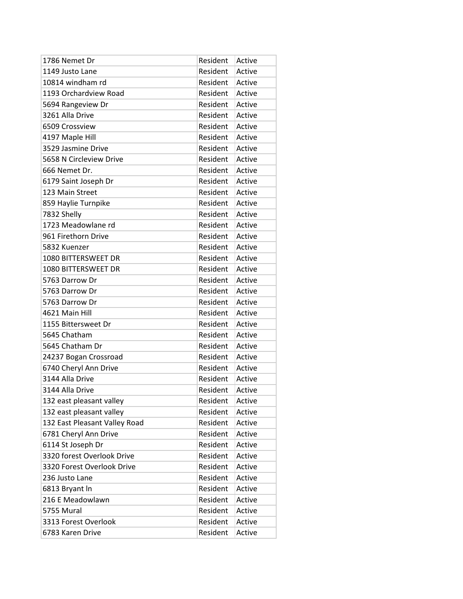| 1786 Nemet Dr                 | Resident | Active |
|-------------------------------|----------|--------|
| 1149 Justo Lane               | Resident | Active |
| 10814 windham rd              | Resident | Active |
| 1193 Orchardview Road         | Resident | Active |
| 5694 Rangeview Dr             | Resident | Active |
| 3261 Alla Drive               | Resident | Active |
| 6509 Crossview                | Resident | Active |
| 4197 Maple Hill               | Resident | Active |
| 3529 Jasmine Drive            | Resident | Active |
| 5658 N Circleview Drive       | Resident | Active |
| 666 Nemet Dr.                 | Resident | Active |
| 6179 Saint Joseph Dr          | Resident | Active |
| 123 Main Street               | Resident | Active |
| 859 Haylie Turnpike           | Resident | Active |
| 7832 Shelly                   | Resident | Active |
| 1723 Meadowlane rd            | Resident | Active |
| 961 Firethorn Drive           | Resident | Active |
| 5832 Kuenzer                  | Resident | Active |
| 1080 BITTERSWEET DR           | Resident | Active |
| 1080 BITTERSWEET DR           | Resident | Active |
| 5763 Darrow Dr                | Resident | Active |
| 5763 Darrow Dr                | Resident | Active |
| 5763 Darrow Dr                | Resident | Active |
| 4621 Main Hill                | Resident | Active |
| 1155 Bittersweet Dr           | Resident | Active |
| 5645 Chatham                  | Resident | Active |
| 5645 Chatham Dr               | Resident | Active |
| 24237 Bogan Crossroad         | Resident | Active |
| 6740 Cheryl Ann Drive         | Resident | Active |
| 3144 Alla Drive               | Resident | Active |
| 3144 Alla Drive               | Resident | Active |
| 132 east pleasant valley      | Resident | Active |
| 132 east pleasant valley      | Resident | Active |
| 132 East Pleasant Valley Road | Resident | Active |
| 6781 Cheryl Ann Drive         | Resident | Active |
| 6114 St Joseph Dr             | Resident | Active |
| 3320 forest Overlook Drive    | Resident | Active |
| 3320 Forest Overlook Drive    | Resident | Active |
| 236 Justo Lane                | Resident | Active |
| 6813 Bryant In                | Resident | Active |
| 216 E Meadowlawn              | Resident | Active |
| 5755 Mural                    | Resident | Active |
| 3313 Forest Overlook          | Resident | Active |
| 6783 Karen Drive              | Resident | Active |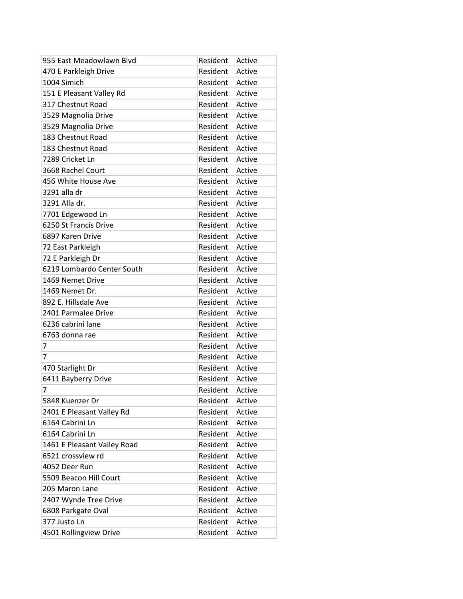| Resident<br>Active<br>Resident<br>1004 Simich<br>Active<br>151 E Pleasant Valley Rd<br>Resident<br>Active<br>317 Chestnut Road<br>Resident<br>Active<br>3529 Magnolia Drive<br>Resident<br>Active<br>3529 Magnolia Drive<br>Resident<br>Active<br>183 Chestnut Road<br>Resident<br>Active<br>183 Chestnut Road<br>Resident<br>Active<br>7289 Cricket Ln<br>Resident<br>Active<br>Resident<br>3668 Rachel Court<br>Active<br>Resident<br>Active<br>Resident<br>3291 alla dr<br>Active<br>3291 Alla dr.<br>Resident<br>Active<br>Resident<br>7701 Edgewood Ln<br>Active<br>Resident<br>Active<br>Resident<br>Active<br>Resident<br>72 East Parkleigh<br>Active<br>72 E Parkleigh Dr<br>Resident<br>Active<br>Resident<br>Active<br>Resident<br>1469 Nemet Drive<br>Active<br>Resident<br>1469 Nemet Dr.<br>Active<br>Resident<br>Active<br>2401 Parmalee Drive<br>Resident<br>Active<br>Resident<br>Active<br>Resident<br>Active<br>Resident<br>7<br>Active<br>Resident<br>7<br>Active<br>Resident<br>Active<br>Resident<br>Active<br>7<br>Resident<br>Active<br>Resident<br>5848 Kuenzer Dr<br>Active<br>Resident<br>2401 E Pleasant Valley Rd<br>Active<br>Resident<br>Active<br>Resident<br>Active<br>1461 E Pleasant Valley Road<br>Resident<br>Active<br>Resident<br>Active<br>Resident<br>Active<br>Resident<br>5509 Beacon Hill Court<br>Active<br>Resident<br>205 Maron Lane<br>Active<br>2407 Wynde Tree Drive<br>Resident<br>Active<br>Resident<br>Active<br>377 Justo Ln<br>Resident<br>Active | 955 East Meadowlawn Blvd   | Resident | Active |
|---------------------------------------------------------------------------------------------------------------------------------------------------------------------------------------------------------------------------------------------------------------------------------------------------------------------------------------------------------------------------------------------------------------------------------------------------------------------------------------------------------------------------------------------------------------------------------------------------------------------------------------------------------------------------------------------------------------------------------------------------------------------------------------------------------------------------------------------------------------------------------------------------------------------------------------------------------------------------------------------------------------------------------------------------------------------------------------------------------------------------------------------------------------------------------------------------------------------------------------------------------------------------------------------------------------------------------------------------------------------------------------------------------------------------------------------------------------------------------------------------------|----------------------------|----------|--------|
|                                                                                                                                                                                                                                                                                                                                                                                                                                                                                                                                                                                                                                                                                                                                                                                                                                                                                                                                                                                                                                                                                                                                                                                                                                                                                                                                                                                                                                                                                                         | 470 E Parkleigh Drive      |          |        |
|                                                                                                                                                                                                                                                                                                                                                                                                                                                                                                                                                                                                                                                                                                                                                                                                                                                                                                                                                                                                                                                                                                                                                                                                                                                                                                                                                                                                                                                                                                         |                            |          |        |
|                                                                                                                                                                                                                                                                                                                                                                                                                                                                                                                                                                                                                                                                                                                                                                                                                                                                                                                                                                                                                                                                                                                                                                                                                                                                                                                                                                                                                                                                                                         |                            |          |        |
|                                                                                                                                                                                                                                                                                                                                                                                                                                                                                                                                                                                                                                                                                                                                                                                                                                                                                                                                                                                                                                                                                                                                                                                                                                                                                                                                                                                                                                                                                                         |                            |          |        |
|                                                                                                                                                                                                                                                                                                                                                                                                                                                                                                                                                                                                                                                                                                                                                                                                                                                                                                                                                                                                                                                                                                                                                                                                                                                                                                                                                                                                                                                                                                         |                            |          |        |
|                                                                                                                                                                                                                                                                                                                                                                                                                                                                                                                                                                                                                                                                                                                                                                                                                                                                                                                                                                                                                                                                                                                                                                                                                                                                                                                                                                                                                                                                                                         |                            |          |        |
|                                                                                                                                                                                                                                                                                                                                                                                                                                                                                                                                                                                                                                                                                                                                                                                                                                                                                                                                                                                                                                                                                                                                                                                                                                                                                                                                                                                                                                                                                                         |                            |          |        |
|                                                                                                                                                                                                                                                                                                                                                                                                                                                                                                                                                                                                                                                                                                                                                                                                                                                                                                                                                                                                                                                                                                                                                                                                                                                                                                                                                                                                                                                                                                         |                            |          |        |
|                                                                                                                                                                                                                                                                                                                                                                                                                                                                                                                                                                                                                                                                                                                                                                                                                                                                                                                                                                                                                                                                                                                                                                                                                                                                                                                                                                                                                                                                                                         |                            |          |        |
|                                                                                                                                                                                                                                                                                                                                                                                                                                                                                                                                                                                                                                                                                                                                                                                                                                                                                                                                                                                                                                                                                                                                                                                                                                                                                                                                                                                                                                                                                                         |                            |          |        |
|                                                                                                                                                                                                                                                                                                                                                                                                                                                                                                                                                                                                                                                                                                                                                                                                                                                                                                                                                                                                                                                                                                                                                                                                                                                                                                                                                                                                                                                                                                         | 456 White House Ave        |          |        |
|                                                                                                                                                                                                                                                                                                                                                                                                                                                                                                                                                                                                                                                                                                                                                                                                                                                                                                                                                                                                                                                                                                                                                                                                                                                                                                                                                                                                                                                                                                         |                            |          |        |
|                                                                                                                                                                                                                                                                                                                                                                                                                                                                                                                                                                                                                                                                                                                                                                                                                                                                                                                                                                                                                                                                                                                                                                                                                                                                                                                                                                                                                                                                                                         |                            |          |        |
|                                                                                                                                                                                                                                                                                                                                                                                                                                                                                                                                                                                                                                                                                                                                                                                                                                                                                                                                                                                                                                                                                                                                                                                                                                                                                                                                                                                                                                                                                                         |                            |          |        |
|                                                                                                                                                                                                                                                                                                                                                                                                                                                                                                                                                                                                                                                                                                                                                                                                                                                                                                                                                                                                                                                                                                                                                                                                                                                                                                                                                                                                                                                                                                         | 6250 St Francis Drive      |          |        |
|                                                                                                                                                                                                                                                                                                                                                                                                                                                                                                                                                                                                                                                                                                                                                                                                                                                                                                                                                                                                                                                                                                                                                                                                                                                                                                                                                                                                                                                                                                         | 6897 Karen Drive           |          |        |
|                                                                                                                                                                                                                                                                                                                                                                                                                                                                                                                                                                                                                                                                                                                                                                                                                                                                                                                                                                                                                                                                                                                                                                                                                                                                                                                                                                                                                                                                                                         |                            |          |        |
|                                                                                                                                                                                                                                                                                                                                                                                                                                                                                                                                                                                                                                                                                                                                                                                                                                                                                                                                                                                                                                                                                                                                                                                                                                                                                                                                                                                                                                                                                                         |                            |          |        |
|                                                                                                                                                                                                                                                                                                                                                                                                                                                                                                                                                                                                                                                                                                                                                                                                                                                                                                                                                                                                                                                                                                                                                                                                                                                                                                                                                                                                                                                                                                         | 6219 Lombardo Center South |          |        |
|                                                                                                                                                                                                                                                                                                                                                                                                                                                                                                                                                                                                                                                                                                                                                                                                                                                                                                                                                                                                                                                                                                                                                                                                                                                                                                                                                                                                                                                                                                         |                            |          |        |
|                                                                                                                                                                                                                                                                                                                                                                                                                                                                                                                                                                                                                                                                                                                                                                                                                                                                                                                                                                                                                                                                                                                                                                                                                                                                                                                                                                                                                                                                                                         |                            |          |        |
|                                                                                                                                                                                                                                                                                                                                                                                                                                                                                                                                                                                                                                                                                                                                                                                                                                                                                                                                                                                                                                                                                                                                                                                                                                                                                                                                                                                                                                                                                                         | 892 E. Hillsdale Ave       |          |        |
|                                                                                                                                                                                                                                                                                                                                                                                                                                                                                                                                                                                                                                                                                                                                                                                                                                                                                                                                                                                                                                                                                                                                                                                                                                                                                                                                                                                                                                                                                                         |                            |          |        |
|                                                                                                                                                                                                                                                                                                                                                                                                                                                                                                                                                                                                                                                                                                                                                                                                                                                                                                                                                                                                                                                                                                                                                                                                                                                                                                                                                                                                                                                                                                         | 6236 cabrini lane          |          |        |
|                                                                                                                                                                                                                                                                                                                                                                                                                                                                                                                                                                                                                                                                                                                                                                                                                                                                                                                                                                                                                                                                                                                                                                                                                                                                                                                                                                                                                                                                                                         | 6763 donna rae             |          |        |
|                                                                                                                                                                                                                                                                                                                                                                                                                                                                                                                                                                                                                                                                                                                                                                                                                                                                                                                                                                                                                                                                                                                                                                                                                                                                                                                                                                                                                                                                                                         |                            |          |        |
|                                                                                                                                                                                                                                                                                                                                                                                                                                                                                                                                                                                                                                                                                                                                                                                                                                                                                                                                                                                                                                                                                                                                                                                                                                                                                                                                                                                                                                                                                                         |                            |          |        |
|                                                                                                                                                                                                                                                                                                                                                                                                                                                                                                                                                                                                                                                                                                                                                                                                                                                                                                                                                                                                                                                                                                                                                                                                                                                                                                                                                                                                                                                                                                         | 470 Starlight Dr           |          |        |
|                                                                                                                                                                                                                                                                                                                                                                                                                                                                                                                                                                                                                                                                                                                                                                                                                                                                                                                                                                                                                                                                                                                                                                                                                                                                                                                                                                                                                                                                                                         | 6411 Bayberry Drive        |          |        |
|                                                                                                                                                                                                                                                                                                                                                                                                                                                                                                                                                                                                                                                                                                                                                                                                                                                                                                                                                                                                                                                                                                                                                                                                                                                                                                                                                                                                                                                                                                         |                            |          |        |
|                                                                                                                                                                                                                                                                                                                                                                                                                                                                                                                                                                                                                                                                                                                                                                                                                                                                                                                                                                                                                                                                                                                                                                                                                                                                                                                                                                                                                                                                                                         |                            |          |        |
|                                                                                                                                                                                                                                                                                                                                                                                                                                                                                                                                                                                                                                                                                                                                                                                                                                                                                                                                                                                                                                                                                                                                                                                                                                                                                                                                                                                                                                                                                                         |                            |          |        |
|                                                                                                                                                                                                                                                                                                                                                                                                                                                                                                                                                                                                                                                                                                                                                                                                                                                                                                                                                                                                                                                                                                                                                                                                                                                                                                                                                                                                                                                                                                         | 6164 Cabrini Ln            |          |        |
|                                                                                                                                                                                                                                                                                                                                                                                                                                                                                                                                                                                                                                                                                                                                                                                                                                                                                                                                                                                                                                                                                                                                                                                                                                                                                                                                                                                                                                                                                                         | 6164 Cabrini Ln            |          |        |
|                                                                                                                                                                                                                                                                                                                                                                                                                                                                                                                                                                                                                                                                                                                                                                                                                                                                                                                                                                                                                                                                                                                                                                                                                                                                                                                                                                                                                                                                                                         |                            |          |        |
|                                                                                                                                                                                                                                                                                                                                                                                                                                                                                                                                                                                                                                                                                                                                                                                                                                                                                                                                                                                                                                                                                                                                                                                                                                                                                                                                                                                                                                                                                                         | 6521 crossview rd          |          |        |
|                                                                                                                                                                                                                                                                                                                                                                                                                                                                                                                                                                                                                                                                                                                                                                                                                                                                                                                                                                                                                                                                                                                                                                                                                                                                                                                                                                                                                                                                                                         | 4052 Deer Run              |          |        |
|                                                                                                                                                                                                                                                                                                                                                                                                                                                                                                                                                                                                                                                                                                                                                                                                                                                                                                                                                                                                                                                                                                                                                                                                                                                                                                                                                                                                                                                                                                         |                            |          |        |
|                                                                                                                                                                                                                                                                                                                                                                                                                                                                                                                                                                                                                                                                                                                                                                                                                                                                                                                                                                                                                                                                                                                                                                                                                                                                                                                                                                                                                                                                                                         |                            |          |        |
|                                                                                                                                                                                                                                                                                                                                                                                                                                                                                                                                                                                                                                                                                                                                                                                                                                                                                                                                                                                                                                                                                                                                                                                                                                                                                                                                                                                                                                                                                                         |                            |          |        |
|                                                                                                                                                                                                                                                                                                                                                                                                                                                                                                                                                                                                                                                                                                                                                                                                                                                                                                                                                                                                                                                                                                                                                                                                                                                                                                                                                                                                                                                                                                         | 6808 Parkgate Oval         |          |        |
|                                                                                                                                                                                                                                                                                                                                                                                                                                                                                                                                                                                                                                                                                                                                                                                                                                                                                                                                                                                                                                                                                                                                                                                                                                                                                                                                                                                                                                                                                                         |                            |          |        |
|                                                                                                                                                                                                                                                                                                                                                                                                                                                                                                                                                                                                                                                                                                                                                                                                                                                                                                                                                                                                                                                                                                                                                                                                                                                                                                                                                                                                                                                                                                         | 4501 Rollingview Drive     | Resident | Active |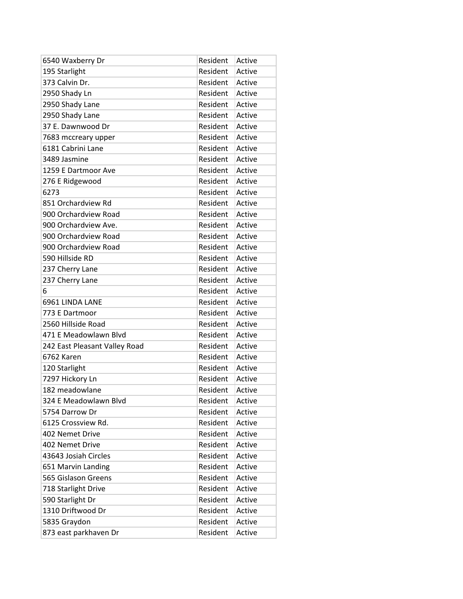| 6540 Waxberry Dr              | Resident | Active |
|-------------------------------|----------|--------|
| 195 Starlight                 | Resident | Active |
| 373 Calvin Dr.                | Resident | Active |
| 2950 Shady Ln                 | Resident | Active |
| 2950 Shady Lane               | Resident | Active |
| 2950 Shady Lane               | Resident | Active |
| 37 E. Dawnwood Dr             | Resident | Active |
| 7683 mccreary upper           | Resident | Active |
| 6181 Cabrini Lane             | Resident | Active |
| 3489 Jasmine                  | Resident | Active |
| 1259 E Dartmoor Ave           | Resident | Active |
| 276 E Ridgewood               | Resident | Active |
| 6273                          | Resident | Active |
| 851 Orchardview Rd            | Resident | Active |
| 900 Orchardview Road          | Resident | Active |
| 900 Orchardview Ave.          | Resident | Active |
| 900 Orchardview Road          | Resident | Active |
| 900 Orchardview Road          | Resident | Active |
| 590 Hillside RD               | Resident | Active |
| 237 Cherry Lane               | Resident | Active |
| 237 Cherry Lane               | Resident | Active |
| 6                             | Resident | Active |
| 6961 LINDA LANE               | Resident | Active |
| 773 E Dartmoor                | Resident | Active |
| 2560 Hillside Road            | Resident | Active |
| 471 E Meadowlawn Blvd         | Resident | Active |
| 242 East Pleasant Valley Road | Resident | Active |
| 6762 Karen                    | Resident | Active |
| 120 Starlight                 | Resident | Active |
| 7297 Hickory Ln               | Resident | Active |
| 182 meadowlane                | Resident | Active |
| 324 E Meadowlawn Blvd         | Resident | Active |
| 5754 Darrow Dr                | Resident | Active |
| 6125 Crossview Rd.            | Resident | Active |
| 402 Nemet Drive               | Resident | Active |
| 402 Nemet Drive               | Resident | Active |
| 43643 Josiah Circles          | Resident | Active |
| 651 Marvin Landing            | Resident | Active |
| 565 Gislason Greens           | Resident | Active |
| 718 Starlight Drive           | Resident | Active |
| 590 Starlight Dr              | Resident | Active |
| 1310 Driftwood Dr             | Resident | Active |
| 5835 Graydon                  | Resident | Active |
| 873 east parkhaven Dr         | Resident | Active |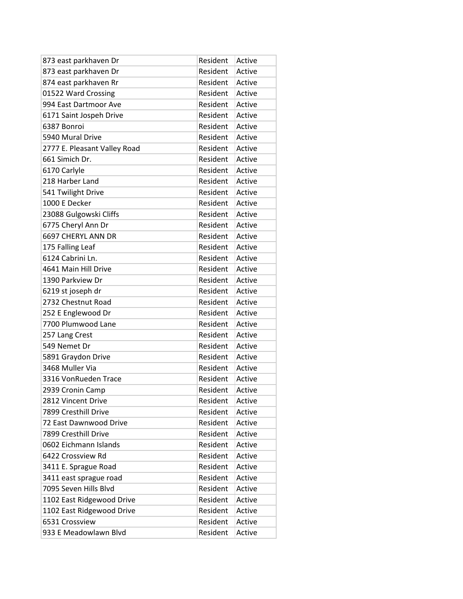| 873 east parkhaven Dr        | Resident | Active |
|------------------------------|----------|--------|
| 873 east parkhaven Dr        | Resident | Active |
| 874 east parkhaven Rr        | Resident | Active |
| 01522 Ward Crossing          | Resident | Active |
| 994 East Dartmoor Ave        | Resident | Active |
| 6171 Saint Jospeh Drive      | Resident | Active |
| 6387 Bonroi                  | Resident | Active |
| 5940 Mural Drive             | Resident | Active |
| 2777 E. Pleasant Valley Road | Resident | Active |
| 661 Simich Dr.               | Resident | Active |
| 6170 Carlyle                 | Resident | Active |
| 218 Harber Land              | Resident | Active |
| 541 Twilight Drive           | Resident | Active |
| 1000 E Decker                | Resident | Active |
| 23088 Gulgowski Cliffs       | Resident | Active |
| 6775 Cheryl Ann Dr           | Resident | Active |
| 6697 CHERYL ANN DR           | Resident | Active |
| 175 Falling Leaf             | Resident | Active |
| 6124 Cabrini Ln.             | Resident | Active |
| 4641 Main Hill Drive         | Resident | Active |
| 1390 Parkview Dr             | Resident | Active |
| 6219 st joseph dr            | Resident | Active |
| 2732 Chestnut Road           | Resident | Active |
| 252 E Englewood Dr           | Resident | Active |
| 7700 Plumwood Lane           | Resident | Active |
| 257 Lang Crest               | Resident | Active |
| 549 Nemet Dr                 | Resident | Active |
| 5891 Graydon Drive           | Resident | Active |
| 3468 Muller Via              | Resident | Active |
| 3316 VonRueden Trace         | Resident | Active |
| 2939 Cronin Camp             | Resident | Active |
| 2812 Vincent Drive           | Resident | Active |
| 7899 Cresthill Drive         | Resident | Active |
| 72 East Dawnwood Drive       | Resident | Active |
| 7899 Cresthill Drive         | Resident | Active |
| 0602 Eichmann Islands        | Resident | Active |
| 6422 Crossview Rd            | Resident | Active |
| 3411 E. Sprague Road         | Resident | Active |
| 3411 east sprague road       | Resident | Active |
| 7095 Seven Hills Blvd        | Resident | Active |
| 1102 East Ridgewood Drive    | Resident | Active |
| 1102 East Ridgewood Drive    | Resident | Active |
| 6531 Crossview               | Resident | Active |
| 933 E Meadowlawn Blvd        | Resident | Active |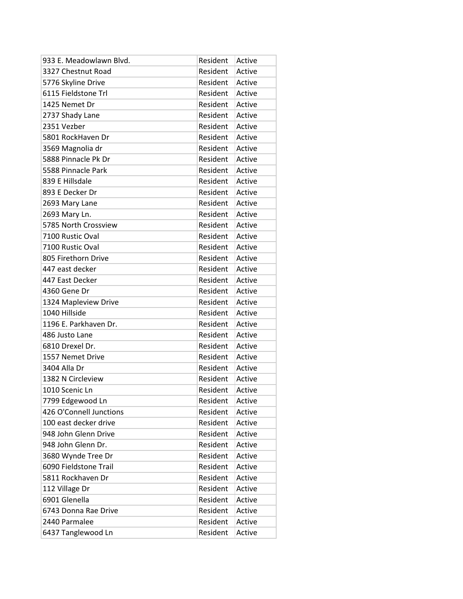| 933 E. Meadowlawn Blvd. | Resident | Active |
|-------------------------|----------|--------|
| 3327 Chestnut Road      | Resident | Active |
| 5776 Skyline Drive      | Resident | Active |
| 6115 Fieldstone Trl     | Resident | Active |
| 1425 Nemet Dr           | Resident | Active |
| 2737 Shady Lane         | Resident | Active |
| 2351 Vezber             | Resident | Active |
| 5801 RockHaven Dr       | Resident | Active |
| 3569 Magnolia dr        | Resident | Active |
| 5888 Pinnacle Pk Dr     | Resident | Active |
| 5588 Pinnacle Park      | Resident | Active |
| 839 E Hillsdale         | Resident | Active |
| 893 E Decker Dr         | Resident | Active |
| 2693 Mary Lane          | Resident | Active |
| 2693 Mary Ln.           | Resident | Active |
| 5785 North Crossview    | Resident | Active |
| 7100 Rustic Oval        | Resident | Active |
| 7100 Rustic Oval        | Resident | Active |
| 805 Firethorn Drive     | Resident | Active |
| 447 east decker         | Resident | Active |
| 447 East Decker         | Resident | Active |
| 4360 Gene Dr            | Resident | Active |
| 1324 Mapleview Drive    | Resident | Active |
| 1040 Hillside           | Resident | Active |
| 1196 E. Parkhaven Dr.   | Resident | Active |
| 486 Justo Lane          | Resident | Active |
| 6810 Drexel Dr.         | Resident | Active |
| 1557 Nemet Drive        | Resident | Active |
| 3404 Alla Dr            | Resident | Active |
| 1382 N Circleview       | Resident | Active |
| 1010 Scenic Ln          | Resident | Active |
| 7799 Edgewood Ln        | Resident | Active |
| 426 O'Connell Junctions | Resident | Active |
| 100 east decker drive   | Resident | Active |
| 948 John Glenn Drive    | Resident | Active |
| 948 John Glenn Dr.      | Resident | Active |
| 3680 Wynde Tree Dr      | Resident | Active |
| 6090 Fieldstone Trail   | Resident | Active |
| 5811 Rockhaven Dr       | Resident | Active |
| 112 Village Dr          | Resident | Active |
| 6901 Glenella           | Resident | Active |
| 6743 Donna Rae Drive    | Resident | Active |
| 2440 Parmalee           | Resident | Active |
| 6437 Tanglewood Ln      | Resident | Active |